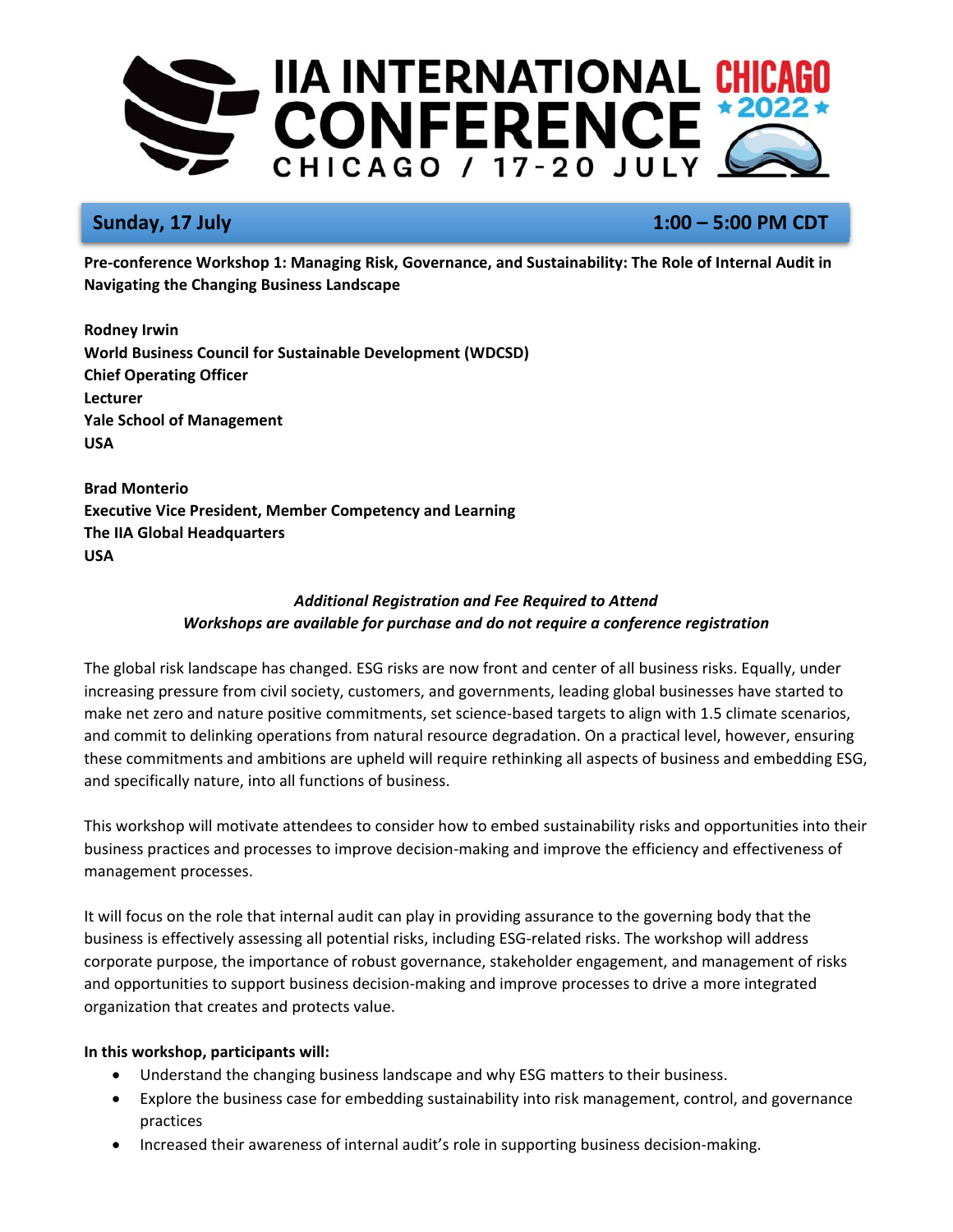

# **Sunday, 17 July 1:00 – 5:00 PM CDT**

**Pre‐conference Workshop 1: Managing Risk, Governance, and Sustainability: The Role of Internal Audit in Navigating the Changing Business Landscape** 

**Rodney Irwin World Business Council for Sustainable Development (WDCSD) Chief Operating Officer Lecturer Yale School of Management USA** 

**Brad Monterio Executive Vice President, Member Competency and Learning The IIA Global Headquarters USA** 

# *Additional Registration and Fee Required to Attend Workshops are available for purchase and do not require a conference registration*

The global risk landscape has changed. ESG risks are now front and center of all business risks. Equally, under increasing pressure from civil society, customers, and governments, leading global businesses have started to make net zero and nature positive commitments, set science-based targets to align with 1.5 climate scenarios, and commit to delinking operations from natural resource degradation. On a practical level, however, ensuring these commitments and ambitions are upheld will require rethinking all aspects of business and embedding ESG, and specifically nature, into all functions of business.

This workshop will motivate attendees to consider how to embed sustainability risks and opportunities into their business practices and processes to improve decision‐making and improve the efficiency and effectiveness of management processes.

It will focus on the role that internal audit can play in providing assurance to the governing body that the business is effectively assessing all potential risks, including ESG‐related risks. The workshop will address corporate purpose, the importance of robust governance, stakeholder engagement, and management of risks and opportunities to support business decision-making and improve processes to drive a more integrated organization that creates and protects value.

## **In this workshop, participants will:**

- Understand the changing business landscape and why ESG matters to their business.
- Explore the business case for embedding sustainability into risk management, control, and governance practices
- Increased their awareness of internal audit's role in supporting business decision‐making.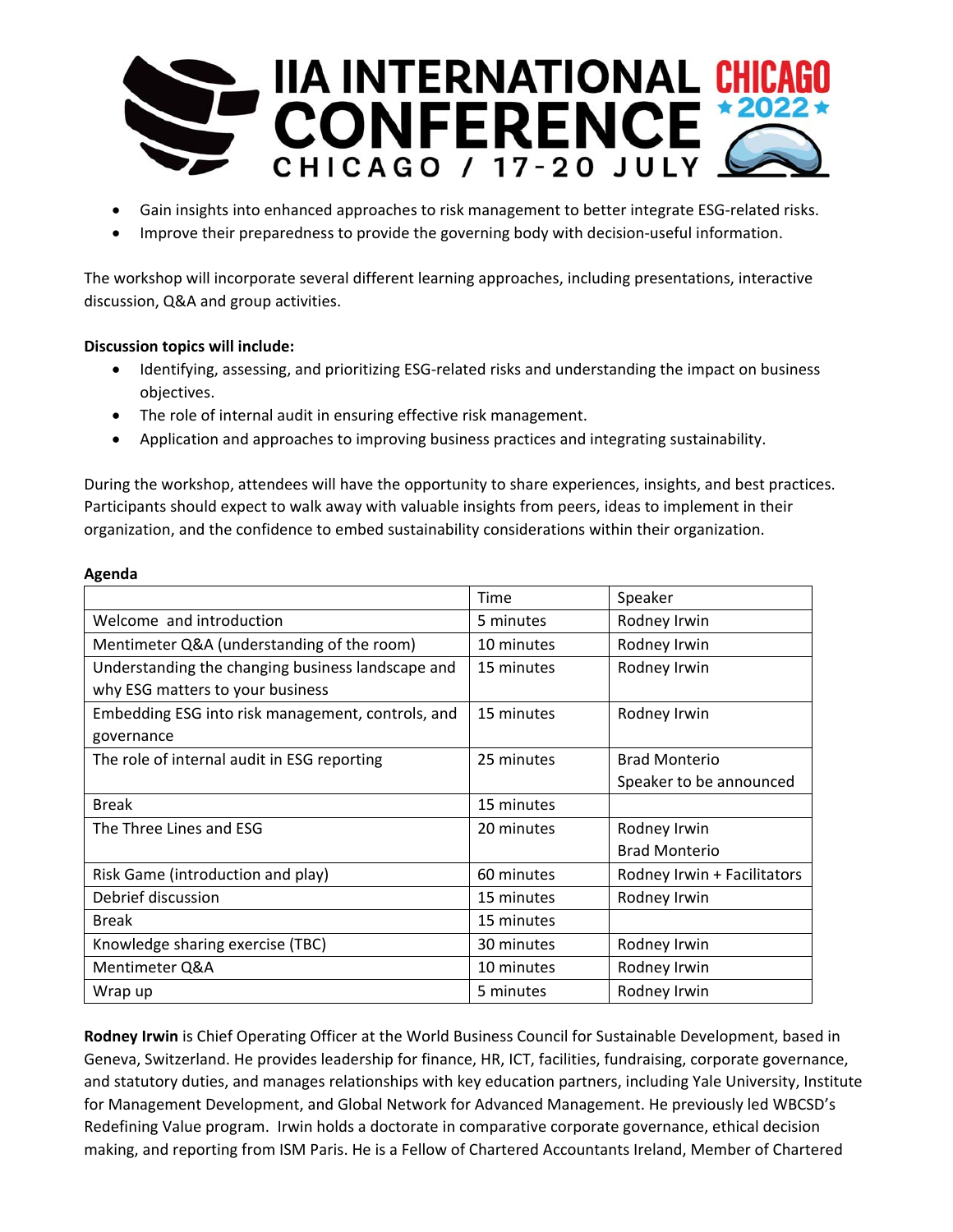

- Gain insights into enhanced approaches to risk management to better integrate ESG‐related risks.
- Improve their preparedness to provide the governing body with decision‐useful information.

The workshop will incorporate several different learning approaches, including presentations, interactive discussion, Q&A and group activities.

## **Discussion topics will include:**

- Identifying, assessing, and prioritizing ESG‐related risks and understanding the impact on business objectives.
- The role of internal audit in ensuring effective risk management.
- Application and approaches to improving business practices and integrating sustainability.

During the workshop, attendees will have the opportunity to share experiences, insights, and best practices. Participants should expect to walk away with valuable insights from peers, ideas to implement in their organization, and the confidence to embed sustainability considerations within their organization.

|                                                   | Time       | Speaker                     |
|---------------------------------------------------|------------|-----------------------------|
| Welcome and introduction                          | 5 minutes  | Rodney Irwin                |
| Mentimeter Q&A (understanding of the room)        | 10 minutes | Rodney Irwin                |
| Understanding the changing business landscape and | 15 minutes | Rodney Irwin                |
| why ESG matters to your business                  |            |                             |
| Embedding ESG into risk management, controls, and | 15 minutes | Rodney Irwin                |
| governance                                        |            |                             |
| The role of internal audit in ESG reporting       | 25 minutes | <b>Brad Monterio</b>        |
|                                                   |            | Speaker to be announced     |
| <b>Break</b>                                      | 15 minutes |                             |
| The Three Lines and ESG                           | 20 minutes | Rodney Irwin                |
|                                                   |            | <b>Brad Monterio</b>        |
| Risk Game (introduction and play)                 | 60 minutes | Rodney Irwin + Facilitators |
| Debrief discussion                                | 15 minutes | Rodney Irwin                |
| <b>Break</b>                                      | 15 minutes |                             |
| Knowledge sharing exercise (TBC)                  | 30 minutes | Rodney Irwin                |
| Mentimeter Q&A                                    | 10 minutes | Rodney Irwin                |
| Wrap up                                           | 5 minutes  | Rodney Irwin                |

**Rodney Irwin** is Chief Operating Officer at the World Business Council for Sustainable Development, based in Geneva, Switzerland. He provides leadership for finance, HR, ICT, facilities, fundraising, corporate governance, and statutory duties, and manages relationships with key education partners, including Yale University, Institute for Management Development, and Global Network for Advanced Management. He previously led WBCSD's Redefining Value program. Irwin holds a doctorate in comparative corporate governance, ethical decision making, and reporting from ISM Paris. He is a Fellow of Chartered Accountants Ireland, Member of Chartered

### **Agenda**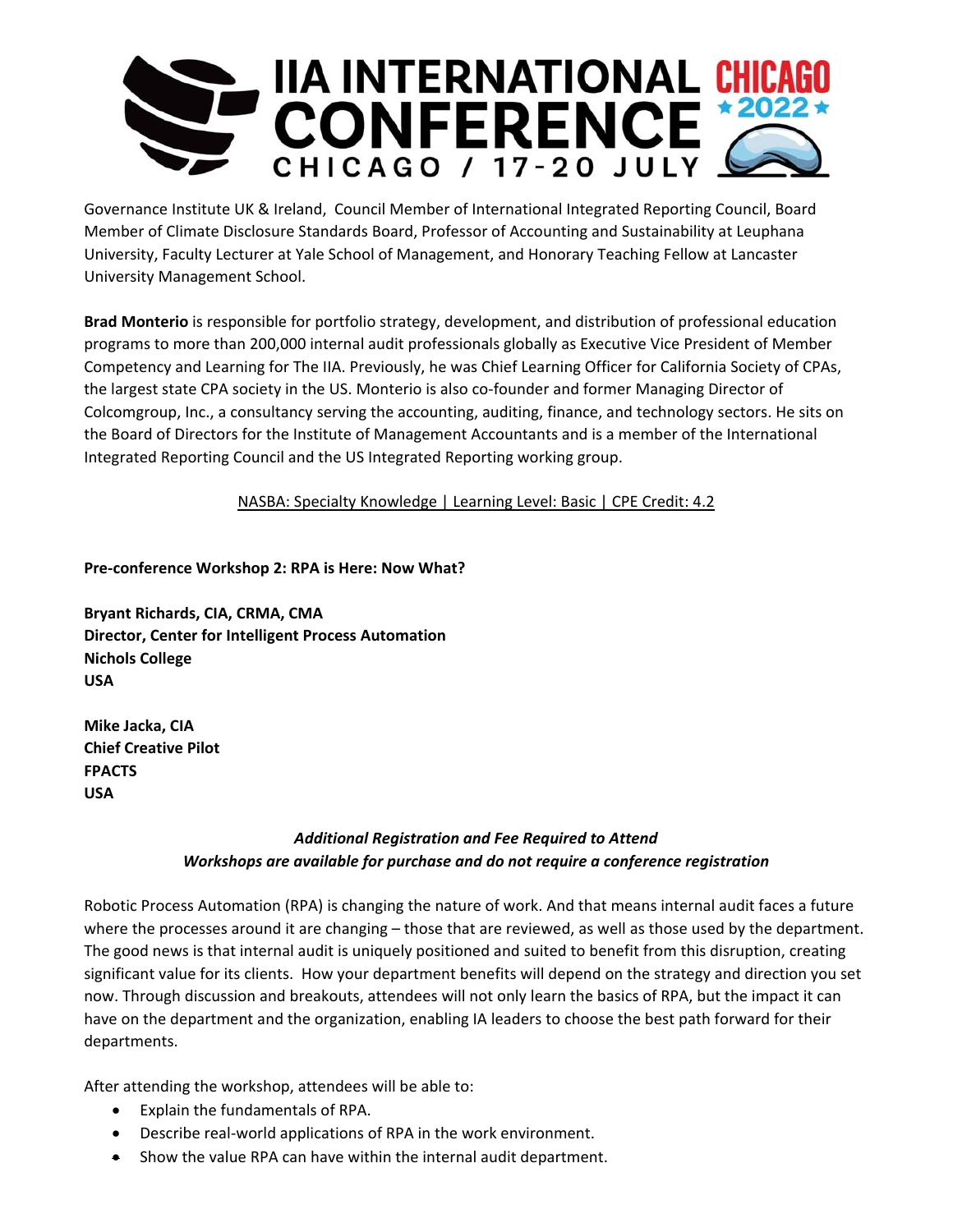

Governance Institute UK & Ireland, Council Member of International Integrated Reporting Council, Board Member of Climate Disclosure Standards Board, Professor of Accounting and Sustainability at Leuphana University, Faculty Lecturer at Yale School of Management, and Honorary Teaching Fellow at Lancaster University Management School.

**Brad Monterio** is responsible for portfolio strategy, development, and distribution of professional education programs to more than 200,000 internal audit professionals globally as Executive Vice President of Member Competency and Learning for The IIA. Previously, he was Chief Learning Officer for California Society of CPAs, the largest state CPA society in the US. Monterio is also co-founder and former Managing Director of Colcomgroup, Inc., a consultancy serving the accounting, auditing, finance, and technology sectors. He sits on the Board of Directors for the Institute of Management Accountants and is a member of the International Integrated Reporting Council and the US Integrated Reporting working group.

NASBA: Specialty Knowledge | Learning Level: Basic | CPE Credit: 4.2

**Pre‐conference Workshop 2: RPA is Here: Now What?** 

**Bryant Richards, CIA, CRMA, CMA Director, Center for Intelligent Process Automation Nichols College USA** 

**Mike Jacka, CIA Chief Creative Pilot FPACTS USA** 

# *Additional Registration and Fee Required to Attend Workshops are available for purchase and do not require a conference registration*

Robotic Process Automation (RPA) is changing the nature of work. And that means internal audit faces a future where the processes around it are changing – those that are reviewed, as well as those used by the department. The good news is that internal audit is uniquely positioned and suited to benefit from this disruption, creating significant value for its clients. How your department benefits will depend on the strategy and direction you set now. Through discussion and breakouts, attendees will not only learn the basics of RPA, but the impact it can have on the department and the organization, enabling IA leaders to choose the best path forward for their departments.

After attending the workshop, attendees will be able to:

- Explain the fundamentals of RPA.
- Describe real-world applications of RPA in the work environment.
- Show the value RPA can have within the internal audit department.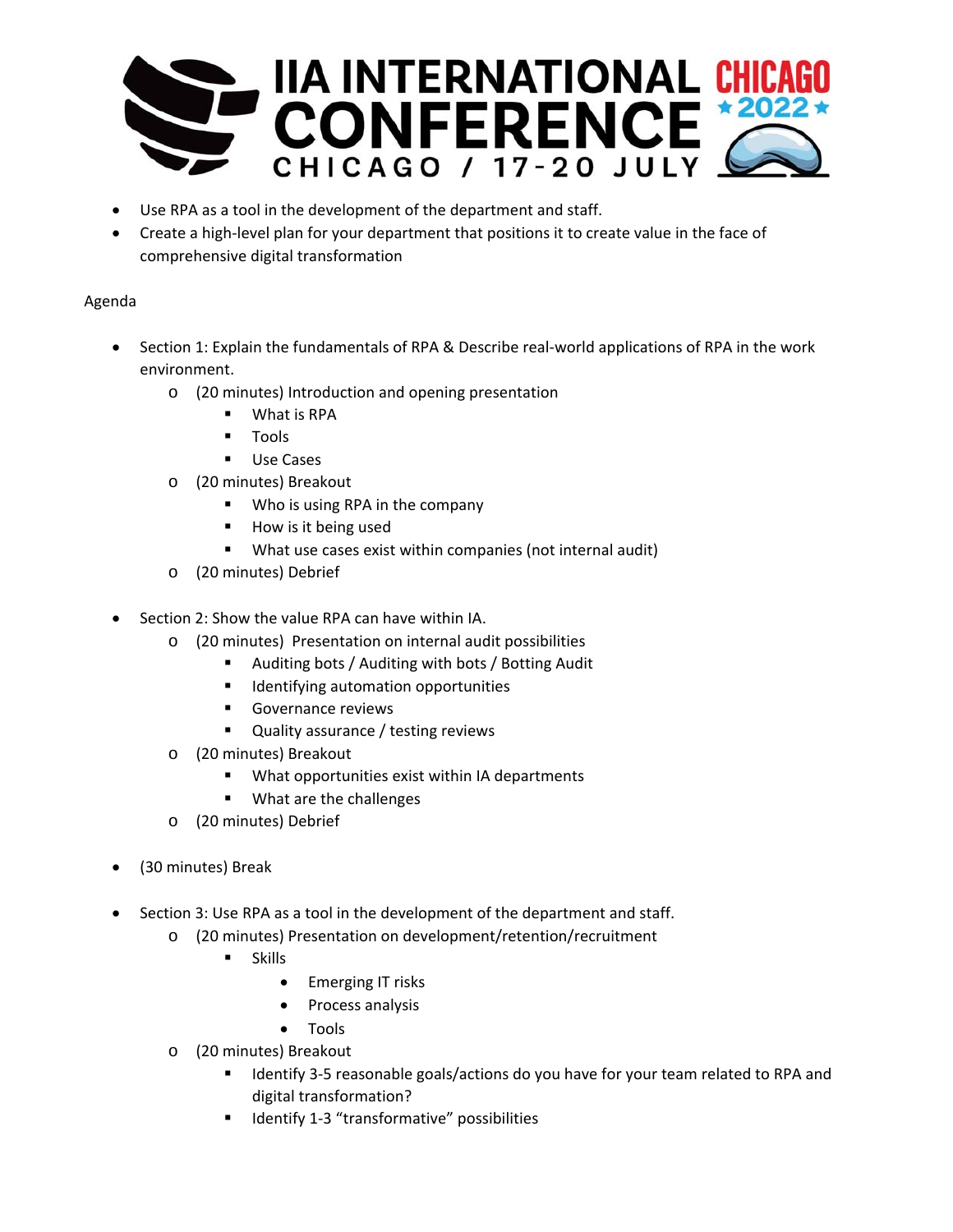

- Use RPA as a tool in the development of the department and staff.
- Create a high‐level plan for your department that positions it to create value in the face of comprehensive digital transformation

## Agenda

- Section 1: Explain the fundamentals of RPA & Describe real‐world applications of RPA in the work environment.
	- o (20 minutes) Introduction and opening presentation
		- What is RPA
		- Tools
		- **Use Cases**
	- o (20 minutes) Breakout
		- **Who is using RPA in the company**
		- **How is it being used**
		- What use cases exist within companies (not internal audit)
	- o (20 minutes) Debrief
- Section 2: Show the value RPA can have within IA.
	- o (20 minutes) Presentation on internal audit possibilities
		- Auditing bots / Auditing with bots / Botting Audit
		- **Indentifying automation opportunities**
		- **Governance reviews**
		- **Quality assurance / testing reviews**
	- o (20 minutes) Breakout
		- What opportunities exist within IA departments
		- **What are the challenges**
	- o (20 minutes) Debrief
- (30 minutes) Break
- Section 3: Use RPA as a tool in the development of the department and staff.
	- o (20 minutes) Presentation on development/retention/recruitment
		- **Skills** 
			- Emerging IT risks
			- Process analysis
			- Tools
	- o (20 minutes) Breakout
		- Identify 3-5 reasonable goals/actions do you have for your team related to RPA and digital transformation?
		- Identify 1-3 "transformative" possibilities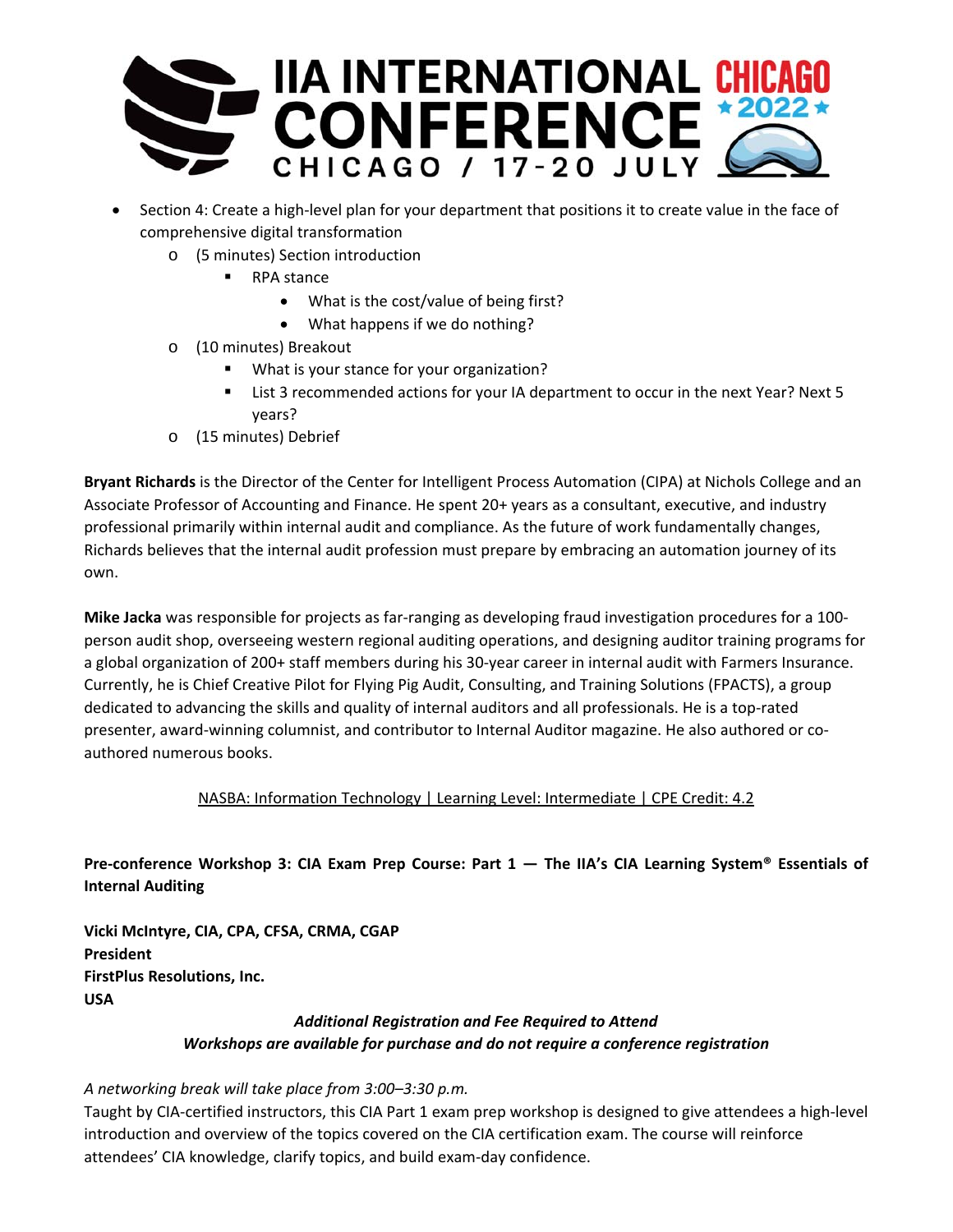

- Section 4: Create a high-level plan for your department that positions it to create value in the face of comprehensive digital transformation
	- o (5 minutes) Section introduction
		- RPA stance
			- What is the cost/value of being first?
			- What happens if we do nothing?
	- o (10 minutes) Breakout
		- What is your stance for your organization?
		- List 3 recommended actions for your IA department to occur in the next Year? Next 5 years?
	- o (15 minutes) Debrief

**Bryant Richards** is the Director of the Center for Intelligent Process Automation (CIPA) at Nichols College and an Associate Professor of Accounting and Finance. He spent 20+ years as a consultant, executive, and industry professional primarily within internal audit and compliance. As the future of work fundamentally changes, Richards believes that the internal audit profession must prepare by embracing an automation journey of its own.

**Mike Jacka** was responsible for projects as far-ranging as developing fraud investigation procedures for a 100person audit shop, overseeing western regional auditing operations, and designing auditor training programs for a global organization of 200+ staff members during his 30‐year career in internal audit with Farmers Insurance. Currently, he is Chief Creative Pilot for Flying Pig Audit, Consulting, and Training Solutions (FPACTS), a group dedicated to advancing the skills and quality of internal auditors and all professionals. He is a top-rated presenter, award-winning columnist, and contributor to Internal Auditor magazine. He also authored or coauthored numerous books.

## NASBA: Information Technology | Learning Level: Intermediate | CPE Credit: 4.2

# **Pre‐conference Workshop 3: CIA Exam Prep Course: Part 1 — The IIA's CIA Learning System® Essentials of Internal Auditing**

**Vicki McIntyre, CIA, CPA, CFSA, CRMA, CGAP President FirstPlus Resolutions, Inc. USA** 

# *Additional Registration and Fee Required to Attend Workshops are available for purchase and do not require a conference registration*

## *A networking break will take place from 3:00–3:30 p.m.*

Taught by CIA‐certified instructors, this CIA Part 1 exam prep workshop is designed to give attendees a high‐level introduction and overview of the topics covered on the CIA certification exam. The course will reinforce attendees' CIA knowledge, clarify topics, and build exam‐day confidence.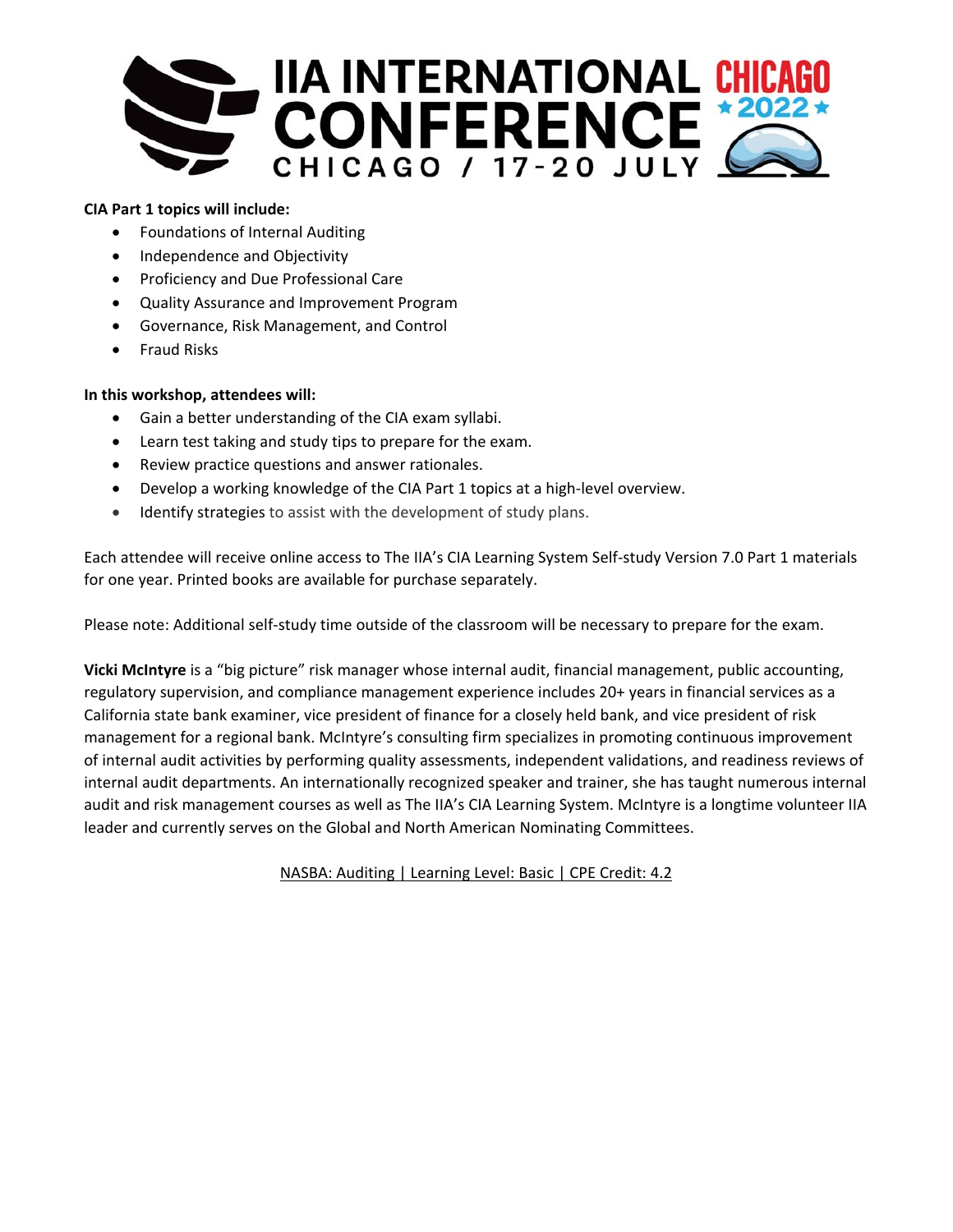

## **CIA Part 1 topics will include:**

- Foundations of Internal Auditing
- Independence and Objectivity
- **•** Proficiency and Due Professional Care
- Quality Assurance and Improvement Program
- Governance, Risk Management, and Control
- Fraud Risks

## **In this workshop, attendees will:**

- Gain a better understanding of the CIA exam syllabi.
- Learn test taking and study tips to prepare for the exam.
- Review practice questions and answer rationales.
- Develop a working knowledge of the CIA Part 1 topics at a high-level overview.
- Identify strategies to assist with the development of study plans.

Each attendee will receive online access to The IIA's CIA Learning System Self‐study Version 7.0 Part 1 materials for one year. Printed books are available for purchase separately.

Please note: Additional self‐study time outside of the classroom will be necessary to prepare for the exam.

**Vicki McIntyre** is a "big picture" risk manager whose internal audit, financial management, public accounting, regulatory supervision, and compliance management experience includes 20+ years in financial services as a California state bank examiner, vice president of finance for a closely held bank, and vice president of risk management for a regional bank. McIntyre's consulting firm specializes in promoting continuous improvement of internal audit activities by performing quality assessments, independent validations, and readiness reviews of internal audit departments. An internationally recognized speaker and trainer, she has taught numerous internal audit and risk management courses as well as The IIA's CIA Learning System. McIntyre is a longtime volunteer IIA leader and currently serves on the Global and North American Nominating Committees.

NASBA: Auditing | Learning Level: Basic | CPE Credit: 4.2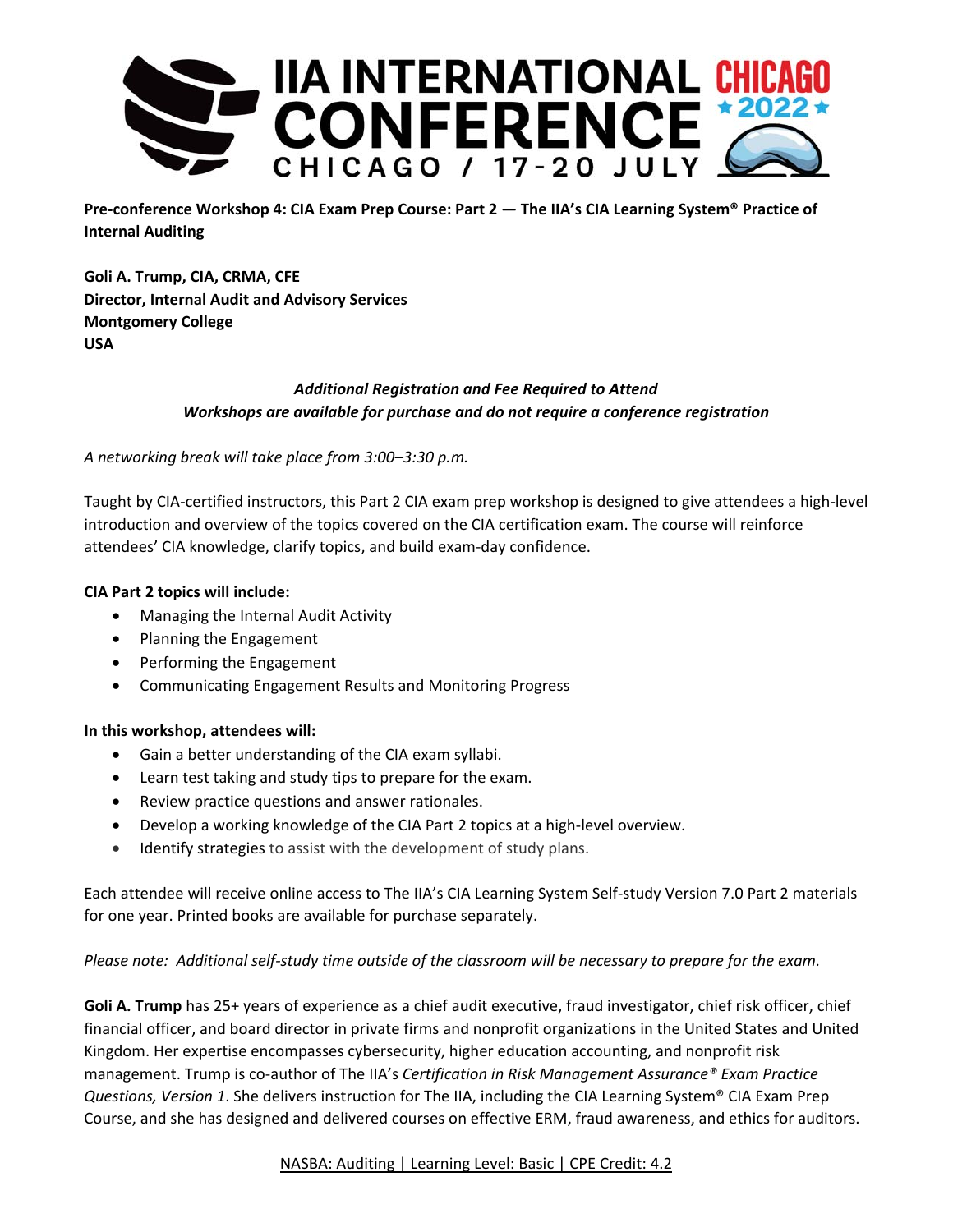

**Pre‐conference Workshop 4: CIA Exam Prep Course: Part 2 — The IIA's CIA Learning System® Practice of Internal Auditing**

**Goli A. Trump, CIA, CRMA, CFE Director, Internal Audit and Advisory Services Montgomery College USA** 

# *Additional Registration and Fee Required to Attend Workshops are available for purchase and do not require a conference registration*

*A networking break will take place from 3:00–3:30 p.m.* 

Taught by CIA‐certified instructors, this Part 2 CIA exam prep workshop is designed to give attendees a high‐level introduction and overview of the topics covered on the CIA certification exam. The course will reinforce attendees' CIA knowledge, clarify topics, and build exam-day confidence.

## **CIA Part 2 topics will include:**

- Managing the Internal Audit Activity
- Planning the Engagement
- Performing the Engagement
- Communicating Engagement Results and Monitoring Progress

## **In this workshop, attendees will:**

- Gain a better understanding of the CIA exam syllabi.
- Learn test taking and study tips to prepare for the exam.
- Review practice questions and answer rationales.
- Develop a working knowledge of the CIA Part 2 topics at a high-level overview.
- Identify strategies to assist with the development of study plans.

Each attendee will receive online access to The IIA's CIA Learning System Self‐study Version 7.0 Part 2 materials for one year. Printed books are available for purchase separately.

*Please note: Additional self‐study time outside of the classroom will be necessary to prepare for the exam.* 

**Goli A. Trump** has 25+ years of experience as a chief audit executive, fraud investigator, chief risk officer, chief financial officer, and board director in private firms and nonprofit organizations in the United States and United Kingdom. Her expertise encompasses cybersecurity, higher education accounting, and nonprofit risk management. Trump is co‐author of The IIA's *Certification in Risk Management Assurance® Exam Practice Questions, Version 1*. She delivers instruction for The IIA, including the CIA Learning System® CIA Exam Prep Course, and she has designed and delivered courses on effective ERM, fraud awareness, and ethics for auditors.

## NASBA: Auditing | Learning Level: Basic | CPE Credit: 4.2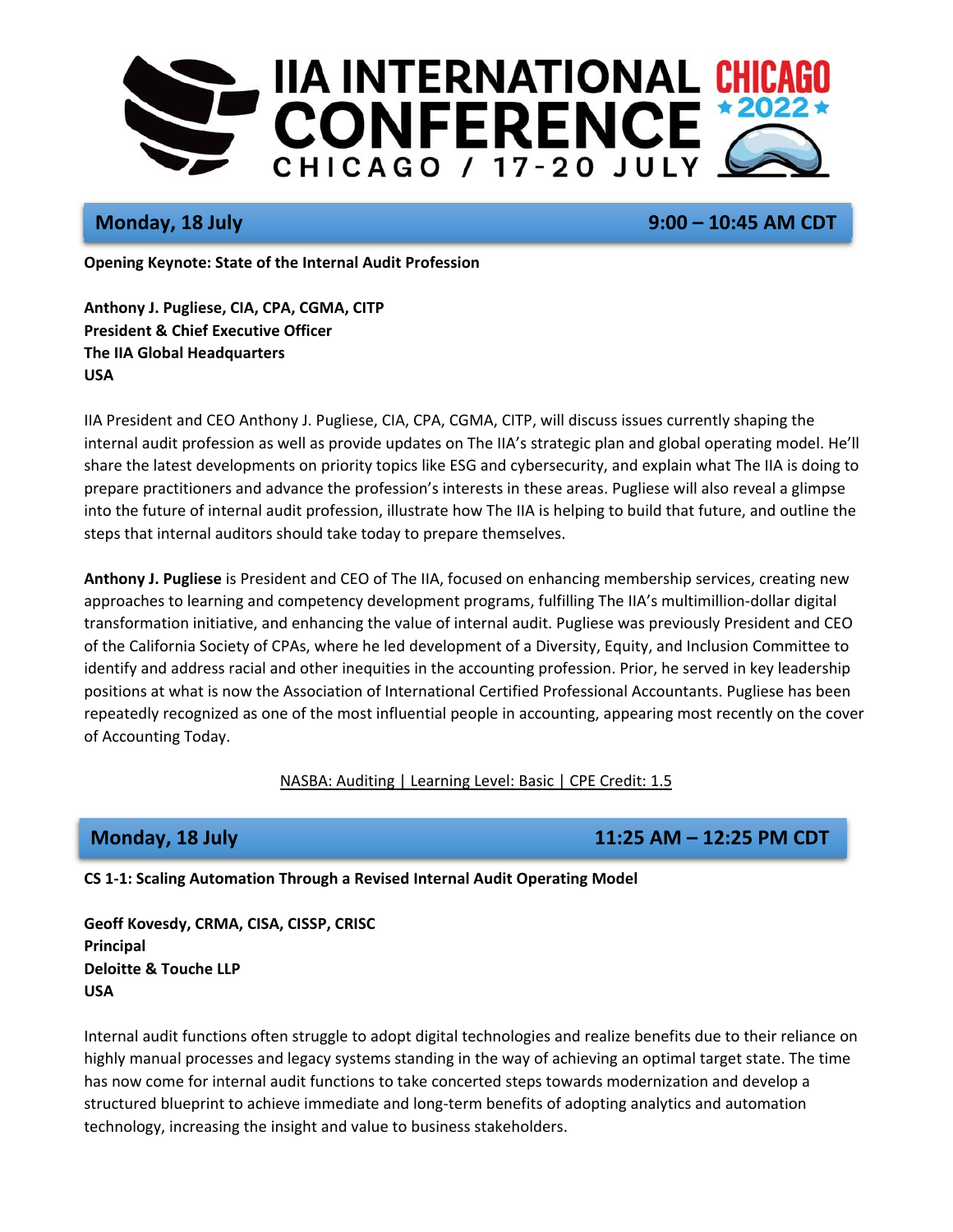

**Monday, 18 July 19:00 – 10:45 AM CDT** 

**Opening Keynote: State of the Internal Audit Profession** 

**Anthony J. Pugliese, CIA, CPA, CGMA, CITP President & Chief Executive Officer The IIA Global Headquarters USA** 

IIA President and CEO Anthony J. Pugliese, CIA, CPA, CGMA, CITP, will discuss issues currently shaping the internal audit profession as well as provide updates on The IIA's strategic plan and global operating model. He'll share the latest developments on priority topics like ESG and cybersecurity, and explain what The IIA is doing to prepare practitioners and advance the profession's interests in these areas. Pugliese will also reveal a glimpse into the future of internal audit profession, illustrate how The IIA is helping to build that future, and outline the steps that internal auditors should take today to prepare themselves.

**Anthony J. Pugliese** is President and CEO of The IIA, focused on enhancing membership services, creating new approaches to learning and competency development programs, fulfilling The IIA's multimillion‐dollar digital transformation initiative, and enhancing the value of internal audit. Pugliese was previously President and CEO of the California Society of CPAs, where he led development of a Diversity, Equity, and Inclusion Committee to identify and address racial and other inequities in the accounting profession. Prior, he served in key leadership positions at what is now the Association of International Certified Professional Accountants. Pugliese has been repeatedly recognized as one of the most influential people in accounting, appearing most recently on the cover of Accounting Today.

## NASBA: Auditing | Learning Level: Basic | CPE Credit: 1.5

# **Monday, 18 July 11:25 AM – 12:25 PM CDT**

**CS 1‐1: Scaling Automation Through a Revised Internal Audit Operating Model** 

**Geoff Kovesdy, CRMA, CISA, CISSP, CRISC Principal Deloitte & Touche LLP USA** 

Internal audit functions often struggle to adopt digital technologies and realize benefits due to their reliance on highly manual processes and legacy systems standing in the way of achieving an optimal target state. The time has now come for internal audit functions to take concerted steps towards modernization and develop a structured blueprint to achieve immediate and long‐term benefits of adopting analytics and automation technology, increasing the insight and value to business stakeholders.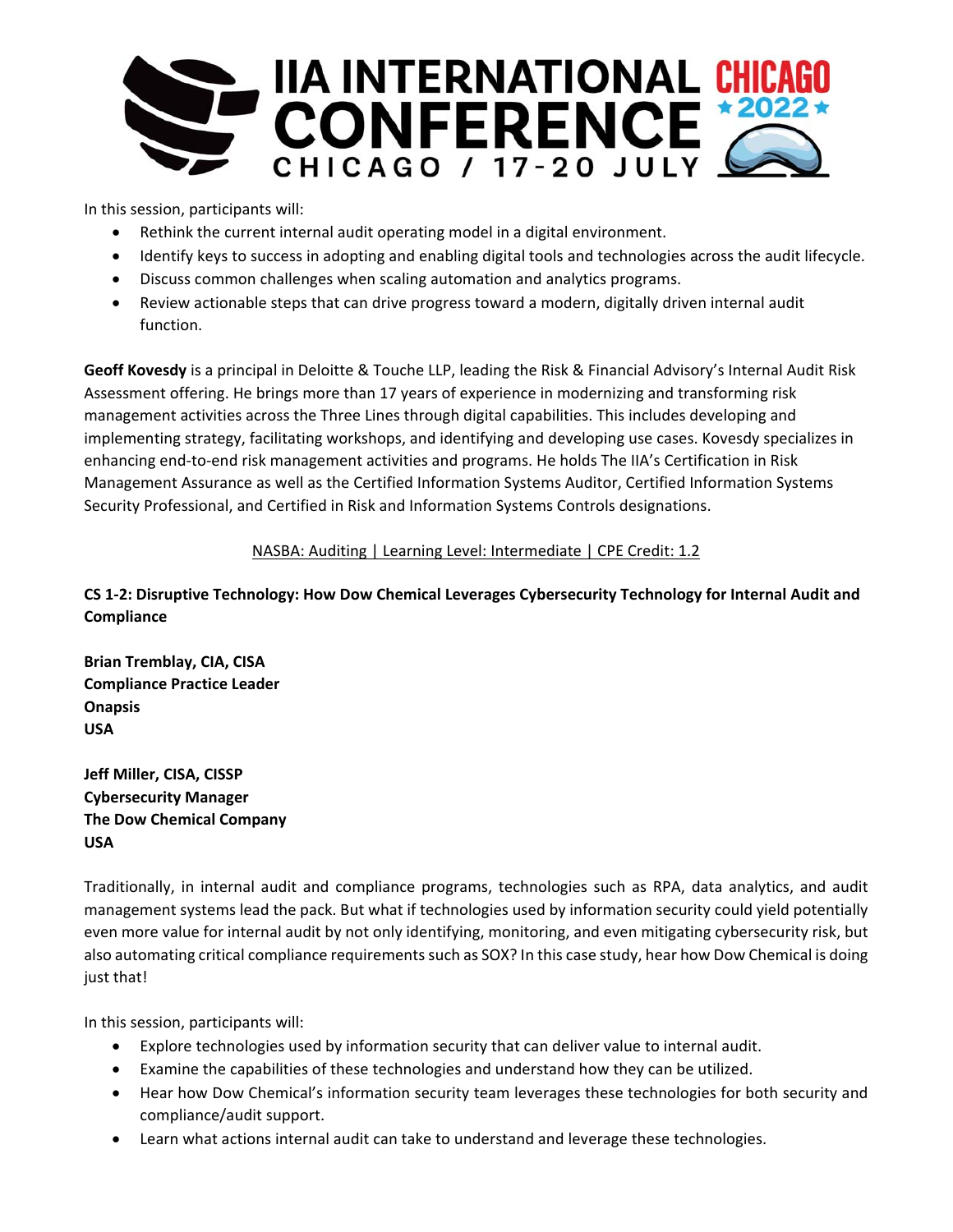

In this session, participants will:

- Rethink the current internal audit operating model in a digital environment.
- Identify keys to success in adopting and enabling digital tools and technologies across the audit lifecycle.
- Discuss common challenges when scaling automation and analytics programs.
- Review actionable steps that can drive progress toward a modern, digitally driven internal audit function.

**Geoff Kovesdy** is a principal in Deloitte & Touche LLP, leading the Risk & Financial Advisory's Internal Audit Risk Assessment offering. He brings more than 17 years of experience in modernizing and transforming risk management activities across the Three Lines through digital capabilities. This includes developing and implementing strategy, facilitating workshops, and identifying and developing use cases. Kovesdy specializes in enhancing end‐to‐end risk management activities and programs. He holds The IIA's Certification in Risk Management Assurance as well as the Certified Information Systems Auditor, Certified Information Systems Security Professional, and Certified in Risk and Information Systems Controls designations.

## NASBA: Auditing | Learning Level: Intermediate | CPE Credit: 1.2

# **CS 1‐2: Disruptive Technology: How Dow Chemical Leverages Cybersecurity Technology for Internal Audit and Compliance**

**Brian Tremblay, CIA, CISA Compliance Practice Leader Onapsis USA** 

**Jeff Miller, CISA, CISSP Cybersecurity Manager The Dow Chemical Company USA** 

Traditionally, in internal audit and compliance programs, technologies such as RPA, data analytics, and audit management systems lead the pack. But what if technologies used by information security could yield potentially even more value for internal audit by not only identifying, monitoring, and even mitigating cybersecurity risk, but also automating critical compliance requirements such as SOX? In this case study, hear how Dow Chemical is doing just that!

In this session, participants will:

- Explore technologies used by information security that can deliver value to internal audit.
- Examine the capabilities of these technologies and understand how they can be utilized.
- Hear how Dow Chemical's information security team leverages these technologies for both security and compliance/audit support.
- Learn what actions internal audit can take to understand and leverage these technologies.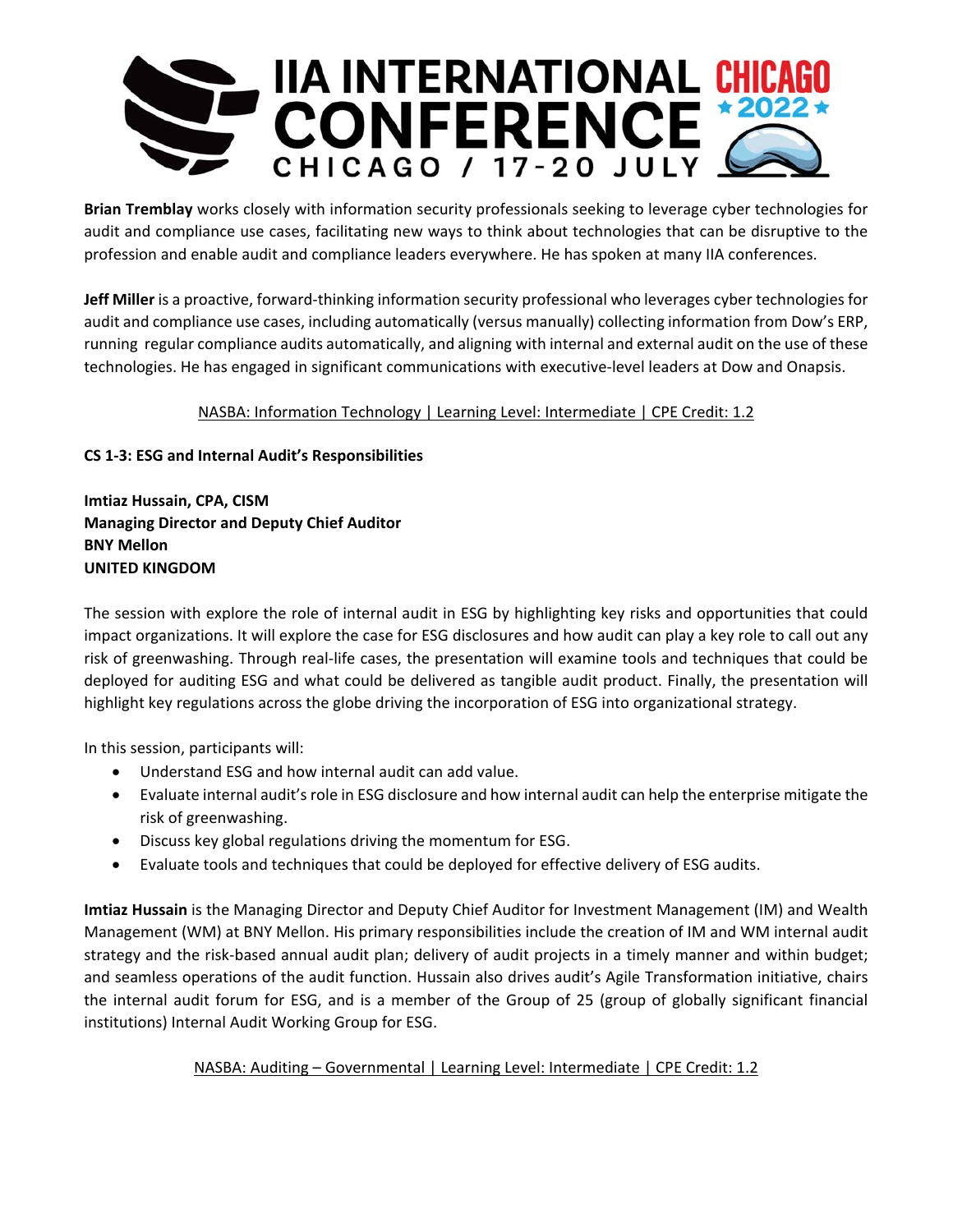

**Brian Tremblay** works closely with information security professionals seeking to leverage cyber technologies for audit and compliance use cases, facilitating new ways to think about technologies that can be disruptive to the profession and enable audit and compliance leaders everywhere. He has spoken at many IIA conferences.

**Jeff Miller** is a proactive, forward‐thinking information security professional who leverages cyber technologies for audit and compliance use cases, including automatically (versus manually) collecting information from Dow's ERP, running regular compliance audits automatically, and aligning with internal and external audit on the use of these technologies. He has engaged in significant communications with executive‐level leaders at Dow and Onapsis.

## NASBA: Information Technology | Learning Level: Intermediate | CPE Credit: 1.2

## **CS 1‐3: ESG and Internal Audit's Responsibilities**

**Imtiaz Hussain, CPA, CISM Managing Director and Deputy Chief Auditor BNY Mellon UNITED KINGDOM** 

The session with explore the role of internal audit in ESG by highlighting key risks and opportunities that could impact organizations. It will explore the case for ESG disclosures and how audit can play a key role to call out any risk of greenwashing. Through real‐life cases, the presentation will examine tools and techniques that could be deployed for auditing ESG and what could be delivered as tangible audit product. Finally, the presentation will highlight key regulations across the globe driving the incorporation of ESG into organizational strategy.

In this session, participants will:

- Understand ESG and how internal audit can add value.
- Evaluate internal audit's role in ESG disclosure and how internal audit can help the enterprise mitigate the risk of greenwashing.
- Discuss key global regulations driving the momentum for ESG.
- Evaluate tools and techniques that could be deployed for effective delivery of ESG audits.

**Imtiaz Hussain** is the Managing Director and Deputy Chief Auditor for Investment Management (IM) and Wealth Management (WM) at BNY Mellon. His primary responsibilities include the creation of IM and WM internal audit strategy and the risk‐based annual audit plan; delivery of audit projects in a timely manner and within budget; and seamless operations of the audit function. Hussain also drives audit's Agile Transformation initiative, chairs the internal audit forum for ESG, and is a member of the Group of 25 (group of globally significant financial institutions) Internal Audit Working Group for ESG.

## NASBA: Auditing - Governmental | Learning Level: Intermediate | CPE Credit: 1.2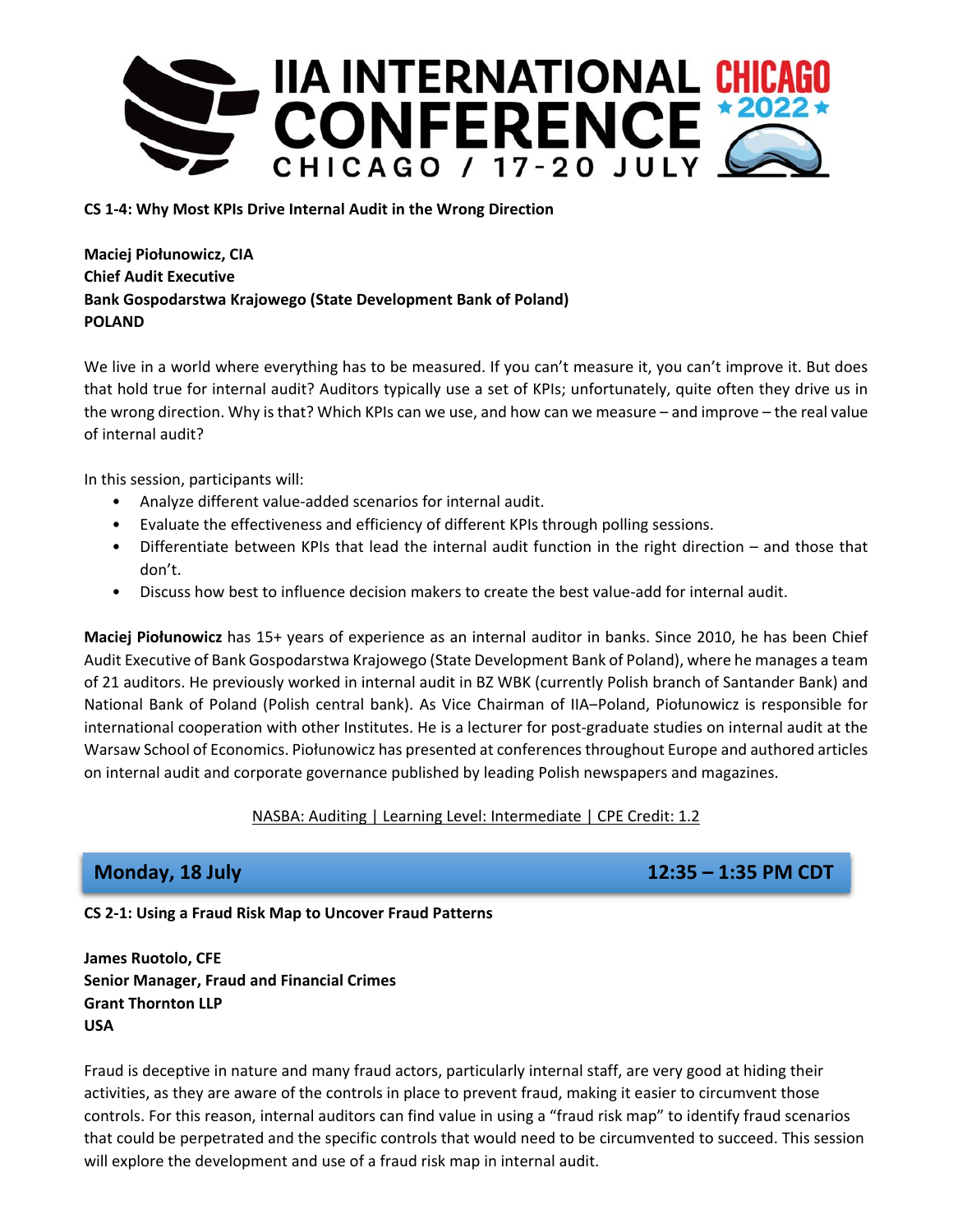

## **CS 1‐4: Why Most KPIs Drive Internal Audit in the Wrong Direction**

**Maciej Piołunowicz, CIA Chief Audit Executive Bank Gospodarstwa Krajowego (State Development Bank of Poland) POLAND** 

We live in a world where everything has to be measured. If you can't measure it, you can't improve it. But does that hold true for internal audit? Auditors typically use a set of KPIs; unfortunately, quite often they drive us in the wrong direction. Why is that? Which KPIs can we use, and how can we measure – and improve – the real value of internal audit?

In this session, participants will:

- Analyze different value‐added scenarios for internal audit.
- Evaluate the effectiveness and efficiency of different KPIs through polling sessions.
- Differentiate between KPIs that lead the internal audit function in the right direction and those that don't.
- Discuss how best to influence decision makers to create the best value-add for internal audit.

**Maciej Piołunowicz** has 15+ years of experience as an internal auditor in banks. Since 2010, he has been Chief Audit Executive of Bank Gospodarstwa Krajowego (State Development Bank of Poland), where he manages a team of 21 auditors. He previously worked in internal audit in BZ WBK (currently Polish branch of Santander Bank) and National Bank of Poland (Polish central bank). As Vice Chairman of IIA–Poland, Piołunowicz is responsible for international cooperation with other Institutes. He is a lecturer for post-graduate studies on internal audit at the Warsaw School of Economics. Piołunowicz has presented at conferences throughout Europe and authored articles on internal audit and corporate governance published by leading Polish newspapers and magazines.

## NASBA: Auditing | Learning Level: Intermediate | CPE Credit: 1.2

**Monday, 18 July 12:35 – 1:35 PM CDT** 

## **CS 2‐1: Using a Fraud Risk Map to Uncover Fraud Patterns**

**James Ruotolo, CFE Senior Manager, Fraud and Financial Crimes Grant Thornton LLP USA** 

Fraud is deceptive in nature and many fraud actors, particularly internal staff, are very good at hiding their activities, as they are aware of the controls in place to prevent fraud, making it easier to circumvent those controls. For this reason, internal auditors can find value in using a "fraud risk map" to identify fraud scenarios that could be perpetrated and the specific controls that would need to be circumvented to succeed. This session will explore the development and use of a fraud risk map in internal audit.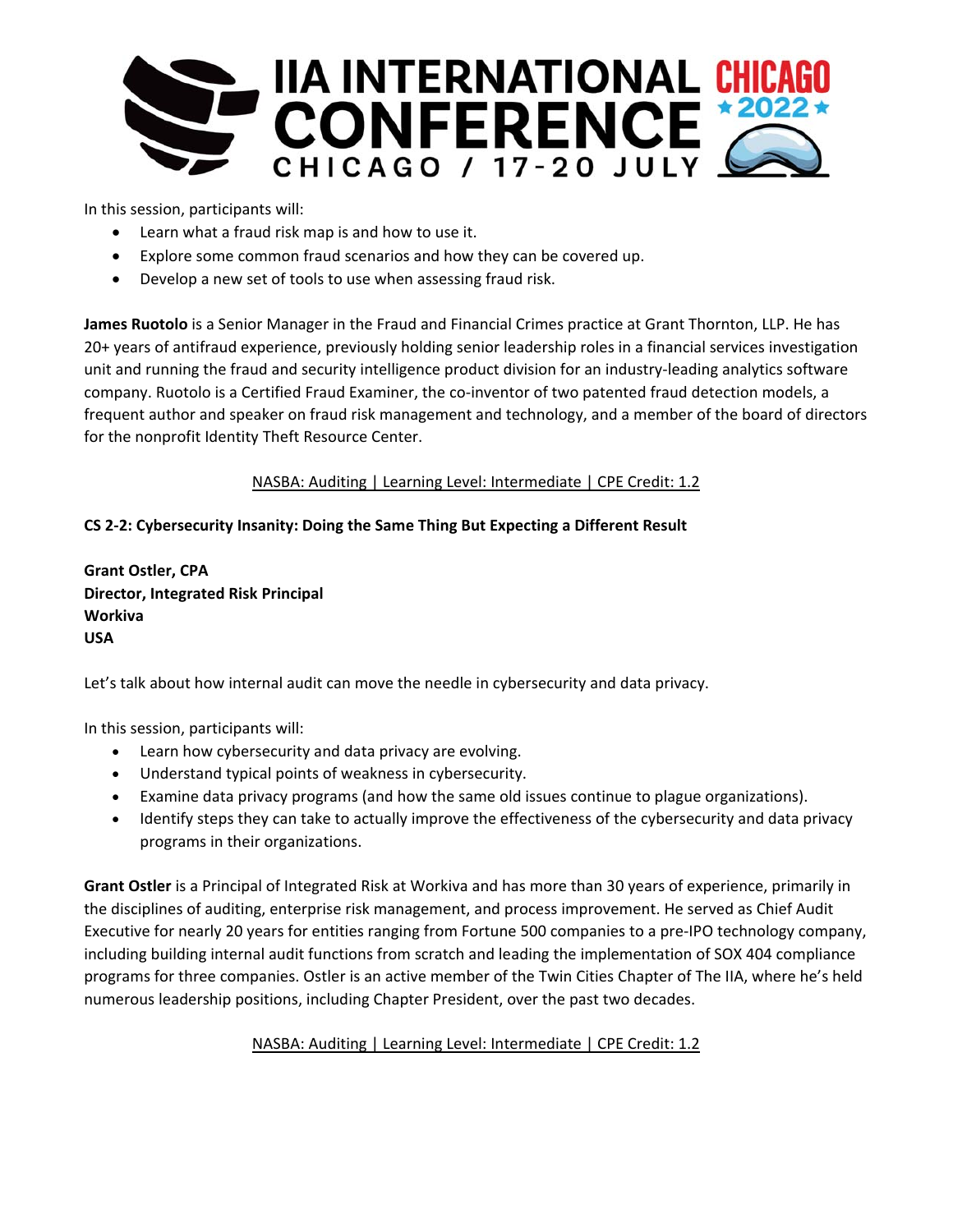

In this session, participants will:

- Learn what a fraud risk map is and how to use it.
- Explore some common fraud scenarios and how they can be covered up.
- Develop a new set of tools to use when assessing fraud risk.

**James Ruotolo** is a Senior Manager in the Fraud and Financial Crimes practice at Grant Thornton, LLP. He has 20+ years of antifraud experience, previously holding senior leadership roles in a financial services investigation unit and running the fraud and security intelligence product division for an industry‐leading analytics software company. Ruotolo is a Certified Fraud Examiner, the co-inventor of two patented fraud detection models, a frequent author and speaker on fraud risk management and technology, and a member of the board of directors for the nonprofit Identity Theft Resource Center.

NASBA: Auditing | Learning Level: Intermediate | CPE Credit: 1.2

## **CS 2‐2: Cybersecurity Insanity: Doing the Same Thing But Expecting a Different Result**

**Grant Ostler, CPA Director, Integrated Risk Principal Workiva USA** 

Let's talk about how internal audit can move the needle in cybersecurity and data privacy.

In this session, participants will:

- Learn how cybersecurity and data privacy are evolving.
- Understand typical points of weakness in cybersecurity.
- Examine data privacy programs (and how the same old issues continue to plague organizations).
- Identify steps they can take to actually improve the effectiveness of the cybersecurity and data privacy programs in their organizations.

**Grant Ostler** is a Principal of Integrated Risk at Workiva and has more than 30 years of experience, primarily in the disciplines of auditing, enterprise risk management, and process improvement. He served as Chief Audit Executive for nearly 20 years for entities ranging from Fortune 500 companies to a pre‐IPO technology company, including building internal audit functions from scratch and leading the implementation of SOX 404 compliance programs for three companies. Ostler is an active member of the Twin Cities Chapter of The IIA, where he's held numerous leadership positions, including Chapter President, over the past two decades.

NASBA: Auditing | Learning Level: Intermediate | CPE Credit: 1.2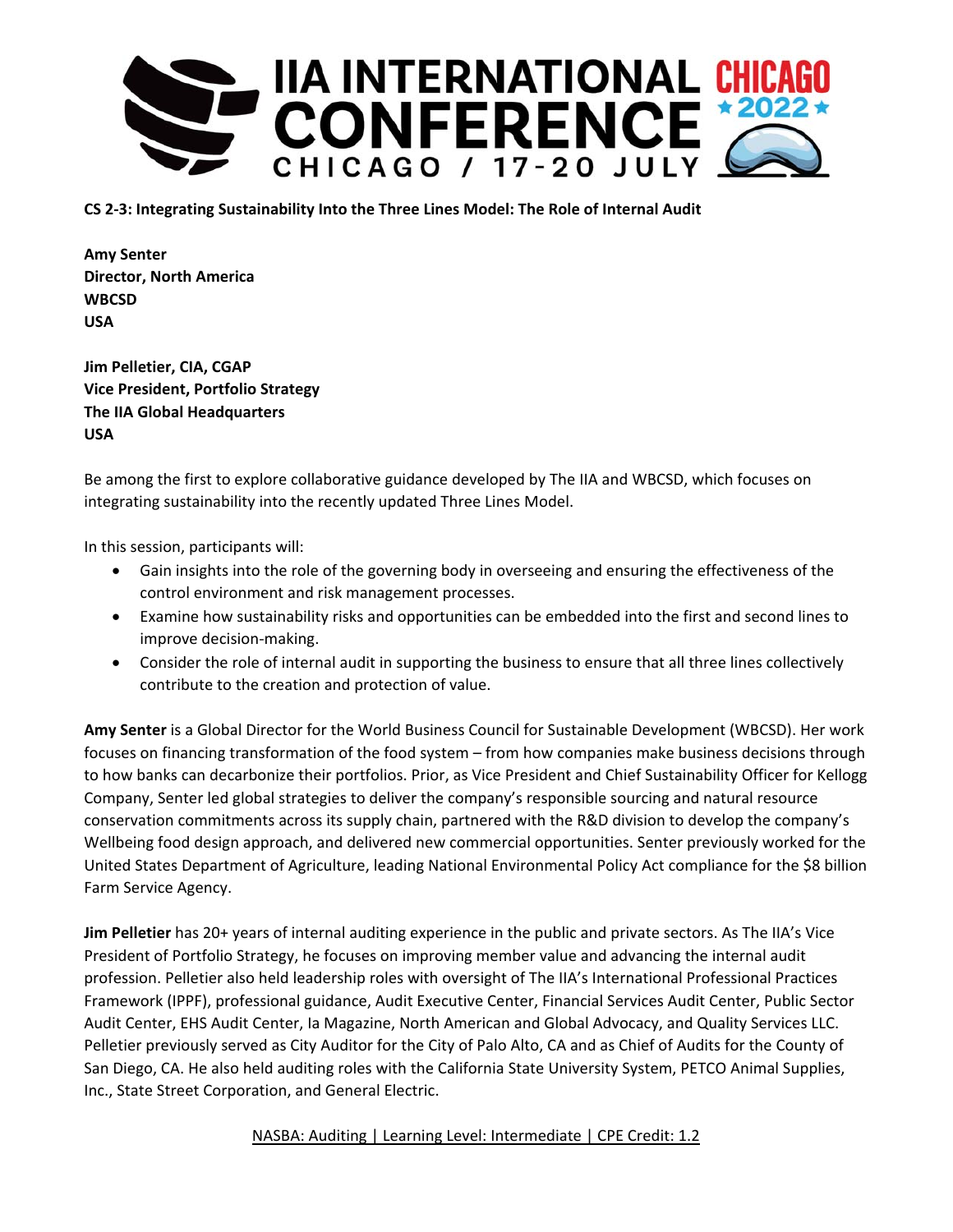

**CS 2‐3: Integrating Sustainability Into the Three Lines Model: The Role of Internal Audit** 

**Amy Senter Director, North America WBCSD USA** 

**Jim Pelletier, CIA, CGAP Vice President, Portfolio Strategy The IIA Global Headquarters USA** 

Be among the first to explore collaborative guidance developed by The IIA and WBCSD, which focuses on integrating sustainability into the recently updated Three Lines Model.

In this session, participants will:

- Gain insights into the role of the governing body in overseeing and ensuring the effectiveness of the control environment and risk management processes.
- Examine how sustainability risks and opportunities can be embedded into the first and second lines to improve decision‐making.
- Consider the role of internal audit in supporting the business to ensure that all three lines collectively contribute to the creation and protection of value.

**Amy Senter** is a Global Director for the World Business Council for Sustainable Development (WBCSD). Her work focuses on financing transformation of the food system – from how companies make business decisions through to how banks can decarbonize their portfolios. Prior, as Vice President and Chief Sustainability Officer for Kellogg Company, Senter led global strategies to deliver the company's responsible sourcing and natural resource conservation commitments across its supply chain, partnered with the R&D division to develop the company's Wellbeing food design approach, and delivered new commercial opportunities. Senter previously worked for the United States Department of Agriculture, leading National Environmental Policy Act compliance for the \$8 billion Farm Service Agency.

**Jim Pelletier** has 20+ years of internal auditing experience in the public and private sectors. As The IIA's Vice President of Portfolio Strategy, he focuses on improving member value and advancing the internal audit profession. Pelletier also held leadership roles with oversight of The IIA's International Professional Practices Framework (IPPF), professional guidance, Audit Executive Center, Financial Services Audit Center, Public Sector Audit Center, EHS Audit Center, Ia Magazine, North American and Global Advocacy, and Quality Services LLC. Pelletier previously served as City Auditor for the City of Palo Alto, CA and as Chief of Audits for the County of San Diego, CA. He also held auditing roles with the California State University System, PETCO Animal Supplies, Inc., State Street Corporation, and General Electric.

NASBA: Auditing | Learning Level: Intermediate | CPE Credit: 1.2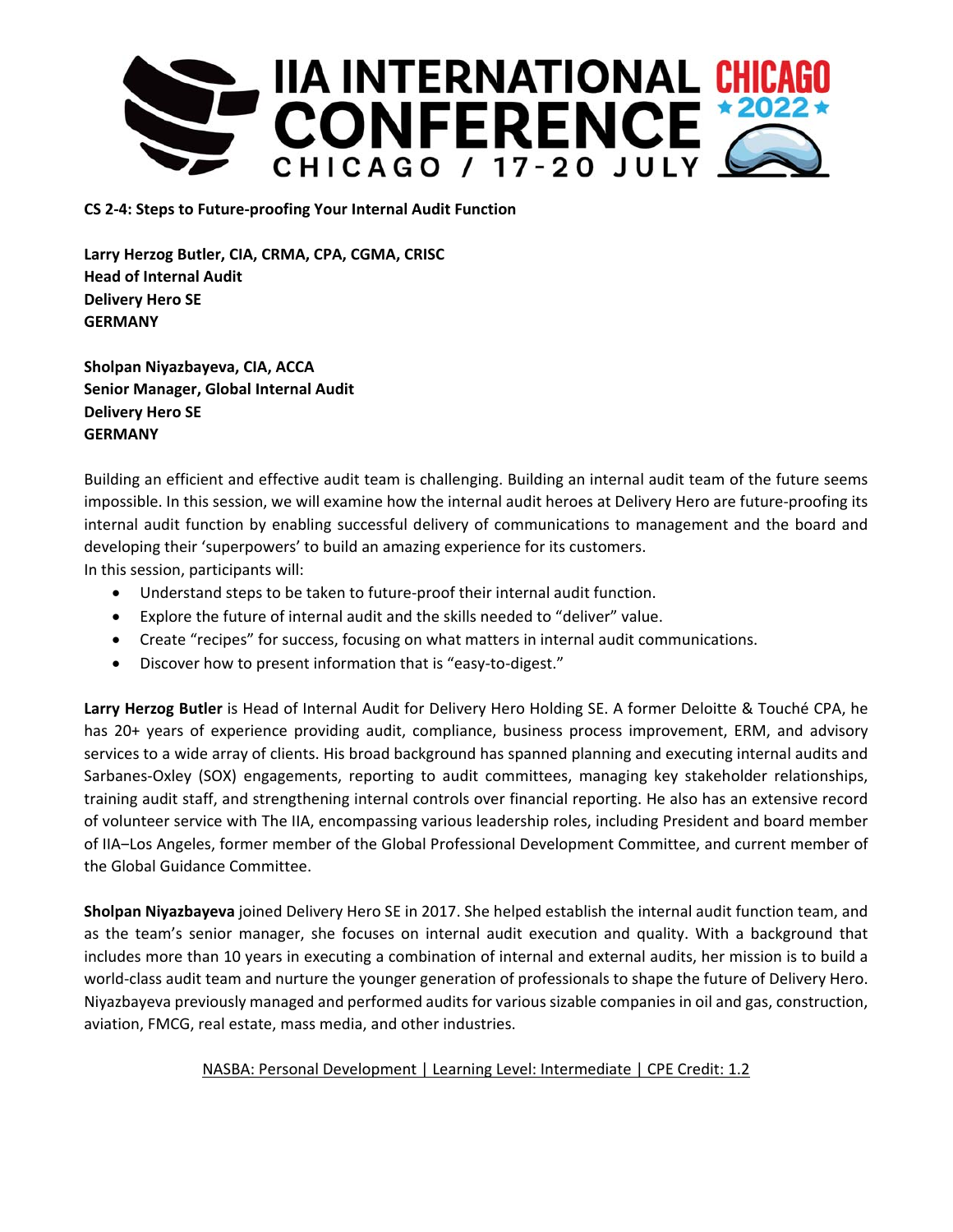

**CS 2‐4: Steps to Future‐proofing Your Internal Audit Function** 

**Larry Herzog Butler, CIA, CRMA, CPA, CGMA, CRISC Head of Internal Audit Delivery Hero SE GERMANY** 

**Sholpan Niyazbayeva, CIA, ACCA Senior Manager, Global Internal Audit Delivery Hero SE GERMANY** 

Building an efficient and effective audit team is challenging. Building an internal audit team of the future seems impossible. In this session, we will examine how the internal audit heroes at Delivery Hero are future‐proofing its internal audit function by enabling successful delivery of communications to management and the board and developing their 'superpowers' to build an amazing experience for its customers.

In this session, participants will:

- Understand steps to be taken to future‐proof their internal audit function.
- Explore the future of internal audit and the skills needed to "deliver" value.
- Create "recipes" for success, focusing on what matters in internal audit communications.
- Discover how to present information that is "easy-to-digest."

**Larry Herzog Butler** is Head of Internal Audit for Delivery Hero Holding SE. A former Deloitte & Touché CPA, he has 20+ years of experience providing audit, compliance, business process improvement, ERM, and advisory services to a wide array of clients. His broad background has spanned planning and executing internal audits and Sarbanes‐Oxley (SOX) engagements, reporting to audit committees, managing key stakeholder relationships, training audit staff, and strengthening internal controls over financial reporting. He also has an extensive record of volunteer service with The IIA, encompassing various leadership roles, including President and board member of IIA-Los Angeles, former member of the Global Professional Development Committee, and current member of the Global Guidance Committee.

**Sholpan Niyazbayeva** joined Delivery Hero SE in 2017. She helped establish the internal audit function team, and as the team's senior manager, she focuses on internal audit execution and quality. With a background that includes more than 10 years in executing a combination of internal and external audits, her mission is to build a world-class audit team and nurture the younger generation of professionals to shape the future of Delivery Hero. Niyazbayeva previously managed and performed audits for various sizable companies in oil and gas, construction, aviation, FMCG, real estate, mass media, and other industries.

## NASBA: Personal Development | Learning Level: Intermediate | CPE Credit: 1.2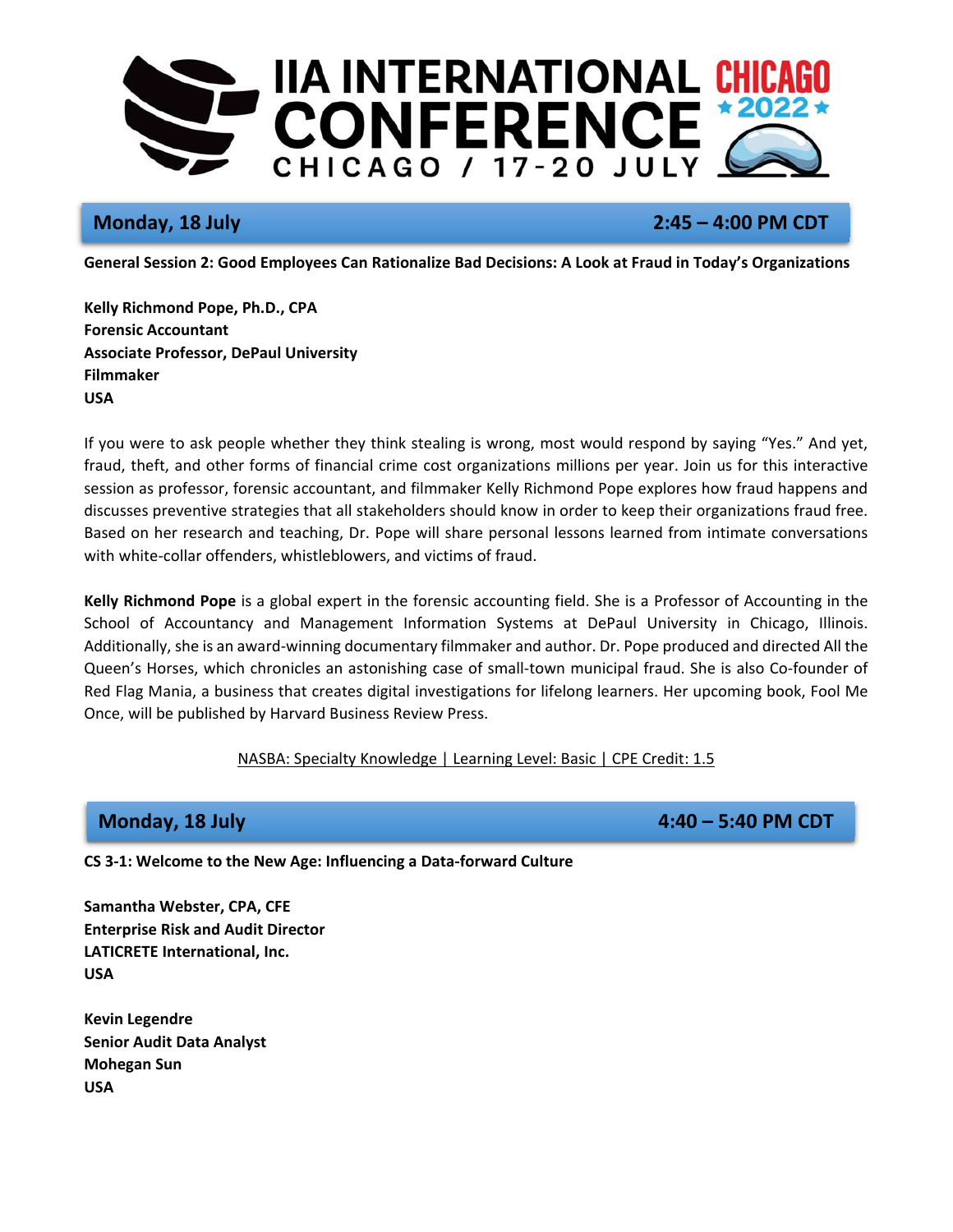

# **Monday, 18 July 19 July 2:45 – 4:00 PM CDT**

**General Session 2: Good Employees Can Rationalize Bad Decisions: A Look at Fraud in Today's Organizations** 

**Kelly Richmond Pope, Ph.D., CPA Forensic Accountant Associate Professor, DePaul University Filmmaker USA** 

If you were to ask people whether they think stealing is wrong, most would respond by saying "Yes." And yet, fraud, theft, and other forms of financial crime cost organizations millions per year. Join us for this interactive session as professor, forensic accountant, and filmmaker Kelly Richmond Pope explores how fraud happens and discusses preventive strategies that all stakeholders should know in order to keep their organizations fraud free. Based on her research and teaching, Dr. Pope will share personal lessons learned from intimate conversations with white-collar offenders, whistleblowers, and victims of fraud.

**Kelly Richmond Pope** is a global expert in the forensic accounting field. She is a Professor of Accounting in the School of Accountancy and Management Information Systems at DePaul University in Chicago, Illinois. Additionally, she is an award‐winning documentary filmmaker and author. Dr. Pope produced and directed All the Queen's Horses, which chronicles an astonishing case of small‐town municipal fraud. She is also Co‐founder of Red Flag Mania, a business that creates digital investigations for lifelong learners. Her upcoming book, Fool Me Once, will be published by Harvard Business Review Press.

## NASBA: Specialty Knowledge | Learning Level: Basic | CPE Credit: 1.5

**Monday, 18 July 19 July 19 July 2006 10 Automatic State 10 Automatic Property 2008 10 Automatic Property 2008** 

**CS 3‐1: Welcome to the New Age: Influencing a Data‐forward Culture** 

**Samantha Webster, CPA, CFE Enterprise Risk and Audit Director LATICRETE International, Inc. USA** 

**Kevin Legendre Senior Audit Data Analyst Mohegan Sun USA**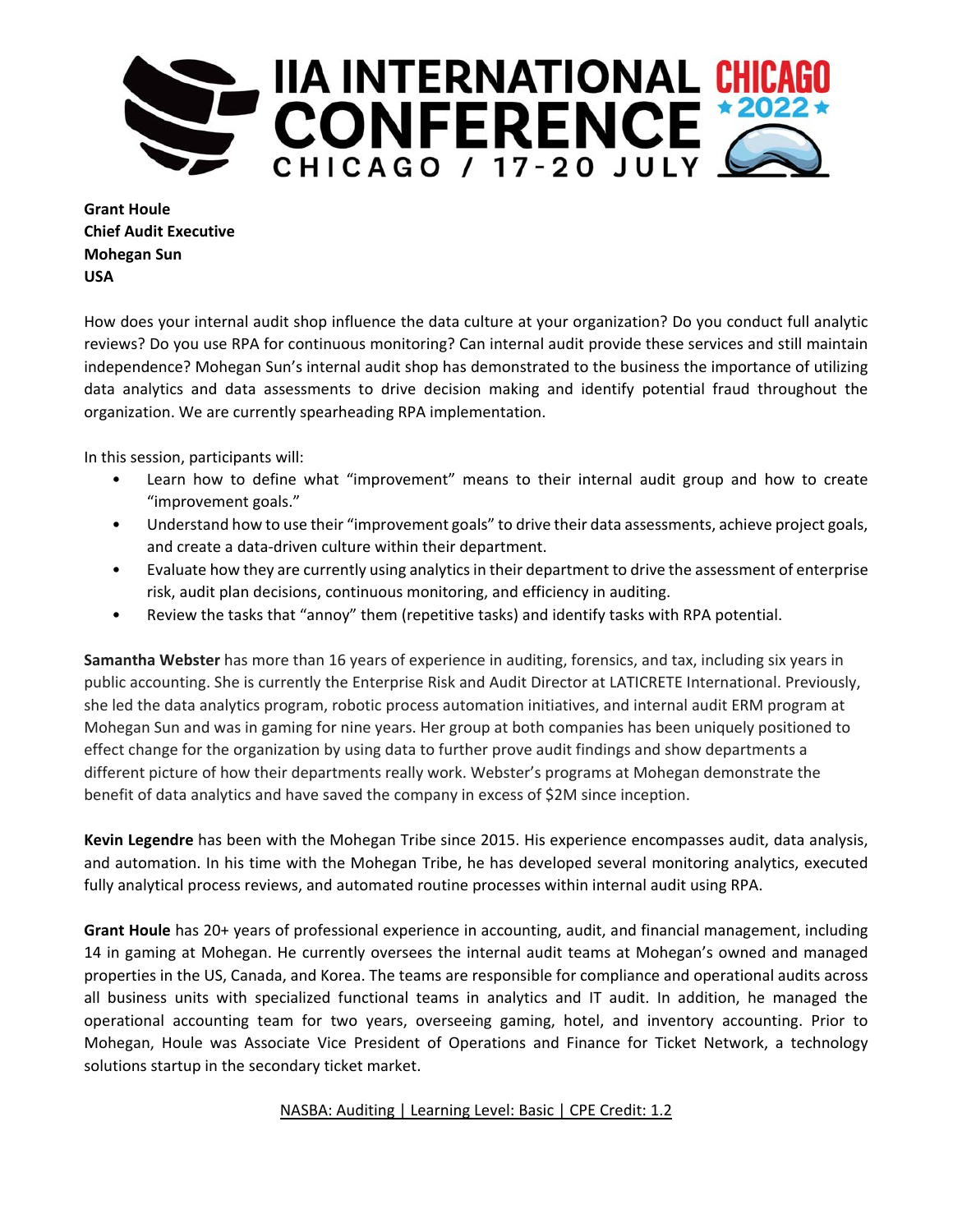

**Grant Houle Chief Audit Executive Mohegan Sun USA** 

How does your internal audit shop influence the data culture at your organization? Do you conduct full analytic reviews? Do you use RPA for continuous monitoring? Can internal audit provide these services and still maintain independence? Mohegan Sun's internal audit shop has demonstrated to the business the importance of utilizing data analytics and data assessments to drive decision making and identify potential fraud throughout the organization. We are currently spearheading RPA implementation.

In this session, participants will:

- Learn how to define what "improvement" means to their internal audit group and how to create "improvement goals."
- Understand how to use their "improvement goals" to drive their data assessments, achieve project goals, and create a data‐driven culture within their department.
- Evaluate how they are currently using analytics in their department to drive the assessment of enterprise risk, audit plan decisions, continuous monitoring, and efficiency in auditing.
- Review the tasks that "annoy" them (repetitive tasks) and identify tasks with RPA potential.

**Samantha Webster** has more than 16 years of experience in auditing, forensics, and tax, including six years in public accounting. She is currently the Enterprise Risk and Audit Director at LATICRETE International. Previously, she led the data analytics program, robotic process automation initiatives, and internal audit ERM program at Mohegan Sun and was in gaming for nine years. Her group at both companies has been uniquely positioned to effect change for the organization by using data to further prove audit findings and show departments a different picture of how their departments really work. Webster's programs at Mohegan demonstrate the benefit of data analytics and have saved the company in excess of \$2M since inception.

**Kevin Legendre** has been with the Mohegan Tribe since 2015. His experience encompasses audit, data analysis, and automation. In his time with the Mohegan Tribe, he has developed several monitoring analytics, executed fully analytical process reviews, and automated routine processes within internal audit using RPA.

**Grant Houle** has 20+ years of professional experience in accounting, audit, and financial management, including 14 in gaming at Mohegan. He currently oversees the internal audit teams at Mohegan's owned and managed properties in the US, Canada, and Korea. The teams are responsible for compliance and operational audits across all business units with specialized functional teams in analytics and IT audit. In addition, he managed the operational accounting team for two years, overseeing gaming, hotel, and inventory accounting. Prior to Mohegan, Houle was Associate Vice President of Operations and Finance for Ticket Network, a technology solutions startup in the secondary ticket market.

NASBA: Auditing | Learning Level: Basic | CPE Credit: 1.2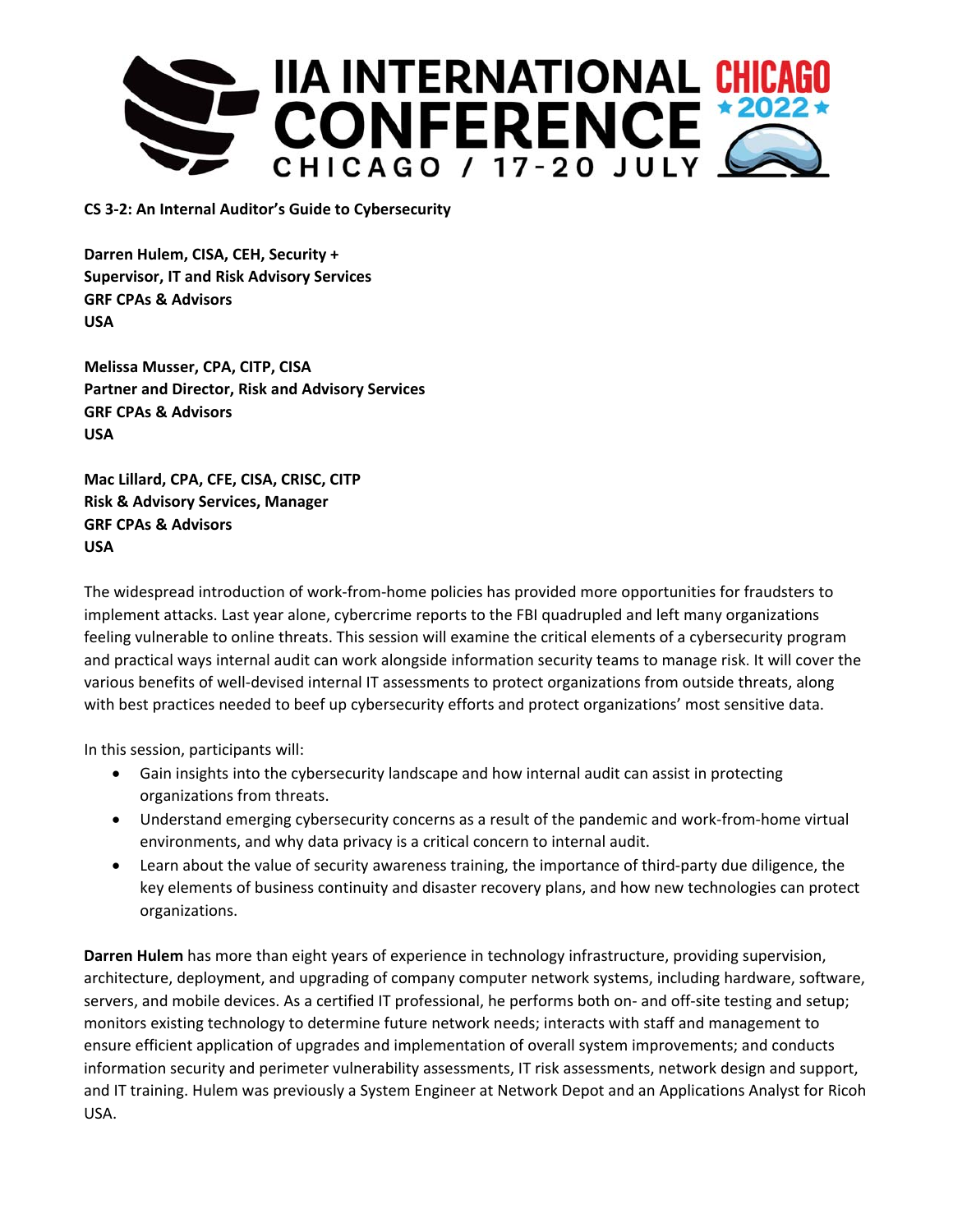

**CS 3‐2: An Internal Auditor's Guide to Cybersecurity** 

**Darren Hulem, CISA, CEH, Security + Supervisor, IT and Risk Advisory Services GRF CPAs & Advisors USA** 

**Melissa Musser, CPA, CITP, CISA Partner and Director, Risk and Advisory Services GRF CPAs & Advisors USA** 

**Mac Lillard, CPA, CFE, CISA, CRISC, CITP Risk & Advisory Services, Manager GRF CPAs & Advisors USA** 

The widespread introduction of work‐from‐home policies has provided more opportunities for fraudsters to implement attacks. Last year alone, cybercrime reports to the FBI quadrupled and left many organizations feeling vulnerable to online threats. This session will examine the critical elements of a cybersecurity program and practical ways internal audit can work alongside information security teams to manage risk. It will cover the various benefits of well‐devised internal IT assessments to protect organizations from outside threats, along with best practices needed to beef up cybersecurity efforts and protect organizations' most sensitive data.

In this session, participants will:

- Gain insights into the cybersecurity landscape and how internal audit can assist in protecting organizations from threats.
- Understand emerging cybersecurity concerns as a result of the pandemic and work-from-home virtual environments, and why data privacy is a critical concern to internal audit.
- Learn about the value of security awareness training, the importance of third-party due diligence, the key elements of business continuity and disaster recovery plans, and how new technologies can protect organizations.

**Darren Hulem** has more than eight years of experience in technology infrastructure, providing supervision, architecture, deployment, and upgrading of company computer network systems, including hardware, software, servers, and mobile devices. As a certified IT professional, he performs both on- and off-site testing and setup; monitors existing technology to determine future network needs; interacts with staff and management to ensure efficient application of upgrades and implementation of overall system improvements; and conducts information security and perimeter vulnerability assessments, IT risk assessments, network design and support, and IT training. Hulem was previously a System Engineer at Network Depot and an Applications Analyst for Ricoh USA.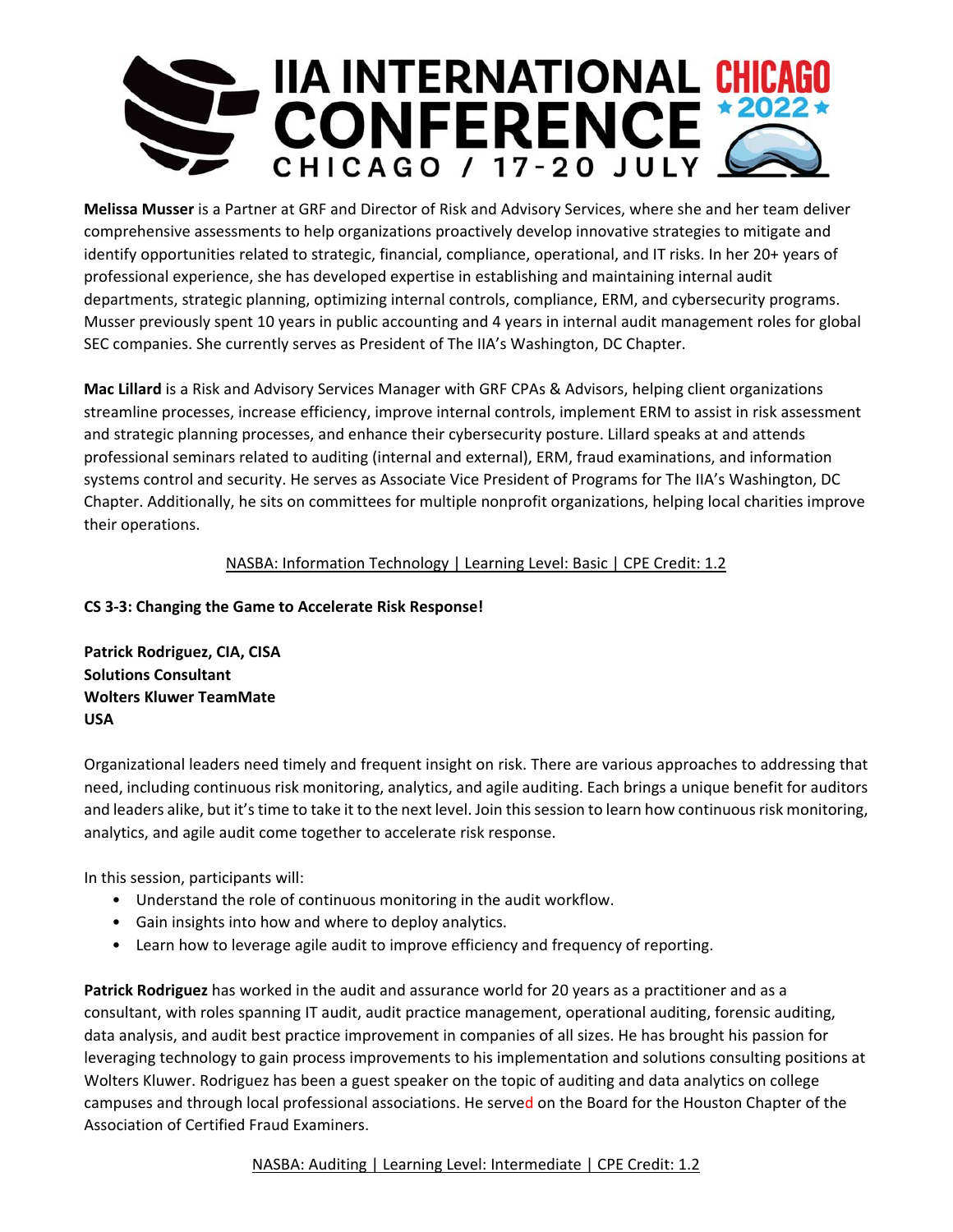

**Melissa Musser** is a Partner at GRF and Director of Risk and Advisory Services, where she and her team deliver comprehensive assessments to help organizations proactively develop innovative strategies to mitigate and identify opportunities related to strategic, financial, compliance, operational, and IT risks. In her 20+ years of professional experience, she has developed expertise in establishing and maintaining internal audit departments, strategic planning, optimizing internal controls, compliance, ERM, and cybersecurity programs. Musser previously spent 10 years in public accounting and 4 years in internal audit management roles for global SEC companies. She currently serves as President of The IIA's Washington, DC Chapter.

**Mac Lillard** is a Risk and Advisory Services Manager with GRF CPAs & Advisors, helping client organizations streamline processes, increase efficiency, improve internal controls, implement ERM to assist in risk assessment and strategic planning processes, and enhance their cybersecurity posture. Lillard speaks at and attends professional seminars related to auditing (internal and external), ERM, fraud examinations, and information systems control and security. He serves as Associate Vice President of Programs for The IIA's Washington, DC Chapter. Additionally, he sits on committees for multiple nonprofit organizations, helping local charities improve their operations.

## NASBA: Information Technology | Learning Level: Basic | CPE Credit: 1.2

## **CS 3‐3: Changing the Game to Accelerate Risk Response!**

**Patrick Rodriguez, CIA, CISA Solutions Consultant Wolters Kluwer TeamMate USA** 

Organizational leaders need timely and frequent insight on risk. There are various approaches to addressing that need, including continuous risk monitoring, analytics, and agile auditing. Each brings a unique benefit for auditors and leaders alike, but it's time to take it to the next level. Join this session to learn how continuous risk monitoring, analytics, and agile audit come together to accelerate risk response.

In this session, participants will:

- Understand the role of continuous monitoring in the audit workflow.
- Gain insights into how and where to deploy analytics.
- Learn how to leverage agile audit to improve efficiency and frequency of reporting.

**Patrick Rodriguez** has worked in the audit and assurance world for 20 years as a practitioner and as a consultant, with roles spanning IT audit, audit practice management, operational auditing, forensic auditing, data analysis, and audit best practice improvement in companies of all sizes. He has brought his passion for leveraging technology to gain process improvements to his implementation and solutions consulting positions at Wolters Kluwer. Rodriguez has been a guest speaker on the topic of auditing and data analytics on college campuses and through local professional associations. He served on the Board for the Houston Chapter of the Association of Certified Fraud Examiners.

## NASBA: Auditing | Learning Level: Intermediate | CPE Credit: 1.2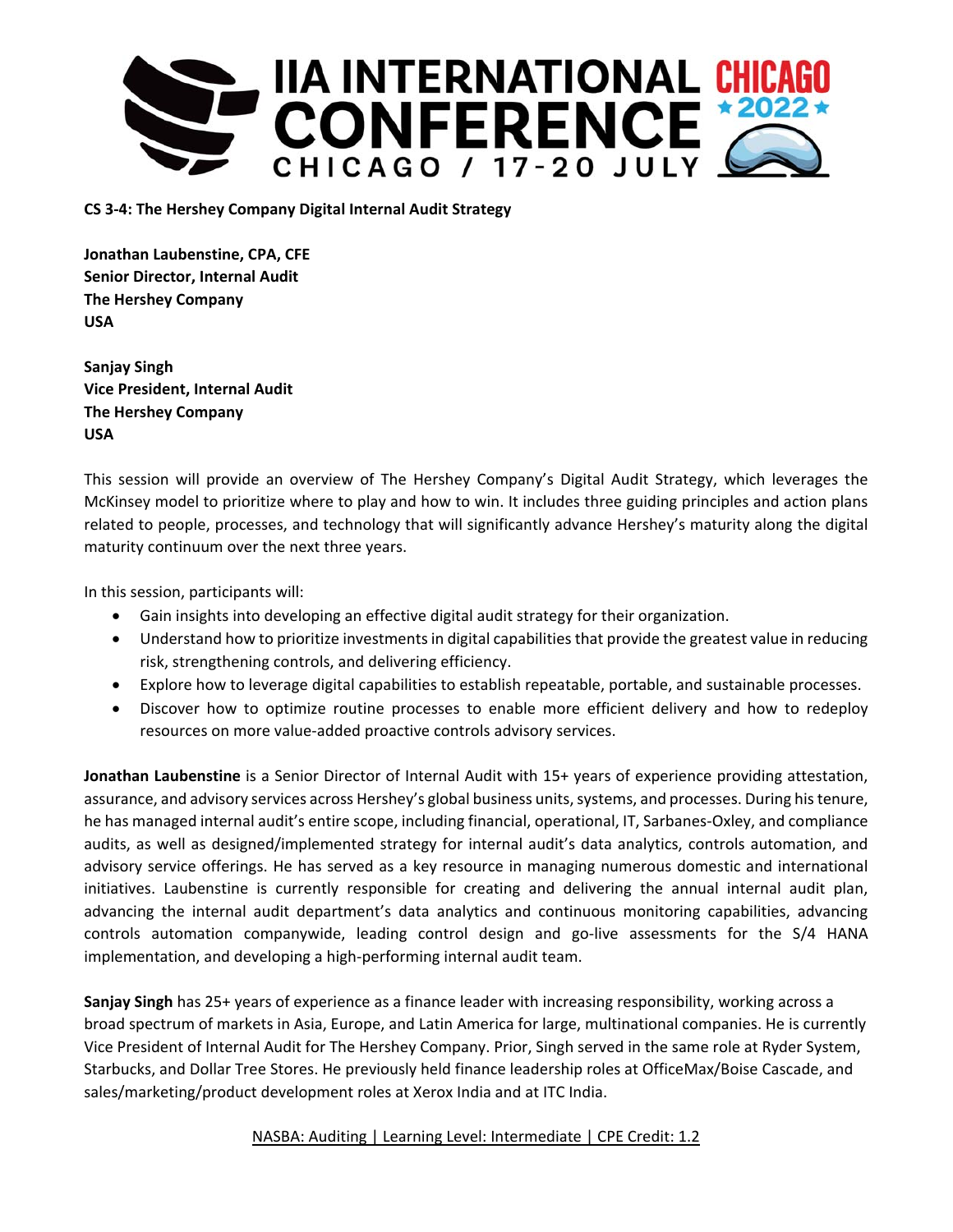

**CS 3‐4: The Hershey Company Digital Internal Audit Strategy** 

**Jonathan Laubenstine, CPA, CFE Senior Director, Internal Audit The Hershey Company USA** 

**Sanjay Singh Vice President, Internal Audit The Hershey Company USA** 

This session will provide an overview of The Hershey Company's Digital Audit Strategy, which leverages the McKinsey model to prioritize where to play and how to win. It includes three guiding principles and action plans related to people, processes, and technology that will significantly advance Hershey's maturity along the digital maturity continuum over the next three years.

In this session, participants will:

- Gain insights into developing an effective digital audit strategy for their organization.
- Understand how to prioritize investments in digital capabilities that provide the greatest value in reducing risk, strengthening controls, and delivering efficiency.
- Explore how to leverage digital capabilities to establish repeatable, portable, and sustainable processes.
- Discover how to optimize routine processes to enable more efficient delivery and how to redeploy resources on more value‐added proactive controls advisory services.

**Jonathan Laubenstine** is a Senior Director of Internal Audit with 15+ years of experience providing attestation, assurance, and advisory services across Hershey's global business units, systems, and processes. During his tenure, he has managed internal audit's entire scope, including financial, operational, IT, Sarbanes-Oxley, and compliance audits, as well as designed/implemented strategy for internal audit's data analytics, controls automation, and advisory service offerings. He has served as a key resource in managing numerous domestic and international initiatives. Laubenstine is currently responsible for creating and delivering the annual internal audit plan, advancing the internal audit department's data analytics and continuous monitoring capabilities, advancing controls automation companywide, leading control design and go-live assessments for the S/4 HANA implementation, and developing a high‐performing internal audit team.

**Sanjay Singh** has 25+ years of experience as a finance leader with increasing responsibility, working across a broad spectrum of markets in Asia, Europe, and Latin America for large, multinational companies. He is currently Vice President of Internal Audit for The Hershey Company. Prior, Singh served in the same role at Ryder System, Starbucks, and Dollar Tree Stores. He previously held finance leadership roles at OfficeMax/Boise Cascade, and sales/marketing/product development roles at Xerox India and at ITC India.

NASBA: Auditing | Learning Level: Intermediate | CPE Credit: 1.2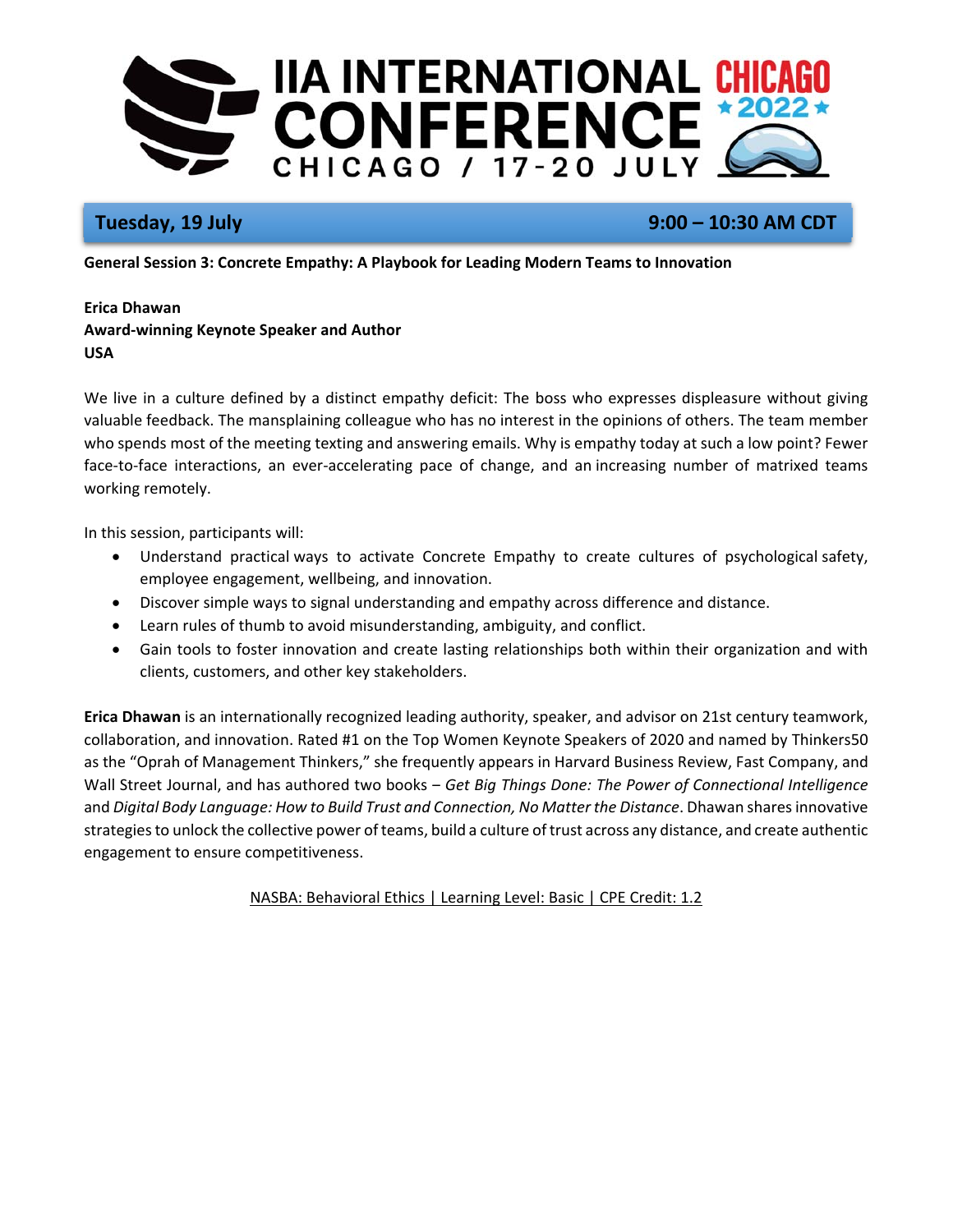

# **Tuesday, 19 July 9:00 – 10:30 AM CDT**

**General Session 3: Concrete Empathy: A Playbook for Leading Modern Teams to Innovation** 

## **Erica Dhawan Award‐winning Keynote Speaker and Author USA**

We live in a culture defined by a distinct empathy deficit: The boss who expresses displeasure without giving valuable feedback. The mansplaining colleague who has no interest in the opinions of others. The team member who spends most of the meeting texting and answering emails. Why is empathy today at such a low point? Fewer face-to-face interactions, an ever-accelerating pace of change, and an increasing number of matrixed teams working remotely.

In this session, participants will:

- Understand practical ways to activate Concrete Empathy to create cultures of psychological safety, employee engagement, wellbeing, and innovation.
- Discover simple ways to signal understanding and empathy across difference and distance.
- Learn rules of thumb to avoid misunderstanding, ambiguity, and conflict.
- Gain tools to foster innovation and create lasting relationships both within their organization and with clients, customers, and other key stakeholders.

**Erica Dhawan** is an internationally recognized leading authority, speaker, and advisor on 21st century teamwork, collaboration, and innovation. Rated #1 on the Top Women Keynote Speakers of 2020 and named by Thinkers50 as the "Oprah of Management Thinkers," she frequently appears in Harvard Business Review, Fast Company, and Wall Street Journal, and has authored two books – *Get Big Things Done: The Power of Connectional Intelligence* and *Digital Body Language: How to Build Trust and Connection, No Matter the Distance*. Dhawan shares innovative strategies to unlock the collective power of teams, build a culture of trust across any distance, and create authentic engagement to ensure competitiveness.

NASBA: Behavioral Ethics | Learning Level: Basic | CPE Credit: 1.2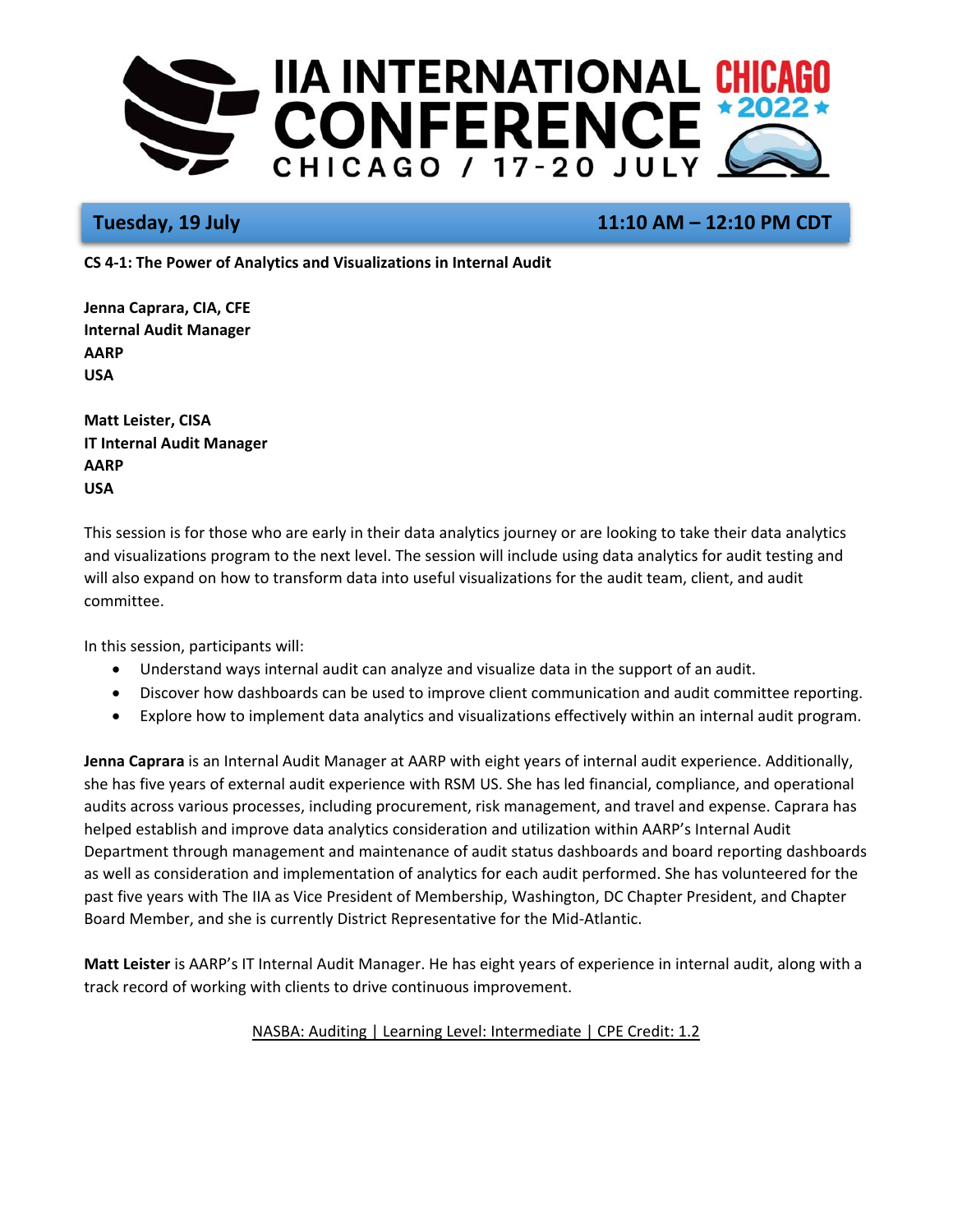

# **Tuesday, 19 July 11:10 AM – 12:10 PM CDT**

**CS 4‐1: The Power of Analytics and Visualizations in Internal Audit** 

**Jenna Caprara, CIA, CFE Internal Audit Manager AARP USA** 

**Matt Leister, CISA IT Internal Audit Manager AARP USA** 

This session is for those who are early in their data analytics journey or are looking to take their data analytics and visualizations program to the next level. The session will include using data analytics for audit testing and will also expand on how to transform data into useful visualizations for the audit team, client, and audit committee.

In this session, participants will:

- Understand ways internal audit can analyze and visualize data in the support of an audit.
- Discover how dashboards can be used to improve client communication and audit committee reporting.
- Explore how to implement data analytics and visualizations effectively within an internal audit program.

**Jenna Caprara** is an Internal Audit Manager at AARP with eight years of internal audit experience. Additionally, she has five years of external audit experience with RSM US. She has led financial, compliance, and operational audits across various processes, including procurement, risk management, and travel and expense. Caprara has helped establish and improve data analytics consideration and utilization within AARP's Internal Audit Department through management and maintenance of audit status dashboards and board reporting dashboards as well as consideration and implementation of analytics for each audit performed. She has volunteered for the past five years with The IIA as Vice President of Membership, Washington, DC Chapter President, and Chapter Board Member, and she is currently District Representative for the Mid‐Atlantic.

**Matt Leister** is AARP's IT Internal Audit Manager. He has eight years of experience in internal audit, along with a track record of working with clients to drive continuous improvement.

## NASBA: Auditing | Learning Level: Intermediate | CPE Credit: 1.2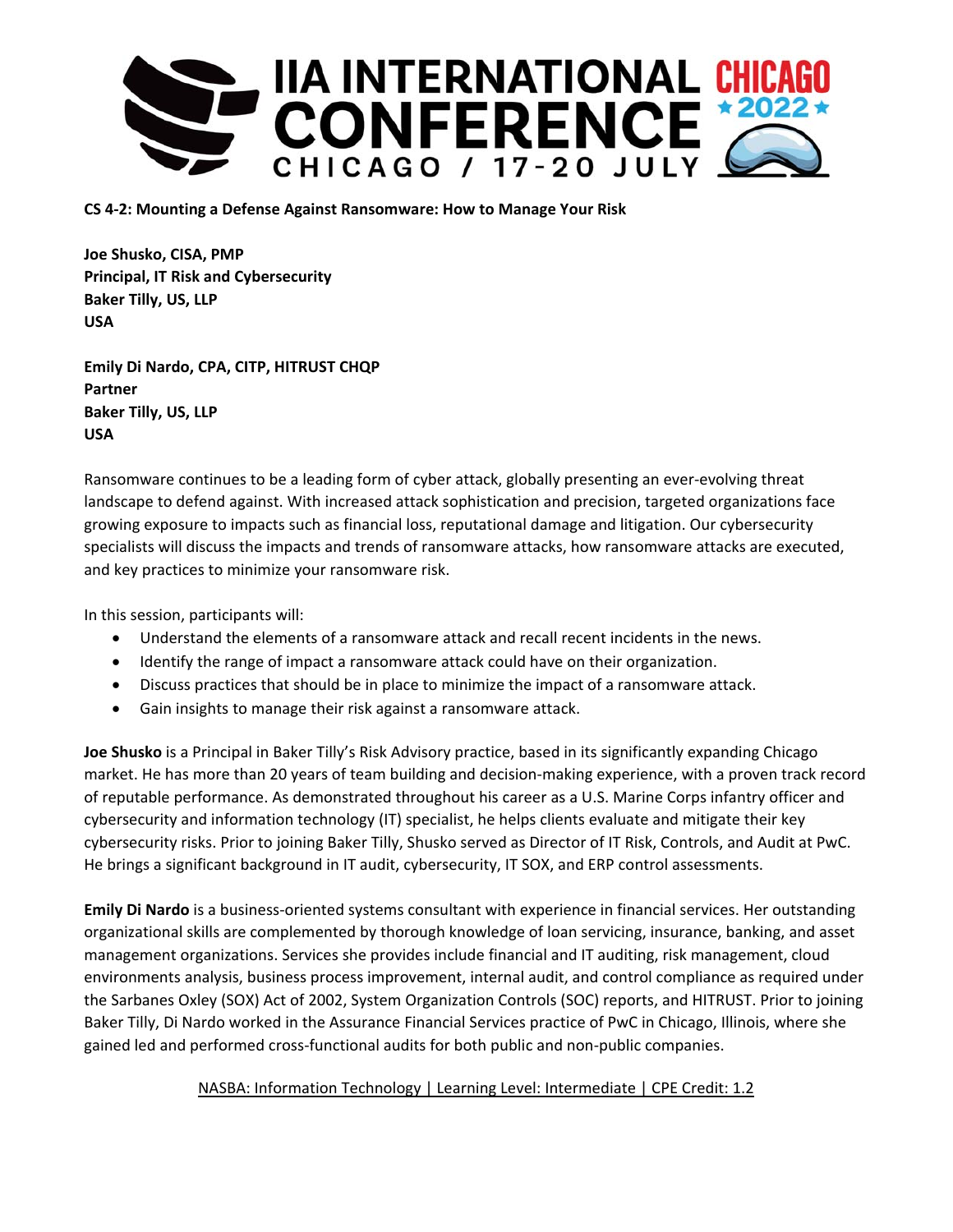

**CS 4‐2: Mounting a Defense Against Ransomware: How to Manage Your Risk** 

**Joe Shusko, CISA, PMP Principal, IT Risk and Cybersecurity Baker Tilly, US, LLP USA** 

**Emily Di Nardo, CPA, CITP, HITRUST CHQP Partner Baker Tilly, US, LLP USA** 

Ransomware continues to be a leading form of cyber attack, globally presenting an ever‐evolving threat landscape to defend against. With increased attack sophistication and precision, targeted organizations face growing exposure to impacts such as financial loss, reputational damage and litigation. Our cybersecurity specialists will discuss the impacts and trends of ransomware attacks, how ransomware attacks are executed, and key practices to minimize your ransomware risk.

In this session, participants will:

- Understand the elements of a ransomware attack and recall recent incidents in the news.
- Identify the range of impact a ransomware attack could have on their organization.
- Discuss practices that should be in place to minimize the impact of a ransomware attack.
- Gain insights to manage their risk against a ransomware attack.

**Joe Shusko** is a Principal in Baker Tilly's Risk Advisory practice, based in its significantly expanding Chicago market. He has more than 20 years of team building and decision‐making experience, with a proven track record of reputable performance. As demonstrated throughout his career as a U.S. Marine Corps infantry officer and cybersecurity and information technology (IT) specialist, he helps clients evaluate and mitigate their key cybersecurity risks. Prior to joining Baker Tilly, Shusko served as Director of IT Risk, Controls, and Audit at PwC. He brings a significant background in IT audit, cybersecurity, IT SOX, and ERP control assessments.

**Emily Di Nardo** is a business‐oriented systems consultant with experience in financial services. Her outstanding organizational skills are complemented by thorough knowledge of loan servicing, insurance, banking, and asset management organizations. Services she provides include financial and IT auditing, risk management, cloud environments analysis, business process improvement, internal audit, and control compliance as required under the Sarbanes Oxley (SOX) Act of 2002, System Organization Controls (SOC) reports, and HITRUST. Prior to joining Baker Tilly, Di Nardo worked in the Assurance Financial Services practice of PwC in Chicago, Illinois, where she gained led and performed cross-functional audits for both public and non-public companies.

## NASBA: Information Technology | Learning Level: Intermediate | CPE Credit: 1.2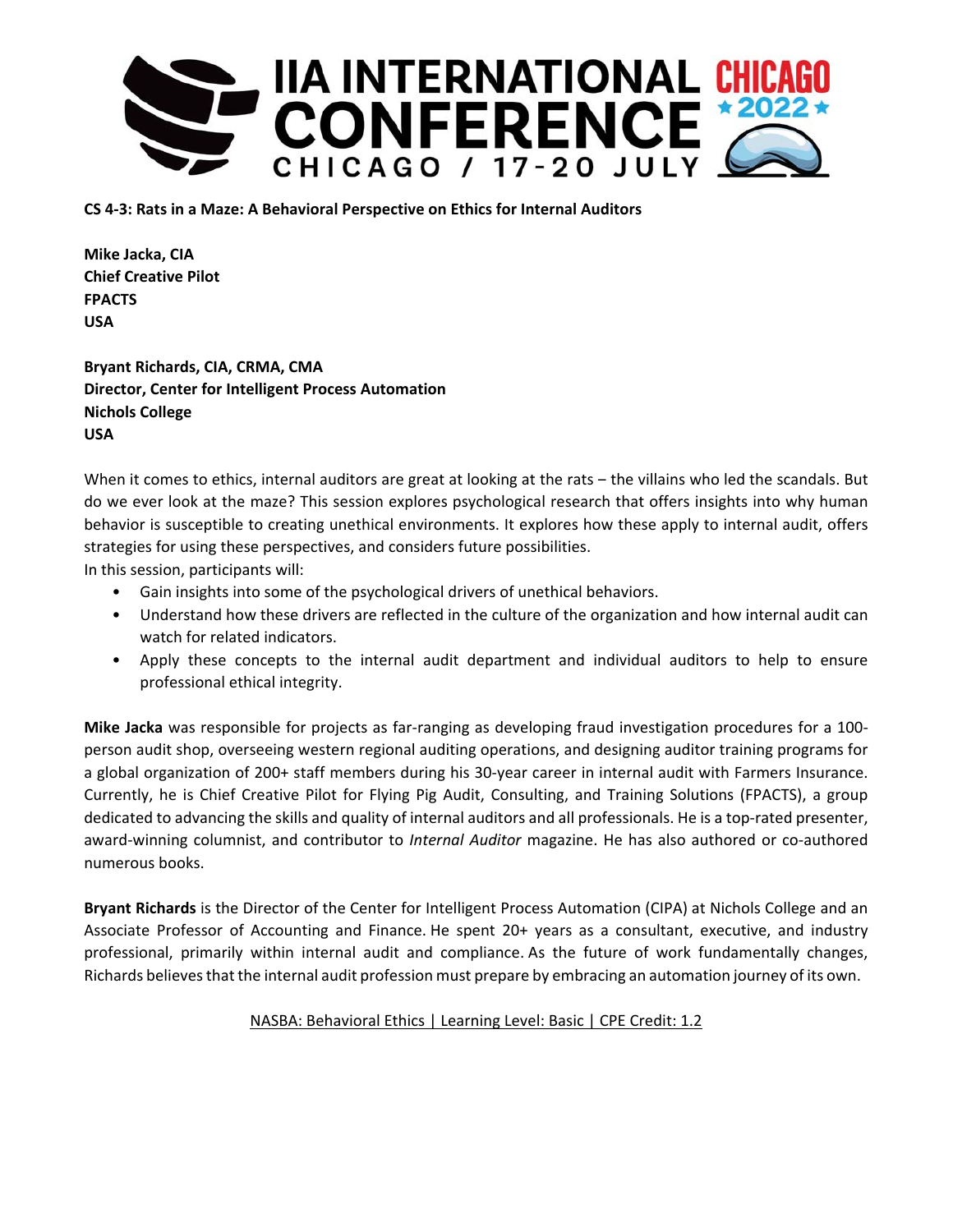

**CS 4‐3: Rats in a Maze: A Behavioral Perspective on Ethics for Internal Auditors** 

**Mike Jacka, CIA Chief Creative Pilot FPACTS USA** 

**Bryant Richards, CIA, CRMA, CMA Director, Center for Intelligent Process Automation Nichols College USA** 

When it comes to ethics, internal auditors are great at looking at the rats - the villains who led the scandals. But do we ever look at the maze? This session explores psychological research that offers insights into why human behavior is susceptible to creating unethical environments. It explores how these apply to internal audit, offers strategies for using these perspectives, and considers future possibilities.

In this session, participants will:

- Gain insights into some of the psychological drivers of unethical behaviors.
- Understand how these drivers are reflected in the culture of the organization and how internal audit can watch for related indicators.
- Apply these concepts to the internal audit department and individual auditors to help to ensure professional ethical integrity.

**Mike Jacka** was responsible for projects as far‐ranging as developing fraud investigation procedures for a 100‐ person audit shop, overseeing western regional auditing operations, and designing auditor training programs for a global organization of 200+ staff members during his 30‐year career in internal audit with Farmers Insurance. Currently, he is Chief Creative Pilot for Flying Pig Audit, Consulting, and Training Solutions (FPACTS), a group dedicated to advancing the skills and quality of internal auditors and all professionals. He is a top-rated presenter, award‐winning columnist, and contributor to *Internal Auditor* magazine. He has also authored or co‐authored numerous books.

**Bryant Richards** is the Director of the Center for Intelligent Process Automation (CIPA) at Nichols College and an Associate Professor of Accounting and Finance. He spent 20+ years as a consultant, executive, and industry professional, primarily within internal audit and compliance. As the future of work fundamentally changes, Richards believes that the internal audit profession must prepare by embracing an automation journey of its own.

## NASBA: Behavioral Ethics | Learning Level: Basic | CPE Credit: 1.2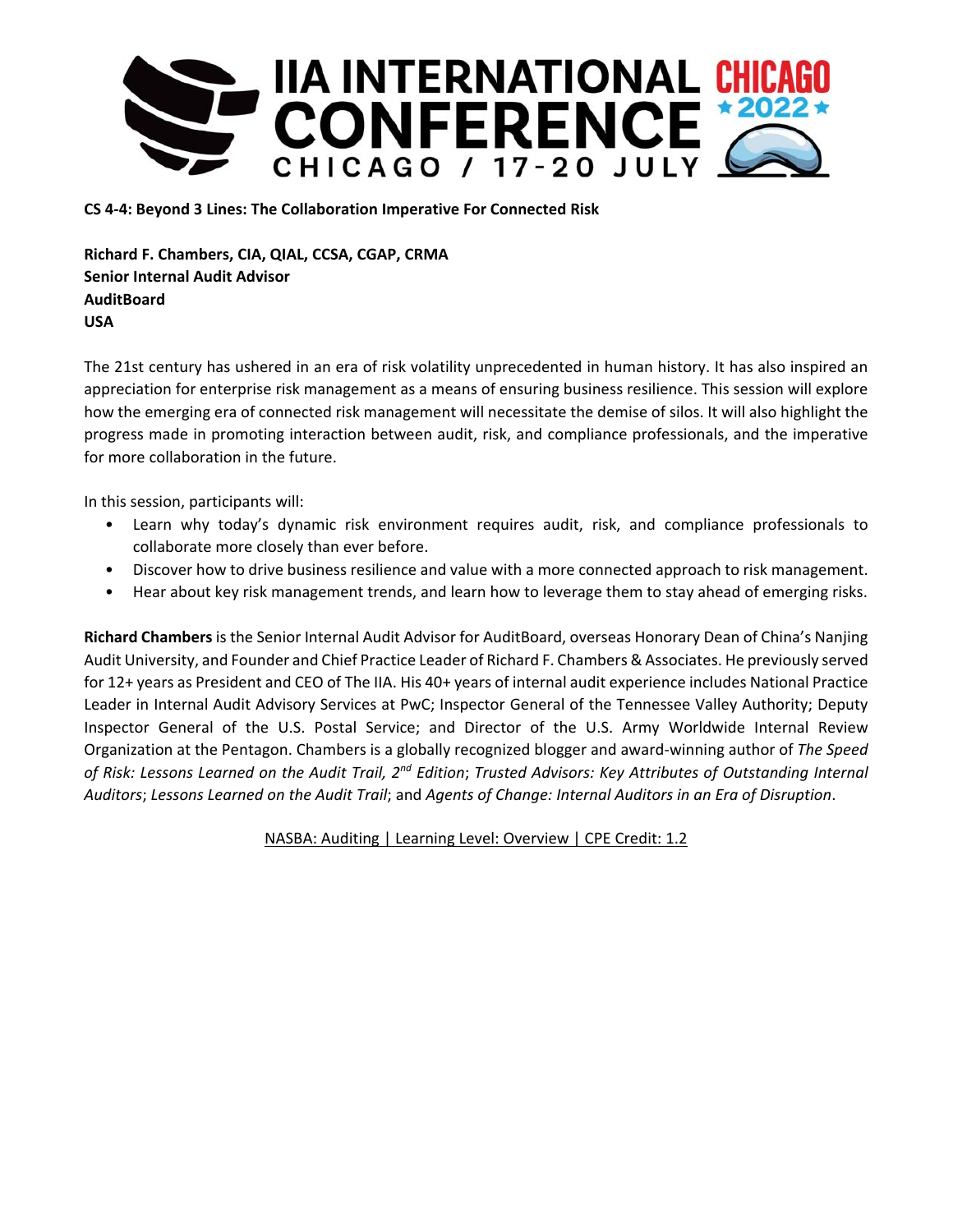

**CS 4‐4: Beyond 3 Lines: The Collaboration Imperative For Connected Risk** 

**Richard F. Chambers, CIA, QIAL, CCSA, CGAP, CRMA Senior Internal Audit Advisor AuditBoard USA** 

The 21st century has ushered in an era of risk volatility unprecedented in human history. It has also inspired an appreciation for enterprise risk management as a means of ensuring business resilience. This session will explore how the emerging era of connected risk management will necessitate the demise of silos. It will also highlight the progress made in promoting interaction between audit, risk, and compliance professionals, and the imperative for more collaboration in the future.

In this session, participants will:

- Learn why today's dynamic risk environment requires audit, risk, and compliance professionals to collaborate more closely than ever before.
- Discover how to drive business resilience and value with a more connected approach to risk management.
- Hear about key risk management trends, and learn how to leverage them to stay ahead of emerging risks.

**Richard Chambers** is the Senior Internal Audit Advisor for AuditBoard, overseas Honorary Dean of China's Nanjing Audit University, and Founder and Chief Practice Leader of Richard F. Chambers & Associates. He previously served for 12+ years as President and CEO of The IIA. His 40+ years of internal audit experience includes National Practice Leader in Internal Audit Advisory Services at PwC; Inspector General of the Tennessee Valley Authority; Deputy Inspector General of the U.S. Postal Service; and Director of the U.S. Army Worldwide Internal Review Organization at the Pentagon. Chambers is a globally recognized blogger and award‐winning author of *The Speed of Risk: Lessons Learned on the Audit Trail, 2nd Edition*; *Trusted Advisors: Key Attributes of Outstanding Internal Auditors*; *Lessons Learned on the Audit Trail*; and *Agents of Change: Internal Auditors in an Era of Disruption*.

NASBA: Auditing | Learning Level: Overview | CPE Credit: 1.2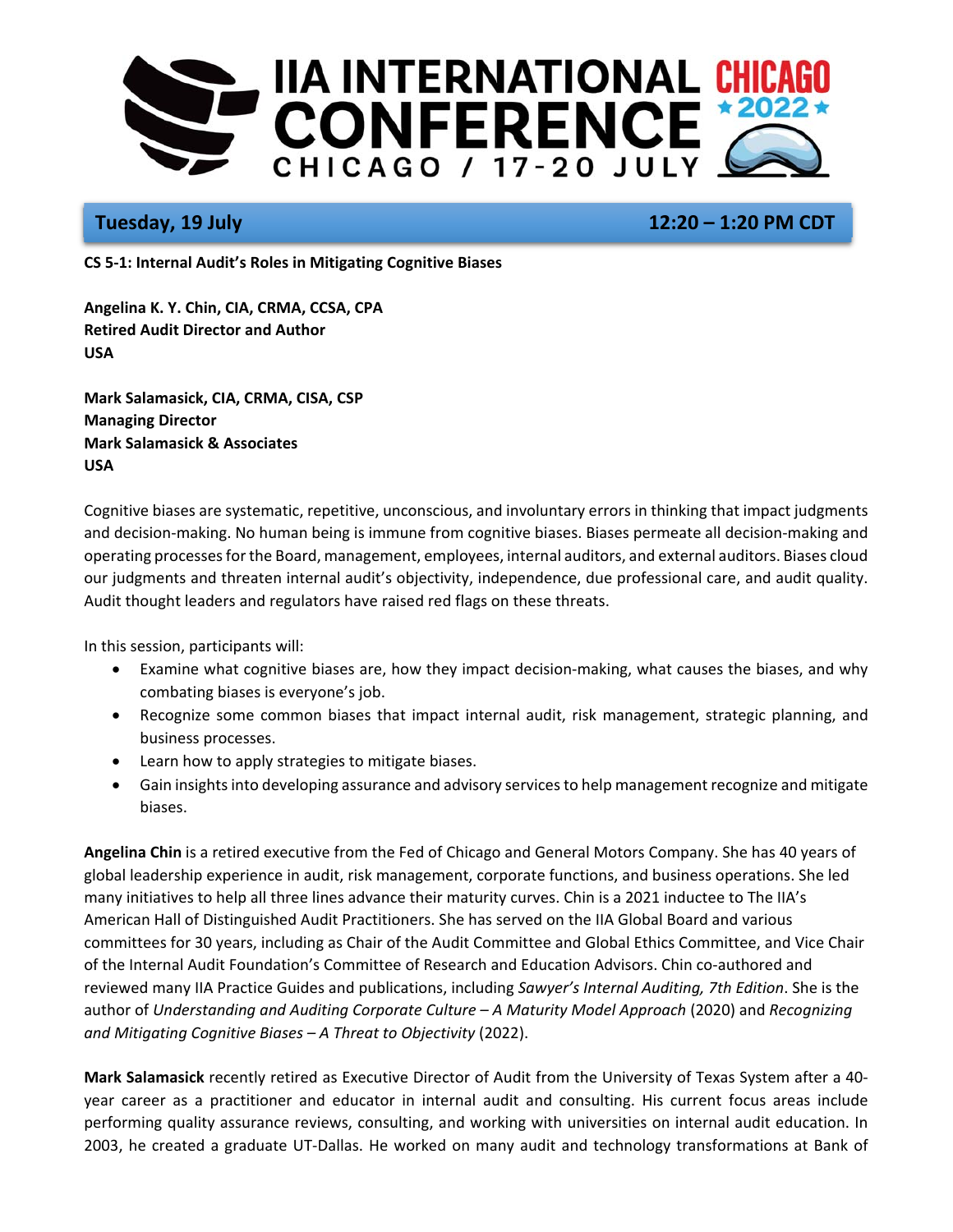

# **Tuesday, 19 July 12:20 – 1:20 PM CDT**

**CS 5‐1: Internal Audit's Roles in Mitigating Cognitive Biases** 

**Angelina K. Y. Chin, CIA, CRMA, CCSA, CPA Retired Audit Director and Author USA** 

**Mark Salamasick, CIA, CRMA, CISA, CSP Managing Director Mark Salamasick & Associates USA** 

Cognitive biases are systematic, repetitive, unconscious, and involuntary errors in thinking that impact judgments and decision‐making. No human being is immune from cognitive biases. Biases permeate all decision‐making and operating processes for the Board, management, employees, internal auditors, and external auditors. Biases cloud our judgments and threaten internal audit's objectivity, independence, due professional care, and audit quality. Audit thought leaders and regulators have raised red flags on these threats.

In this session, participants will:

- Examine what cognitive biases are, how they impact decision‐making, what causes the biases, and why combating biases is everyone's job.
- Recognize some common biases that impact internal audit, risk management, strategic planning, and business processes.
- Learn how to apply strategies to mitigate biases.
- Gain insights into developing assurance and advisory services to help management recognize and mitigate biases.

**Angelina Chin** is a retired executive from the Fed of Chicago and General Motors Company. She has 40 years of global leadership experience in audit, risk management, corporate functions, and business operations. She led many initiatives to help all three lines advance their maturity curves. Chin is a 2021 inductee to The IIA's American Hall of Distinguished Audit Practitioners. She has served on the IIA Global Board and various committees for 30 years, including as Chair of the Audit Committee and Global Ethics Committee, and Vice Chair of the Internal Audit Foundation's Committee of Research and Education Advisors. Chin co‐authored and reviewed many IIA Practice Guides and publications, including *Sawyer's Internal Auditing, 7th Edition*. She is the author of *Understanding and Auditing Corporate Culture – A Maturity Model Approach* (2020) and *Recognizing and Mitigating Cognitive Biases – A Threat to Objectivity* (2022).

**Mark Salamasick** recently retired as Executive Director of Audit from the University of Texas System after a 40‐ year career as a practitioner and educator in internal audit and consulting. His current focus areas include performing quality assurance reviews, consulting, and working with universities on internal audit education. In 2003, he created a graduate UT‐Dallas. He worked on many audit and technology transformations at Bank of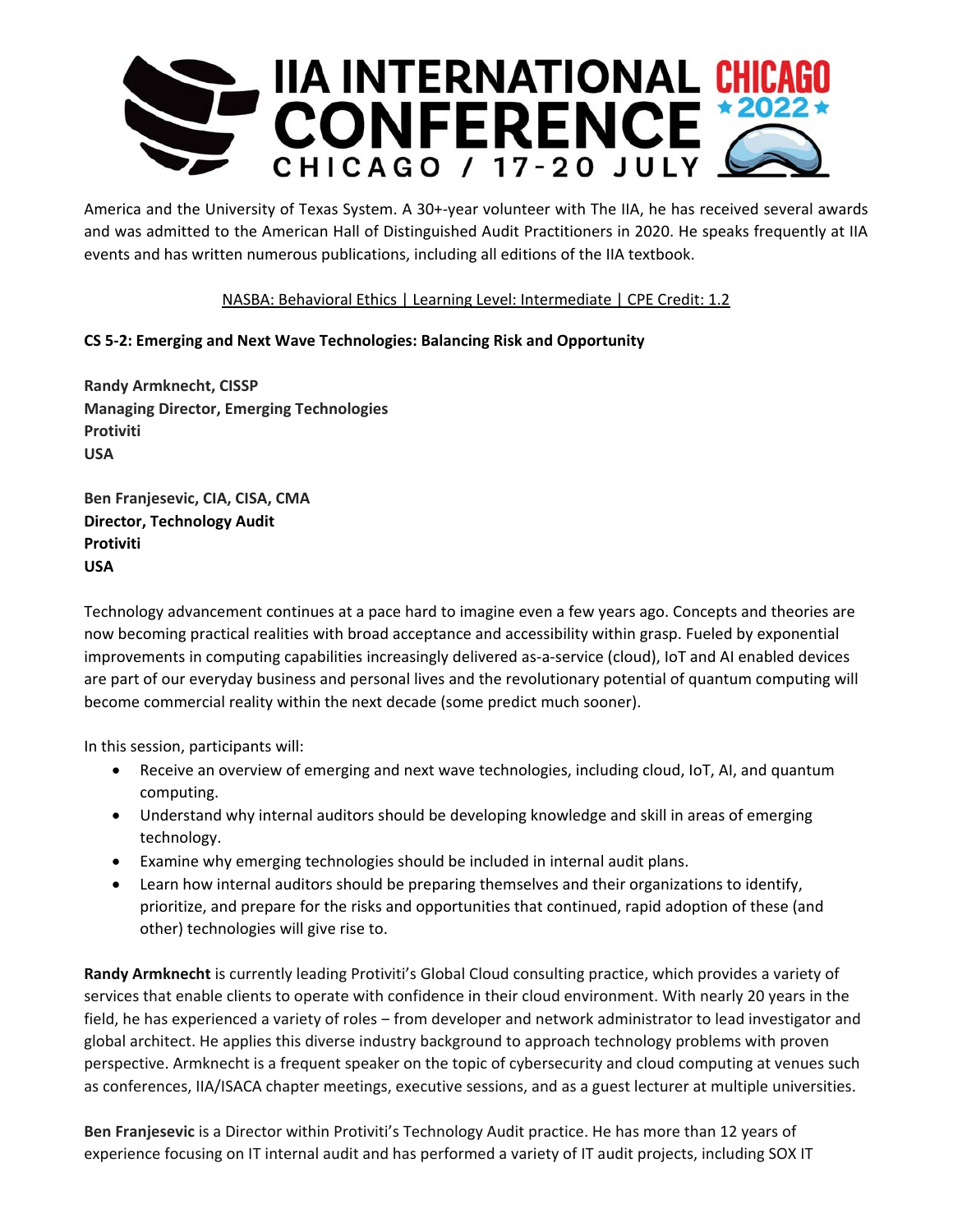

America and the University of Texas System. A 30+‐year volunteer with The IIA, he has received several awards and was admitted to the American Hall of Distinguished Audit Practitioners in 2020. He speaks frequently at IIA events and has written numerous publications, including all editions of the IIA textbook.

## NASBA: Behavioral Ethics | Learning Level: Intermediate | CPE Credit: 1.2

## **CS 5‐2: Emerging and Next Wave Technologies: Balancing Risk and Opportunity**

**Randy Armknecht, CISSP Managing Director, Emerging Technologies Protiviti USA** 

**Ben Franjesevic, CIA, CISA, CMA Director, Technology Audit Protiviti USA** 

Technology advancement continues at a pace hard to imagine even a few years ago. Concepts and theories are now becoming practical realities with broad acceptance and accessibility within grasp. Fueled by exponential improvements in computing capabilities increasingly delivered as‐a‐service (cloud), IoT and AI enabled devices are part of our everyday business and personal lives and the revolutionary potential of quantum computing will become commercial reality within the next decade (some predict much sooner).

In this session, participants will:

- Receive an overview of emerging and next wave technologies, including cloud, IoT, AI, and quantum computing.
- Understand why internal auditors should be developing knowledge and skill in areas of emerging technology.
- Examine why emerging technologies should be included in internal audit plans.
- Learn how internal auditors should be preparing themselves and their organizations to identify, prioritize, and prepare for the risks and opportunities that continued, rapid adoption of these (and other) technologies will give rise to.

**Randy Armknecht** is currently leading Protiviti's Global Cloud consulting practice, which provides a variety of services that enable clients to operate with confidence in their cloud environment. With nearly 20 years in the field, he has experienced a variety of roles – from developer and network administrator to lead investigator and global architect. He applies this diverse industry background to approach technology problems with proven perspective. Armknecht is a frequent speaker on the topic of cybersecurity and cloud computing at venues such as conferences, IIA/ISACA chapter meetings, executive sessions, and as a guest lecturer at multiple universities.

**Ben Franjesevic** is a Director within Protiviti's Technology Audit practice. He has more than 12 years of experience focusing on IT internal audit and has performed a variety of IT audit projects, including SOX IT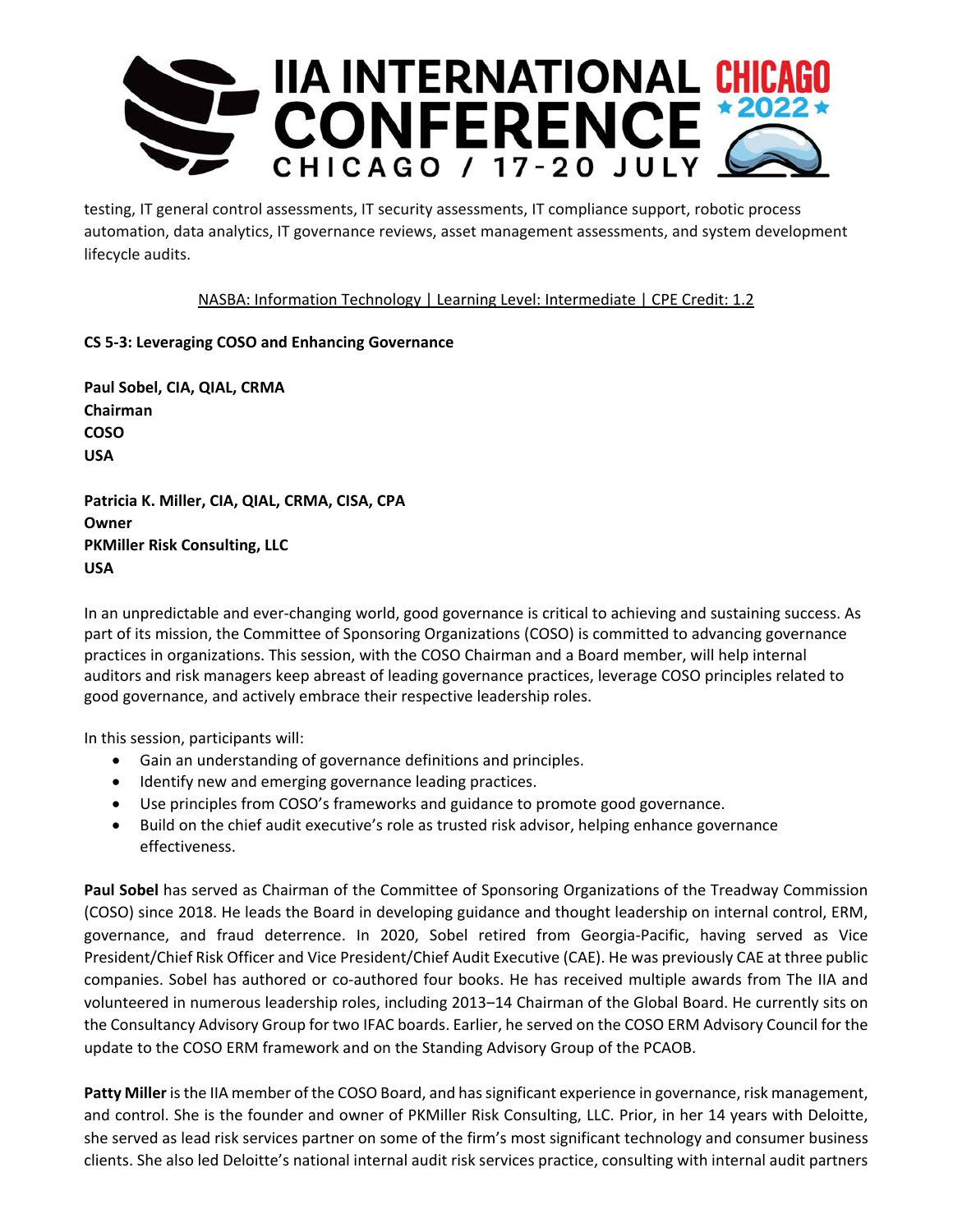

testing, IT general control assessments, IT security assessments, IT compliance support, robotic process automation, data analytics, IT governance reviews, asset management assessments, and system development lifecycle audits.

## NASBA: Information Technology | Learning Level: Intermediate | CPE Credit: 1.2

## **CS 5‐3: Leveraging COSO and Enhancing Governance**

**Paul Sobel, CIA, QIAL, CRMA Chairman COSO USA** 

**Patricia K. Miller, CIA, QIAL, CRMA, CISA, CPA Owner PKMiller Risk Consulting, LLC USA** 

In an unpredictable and ever‐changing world, good governance is critical to achieving and sustaining success. As part of its mission, the Committee of Sponsoring Organizations (COSO) is committed to advancing governance practices in organizations. This session, with the COSO Chairman and a Board member, will help internal auditors and risk managers keep abreast of leading governance practices, leverage COSO principles related to good governance, and actively embrace their respective leadership roles.

In this session, participants will:

- Gain an understanding of governance definitions and principles.
- $\bullet$  Identify new and emerging governance leading practices.
- Use principles from COSO's frameworks and guidance to promote good governance.
- Build on the chief audit executive's role as trusted risk advisor, helping enhance governance effectiveness.

**Paul Sobel** has served as Chairman of the Committee of Sponsoring Organizations of the Treadway Commission (COSO) since 2018. He leads the Board in developing guidance and thought leadership on internal control, ERM, governance, and fraud deterrence. In 2020, Sobel retired from Georgia‐Pacific, having served as Vice President/Chief Risk Officer and Vice President/Chief Audit Executive (CAE). He was previously CAE at three public companies. Sobel has authored or co-authored four books. He has received multiple awards from The IIA and volunteered in numerous leadership roles, including 2013–14 Chairman of the Global Board. He currently sits on the Consultancy Advisory Group for two IFAC boards. Earlier, he served on the COSO ERM Advisory Council for the update to the COSO ERM framework and on the Standing Advisory Group of the PCAOB.

**Patty Miller** is the IIA member of the COSO Board, and has significant experience in governance, risk management, and control. She is the founder and owner of PKMiller Risk Consulting, LLC. Prior, in her 14 years with Deloitte, she served as lead risk services partner on some of the firm's most significant technology and consumer business clients. She also led Deloitte's national internal audit risk services practice, consulting with internal audit partners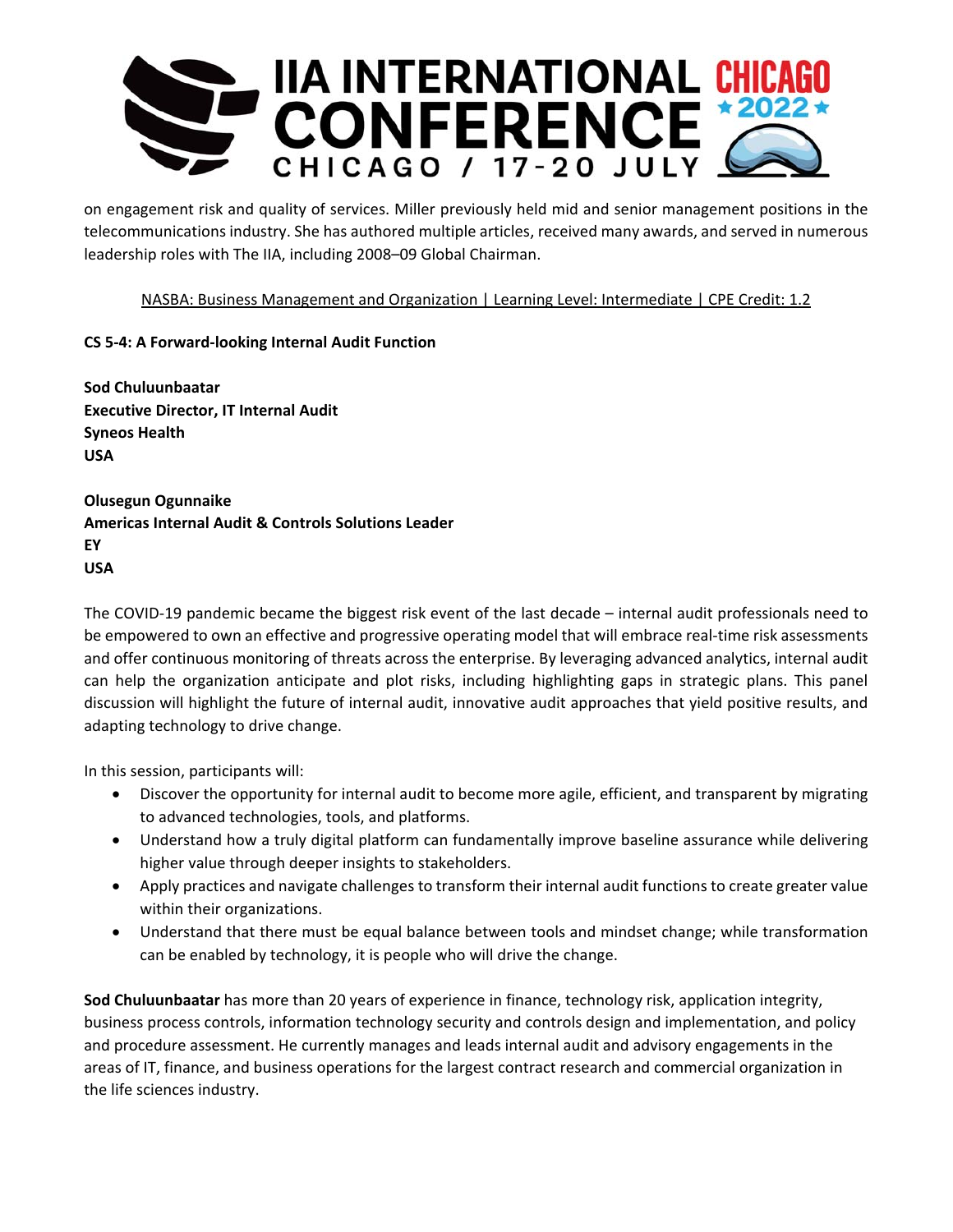

on engagement risk and quality of services. Miller previously held mid and senior management positions in the telecommunications industry. She has authored multiple articles, received many awards, and served in numerous leadership roles with The IIA, including 2008–09 Global Chairman.

## NASBA: Business Management and Organization | Learning Level: Intermediate | CPE Credit: 1.2

## **CS 5‐4: A Forward‐looking Internal Audit Function**

**Sod Chuluunbaatar Executive Director, IT Internal Audit Syneos Health USA** 

**Olusegun Ogunnaike Americas Internal Audit & Controls Solutions Leader EY USA** 

The COVID‐19 pandemic became the biggest risk event of the last decade – internal audit professionals need to be empowered to own an effective and progressive operating model that will embrace real-time risk assessments and offer continuous monitoring of threats across the enterprise. By leveraging advanced analytics, internal audit can help the organization anticipate and plot risks, including highlighting gaps in strategic plans. This panel discussion will highlight the future of internal audit, innovative audit approaches that yield positive results, and adapting technology to drive change.

In this session, participants will:

- Discover the opportunity for internal audit to become more agile, efficient, and transparent by migrating to advanced technologies, tools, and platforms.
- Understand how a truly digital platform can fundamentally improve baseline assurance while delivering higher value through deeper insights to stakeholders.
- Apply practices and navigate challenges to transform their internal audit functions to create greater value within their organizations.
- Understand that there must be equal balance between tools and mindset change; while transformation can be enabled by technology, it is people who will drive the change.

**Sod Chuluunbaatar** has more than 20 years of experience in finance, technology risk, application integrity, business process controls, information technology security and controls design and implementation, and policy and procedure assessment. He currently manages and leads internal audit and advisory engagements in the areas of IT, finance, and business operations for the largest contract research and commercial organization in the life sciences industry.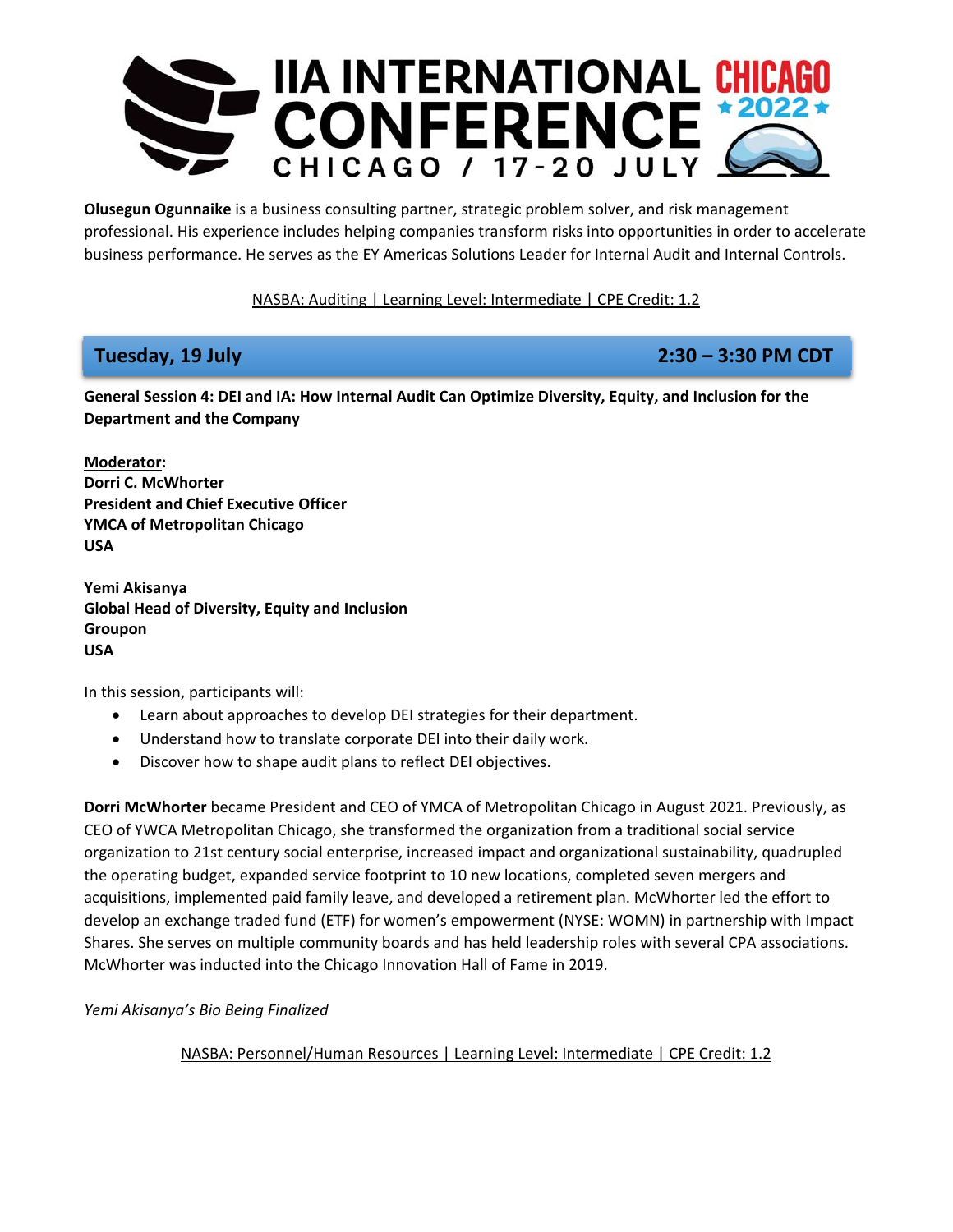

**Olusegun Ogunnaike** is a business consulting partner, strategic problem solver, and risk management professional. His experience includes helping companies transform risks into opportunities in order to accelerate business performance. He serves as the EY Americas Solutions Leader for Internal Audit and Internal Controls.

NASBA: Auditing | Learning Level: Intermediate | CPE Credit: 1.2

# **Tuesday, 19 July 2:30 – 3:30 PM CDT**

**General Session 4: DEI and IA: How Internal Audit Can Optimize Diversity, Equity, and Inclusion for the Department and the Company** 

**Moderator: Dorri C. McWhorter President and Chief Executive Officer YMCA of Metropolitan Chicago USA** 

**Yemi Akisanya Global Head of Diversity, Equity and Inclusion Groupon USA** 

In this session, participants will:

- Learn about approaches to develop DEI strategies for their department.
- Understand how to translate corporate DEI into their daily work.
- Discover how to shape audit plans to reflect DEI objectives.

**Dorri McWhorter** became President and CEO of YMCA of Metropolitan Chicago in August 2021. Previously, as CEO of YWCA Metropolitan Chicago, she transformed the organization from a traditional social service organization to 21st century social enterprise, increased impact and organizational sustainability, quadrupled the operating budget, expanded service footprint to 10 new locations, completed seven mergers and acquisitions, implemented paid family leave, and developed a retirement plan. McWhorter led the effort to develop an exchange traded fund (ETF) for women's empowerment (NYSE: WOMN) in partnership with Impact Shares. She serves on multiple community boards and has held leadership roles with several CPA associations. McWhorter was inducted into the Chicago Innovation Hall of Fame in 2019.

*Yemi Akisanya's Bio Being Finalized* 

NASBA: Personnel/Human Resources | Learning Level: Intermediate | CPE Credit: 1.2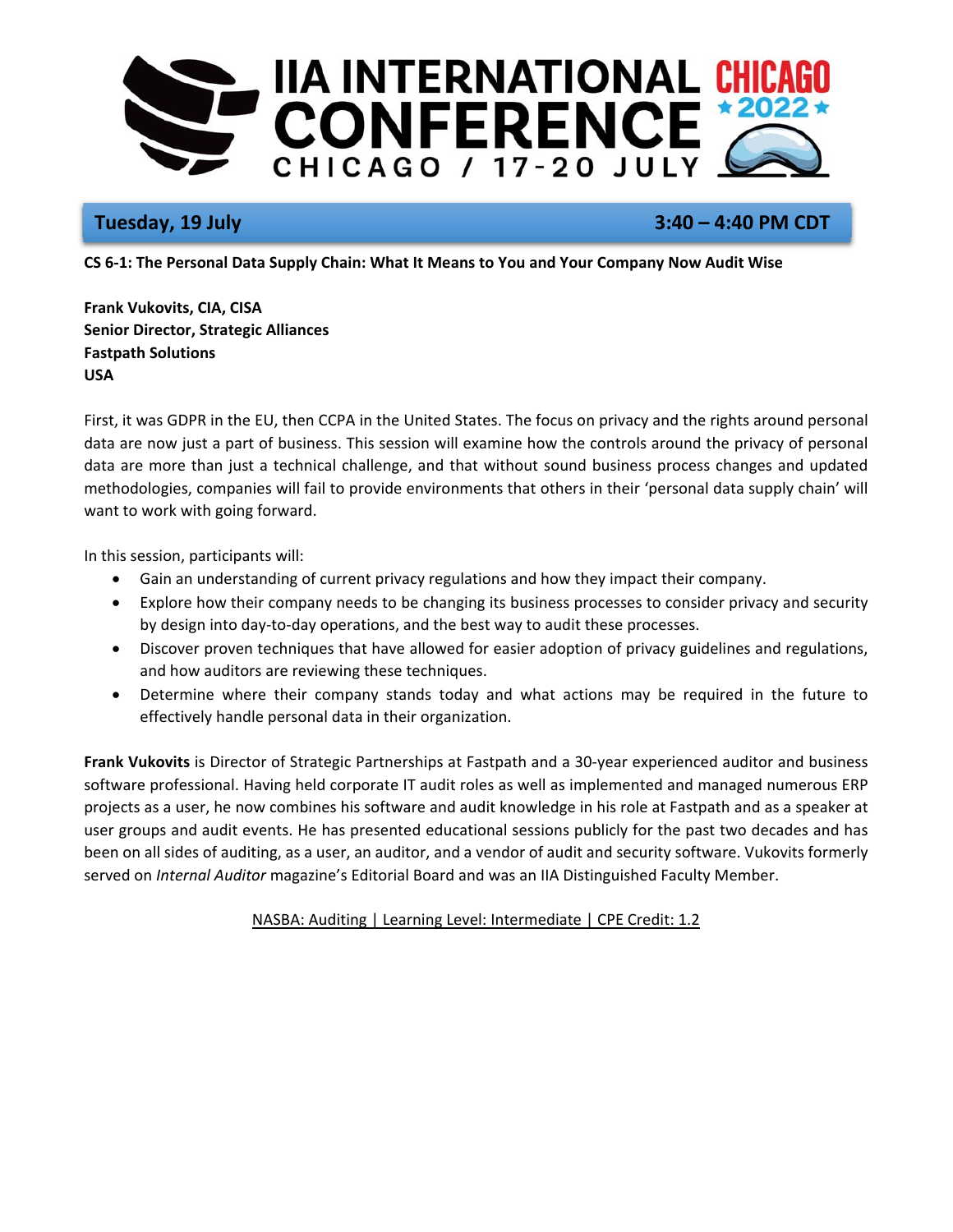

# **Tuesday, 19 July 3:40 – 4:40 PM CDT**

**CS 6‐1: The Personal Data Supply Chain: What It Means to You and Your Company Now Audit Wise** 

**Frank Vukovits, CIA, CISA Senior Director, Strategic Alliances Fastpath Solutions USA** 

First, it was GDPR in the EU, then CCPA in the United States. The focus on privacy and the rights around personal data are now just a part of business. This session will examine how the controls around the privacy of personal data are more than just a technical challenge, and that without sound business process changes and updated methodologies, companies will fail to provide environments that others in their 'personal data supply chain' will want to work with going forward.

In this session, participants will:

- Gain an understanding of current privacy regulations and how they impact their company.
- Explore how their company needs to be changing its business processes to consider privacy and security by design into day‐to‐day operations, and the best way to audit these processes.
- Discover proven techniques that have allowed for easier adoption of privacy guidelines and regulations, and how auditors are reviewing these techniques.
- Determine where their company stands today and what actions may be required in the future to effectively handle personal data in their organization.

**Frank Vukovits** is Director of Strategic Partnerships at Fastpath and a 30‐year experienced auditor and business software professional. Having held corporate IT audit roles as well as implemented and managed numerous ERP projects as a user, he now combines his software and audit knowledge in his role at Fastpath and as a speaker at user groups and audit events. He has presented educational sessions publicly for the past two decades and has been on all sides of auditing, as a user, an auditor, and a vendor of audit and security software. Vukovits formerly served on *Internal Auditor* magazine's Editorial Board and was an IIA Distinguished Faculty Member.

NASBA: Auditing | Learning Level: Intermediate | CPE Credit: 1.2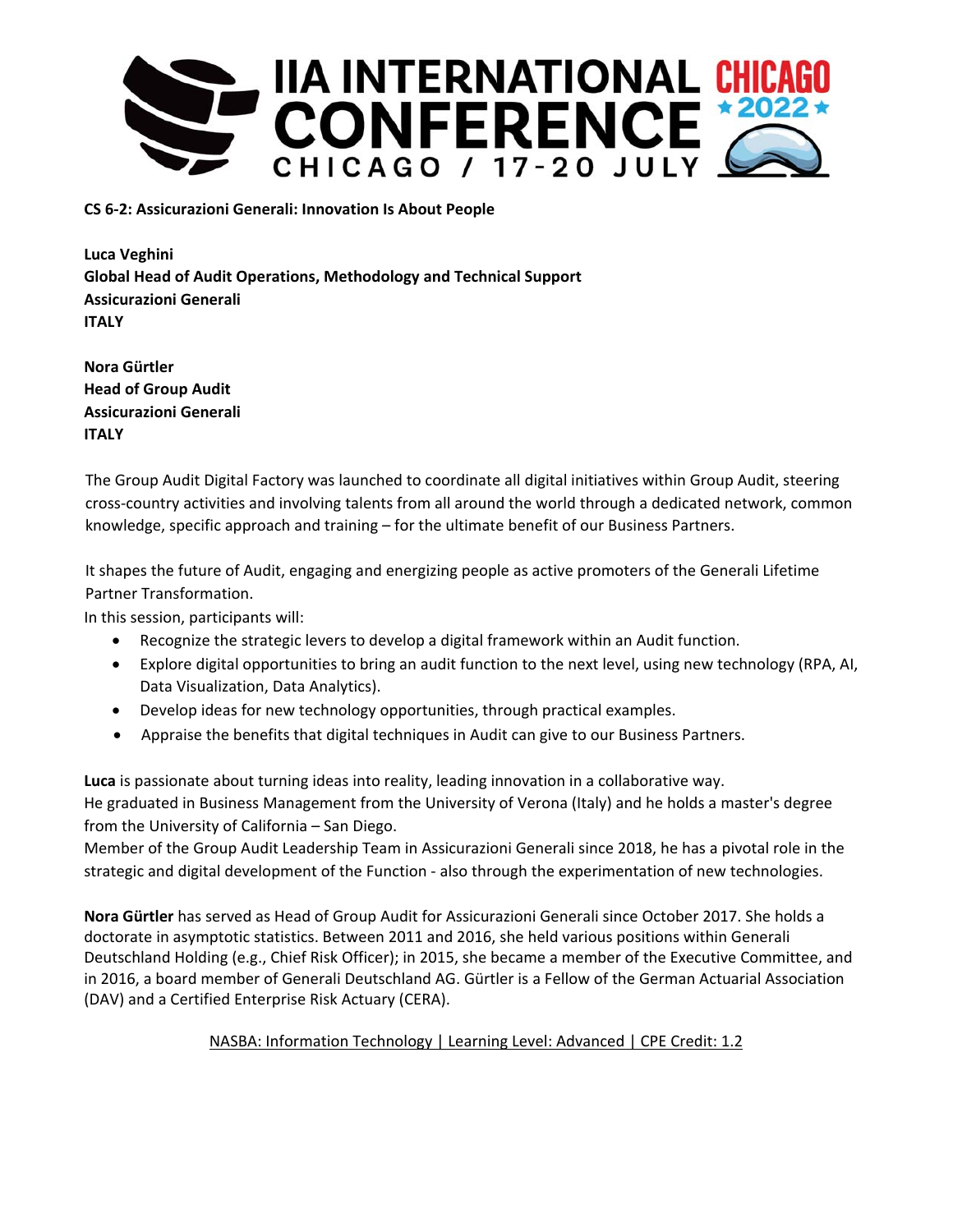

**CS 6‐2: Assicurazioni Generali: Innovation Is About People** 

**Luca Veghini Global Head of Audit Operations, Methodology and Technical Support Assicurazioni Generali ITALY** 

**Nora Gürtler Head of Group Audit Assicurazioni Generali ITALY** 

The Group Audit Digital Factory was launched to coordinate all digital initiatives within Group Audit, steering cross‐country activities and involving talents from all around the world through a dedicated network, common knowledge, specific approach and training – for the ultimate benefit of our Business Partners.

It shapes the future of Audit, engaging and energizing people as active promoters of the Generali Lifetime Partner Transformation.

In this session, participants will:

- Recognize the strategic levers to develop a digital framework within an Audit function.
- Explore digital opportunities to bring an audit function to the next level, using new technology (RPA, AI, Data Visualization, Data Analytics).
- Develop ideas for new technology opportunities, through practical examples.
- Appraise the benefits that digital techniques in Audit can give to our Business Partners.

**Luca** is passionate about turning ideas into reality, leading innovation in a collaborative way. He graduated in Business Management from the University of Verona (Italy) and he holds a master's degree from the University of California – San Diego.

Member of the Group Audit Leadership Team in Assicurazioni Generali since 2018, he has a pivotal role in the strategic and digital development of the Function ‐ also through the experimentation of new technologies.

**Nora Gürtler** has served as Head of Group Audit for Assicurazioni Generali since October 2017. She holds a doctorate in asymptotic statistics. Between 2011 and 2016, she held various positions within Generali Deutschland Holding (e.g., Chief Risk Officer); in 2015, she became a member of the Executive Committee, and in 2016, a board member of Generali Deutschland AG. Gürtler is a Fellow of the German Actuarial Association (DAV) and a Certified Enterprise Risk Actuary (CERA).

## NASBA: Information Technology | Learning Level: Advanced | CPE Credit: 1.2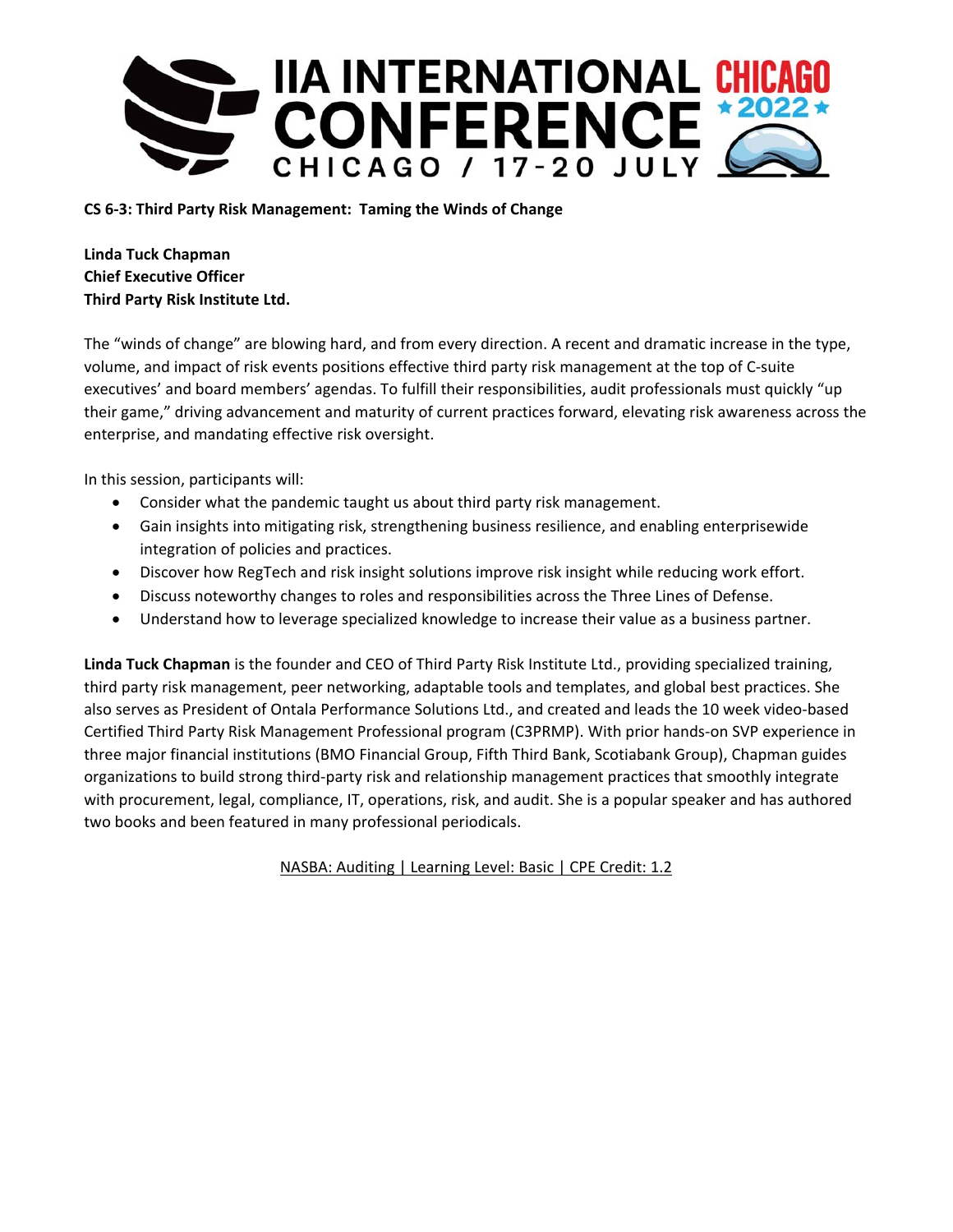

## **CS 6‐3: Third Party Risk Management: Taming the Winds of Change**

**Linda Tuck Chapman Chief Executive Officer Third Party Risk Institute Ltd.** 

The "winds of change" are blowing hard, and from every direction. A recent and dramatic increase in the type, volume, and impact of risk events positions effective third party risk management at the top of C‐suite executives' and board members' agendas. To fulfill their responsibilities, audit professionals must quickly "up their game," driving advancement and maturity of current practices forward, elevating risk awareness across the enterprise, and mandating effective risk oversight.

In this session, participants will:

- Consider what the pandemic taught us about third party risk management.
- Gain insights into mitigating risk, strengthening business resilience, and enabling enterprisewide integration of policies and practices.
- Discover how RegTech and risk insight solutions improve risk insight while reducing work effort.
- Discuss noteworthy changes to roles and responsibilities across the Three Lines of Defense.
- Understand how to leverage specialized knowledge to increase their value as a business partner.

**Linda Tuck Chapman** is the founder and CEO of Third Party Risk Institute Ltd., providing specialized training, third party risk management, peer networking, adaptable tools and templates, and global best practices. She also serves as President of Ontala Performance Solutions Ltd., and created and leads the 10 week video‐based Certified Third Party Risk Management Professional program (C3PRMP). With prior hands‐on SVP experience in three major financial institutions (BMO Financial Group, Fifth Third Bank, Scotiabank Group), Chapman guides organizations to build strong third‐party risk and relationship management practices that smoothly integrate with procurement, legal, compliance, IT, operations, risk, and audit. She is a popular speaker and has authored two books and been featured in many professional periodicals.

NASBA: Auditing | Learning Level: Basic | CPE Credit: 1.2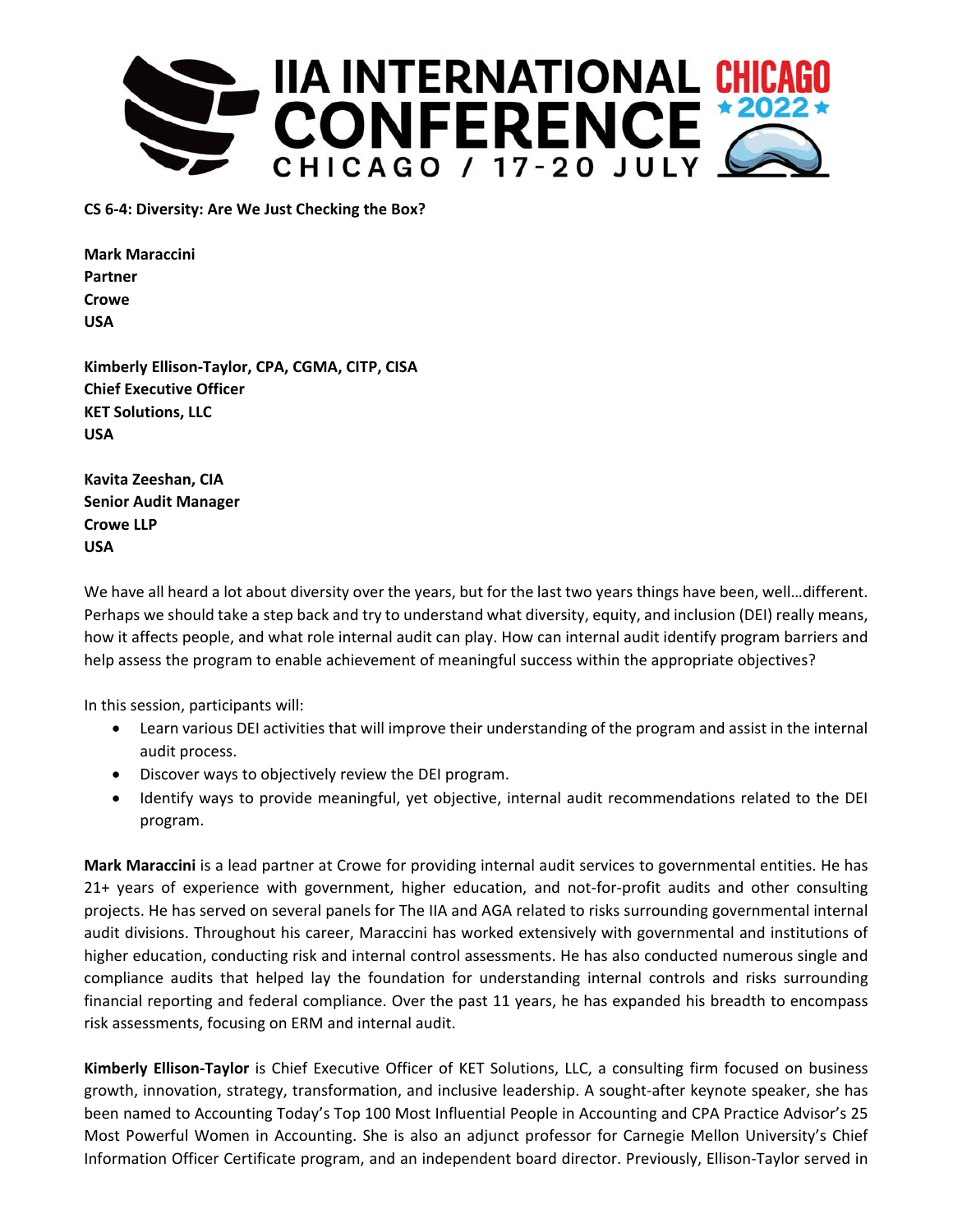

**CS 6‐4: Diversity: Are We Just Checking the Box?** 

**Mark Maraccini Partner Crowe USA** 

**Kimberly Ellison‐Taylor, CPA, CGMA, CITP, CISA Chief Executive Officer KET Solutions, LLC USA** 

**Kavita Zeeshan, CIA Senior Audit Manager Crowe LLP USA** 

We have all heard a lot about diversity over the years, but for the last two years things have been, well...different. Perhaps we should take a step back and try to understand what diversity, equity, and inclusion (DEI) really means, how it affects people, and what role internal audit can play. How can internal audit identify program barriers and help assess the program to enable achievement of meaningful success within the appropriate objectives?

In this session, participants will:

- Learn various DEI activities that will improve their understanding of the program and assist in the internal audit process.
- Discover ways to objectively review the DEI program.
- Identify ways to provide meaningful, yet objective, internal audit recommendations related to the DEI program.

**Mark Maraccini** is a lead partner at Crowe for providing internal audit services to governmental entities. He has 21+ years of experience with government, higher education, and not‐for‐profit audits and other consulting projects. He has served on several panels for The IIA and AGA related to risks surrounding governmental internal audit divisions. Throughout his career, Maraccini has worked extensively with governmental and institutions of higher education, conducting risk and internal control assessments. He has also conducted numerous single and compliance audits that helped lay the foundation for understanding internal controls and risks surrounding financial reporting and federal compliance. Over the past 11 years, he has expanded his breadth to encompass risk assessments, focusing on ERM and internal audit.

**Kimberly Ellison‐Taylor** is Chief Executive Officer of KET Solutions, LLC, a consulting firm focused on business growth, innovation, strategy, transformation, and inclusive leadership. A sought‐after keynote speaker, she has been named to Accounting Today's Top 100 Most Influential People in Accounting and CPA Practice Advisor's 25 Most Powerful Women in Accounting. She is also an adjunct professor for Carnegie Mellon University's Chief Information Officer Certificate program, and an independent board director. Previously, Ellison‐Taylor served in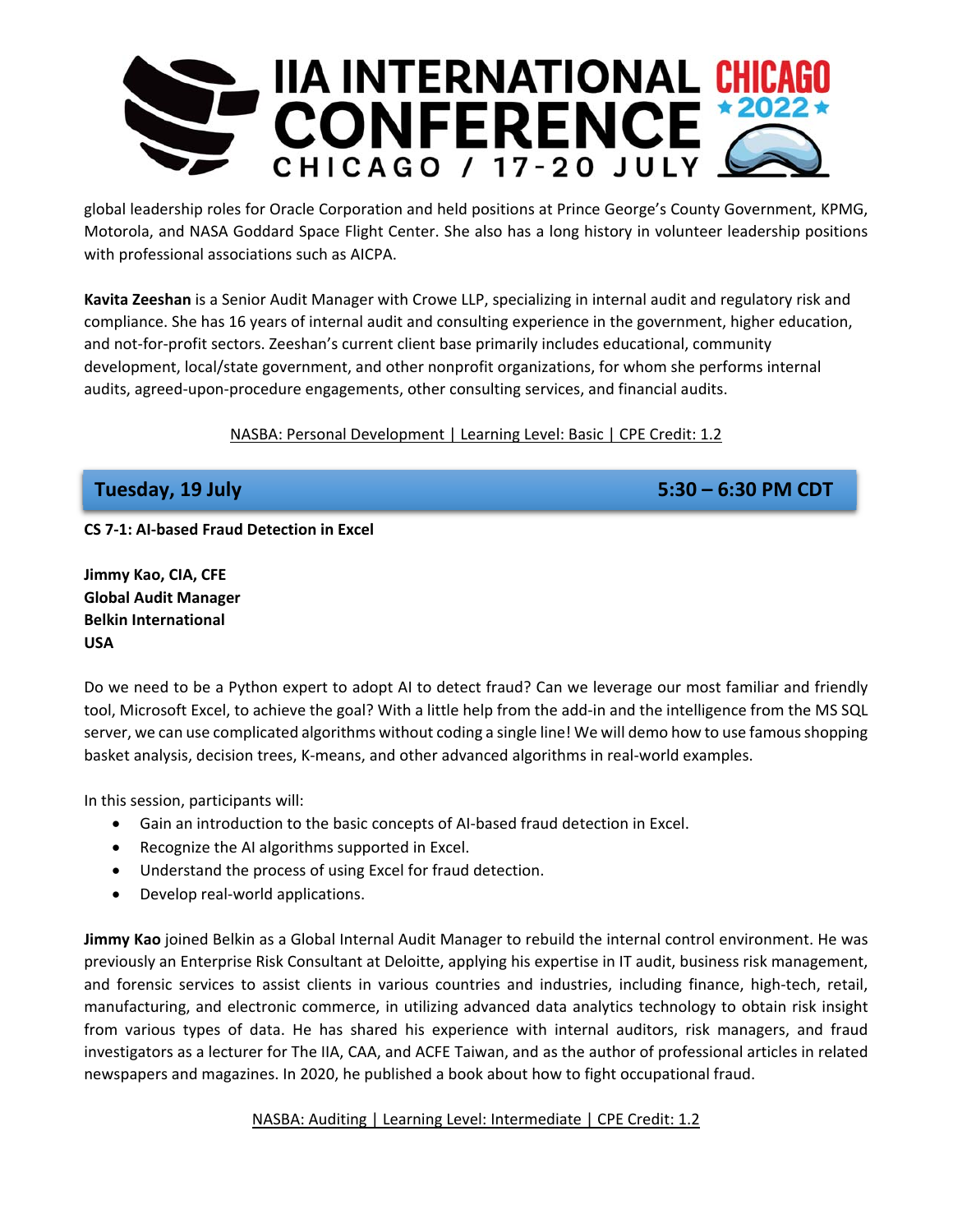

global leadership roles for Oracle Corporation and held positions at Prince George's County Government, KPMG, Motorola, and NASA Goddard Space Flight Center. She also has a long history in volunteer leadership positions with professional associations such as AICPA.

**Kavita Zeeshan** is a Senior Audit Manager with Crowe LLP, specializing in internal audit and regulatory risk and compliance. She has 16 years of internal audit and consulting experience in the government, higher education, and not-for-profit sectors. Zeeshan's current client base primarily includes educational, community development, local/state government, and other nonprofit organizations, for whom she performs internal audits, agreed‐upon‐procedure engagements, other consulting services, and financial audits.

NASBA: Personal Development | Learning Level: Basic | CPE Credit: 1.2

**Tuesday, 19 July 5:30 – 6:30 PM CDT** 

**CS 7‐1: AI‐based Fraud Detection in Excel** 

**Jimmy Kao, CIA, CFE Global Audit Manager Belkin International USA** 

Do we need to be a Python expert to adopt AI to detect fraud? Can we leverage our most familiar and friendly tool, Microsoft Excel, to achieve the goal? With a little help from the add‐in and the intelligence from the MS SQL server, we can use complicated algorithms without coding a single line! We will demo how to use famous shopping basket analysis, decision trees, K‐means, and other advanced algorithms in real‐world examples.

In this session, participants will:

- Gain an introduction to the basic concepts of AI‐based fraud detection in Excel.
- Recognize the AI algorithms supported in Excel.
- Understand the process of using Excel for fraud detection.
- Develop real-world applications.

**Jimmy Kao** joined Belkin as a Global Internal Audit Manager to rebuild the internal control environment. He was previously an Enterprise Risk Consultant at Deloitte, applying his expertise in IT audit, business risk management, and forensic services to assist clients in various countries and industries, including finance, high-tech, retail, manufacturing, and electronic commerce, in utilizing advanced data analytics technology to obtain risk insight from various types of data. He has shared his experience with internal auditors, risk managers, and fraud investigators as a lecturer for The IIA, CAA, and ACFE Taiwan, and as the author of professional articles in related newspapers and magazines. In 2020, he published a book about how to fight occupational fraud.

NASBA: Auditing | Learning Level: Intermediate | CPE Credit: 1.2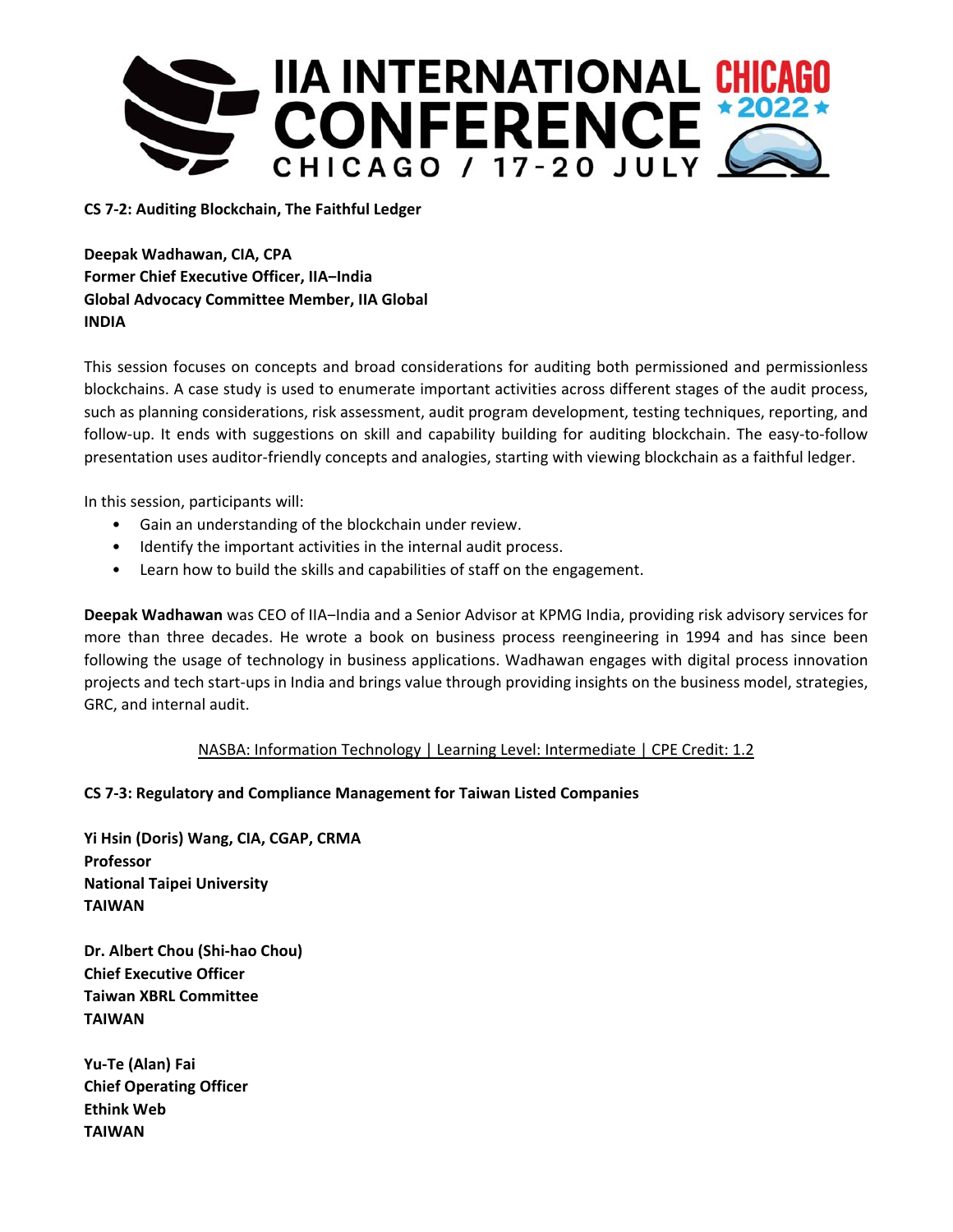

## **CS 7‐2: Auditing Blockchain, The Faithful Ledger**

**Deepak Wadhawan, CIA, CPA Former Chief Executive Officer, IIA-India Global Advocacy Committee Member, IIA Global INDIA** 

This session focuses on concepts and broad considerations for auditing both permissioned and permissionless blockchains. A case study is used to enumerate important activities across different stages of the audit process, such as planning considerations, risk assessment, audit program development, testing techniques, reporting, and follow-up. It ends with suggestions on skill and capability building for auditing blockchain. The easy-to-follow presentation uses auditor‐friendly concepts and analogies, starting with viewing blockchain as a faithful ledger.

In this session, participants will:

- Gain an understanding of the blockchain under review.
- Identify the important activities in the internal audit process.
- Learn how to build the skills and capabilities of staff on the engagement.

**Deepak Wadhawan** was CEO of IIA-India and a Senior Advisor at KPMG India, providing risk advisory services for more than three decades. He wrote a book on business process reengineering in 1994 and has since been following the usage of technology in business applications. Wadhawan engages with digital process innovation projects and tech start‐ups in India and brings value through providing insights on the business model, strategies, GRC, and internal audit.

## NASBA: Information Technology | Learning Level: Intermediate | CPE Credit: 1.2

## **CS 7‐3: Regulatory and Compliance Management for Taiwan Listed Companies**

**Yi Hsin (Doris) Wang, CIA, CGAP, CRMA Professor National Taipei University TAIWAN** 

**Dr. Albert Chou (Shi‐hao Chou) Chief Executive Officer Taiwan XBRL Committee TAIWAN** 

**Yu‐Te (Alan) Fai Chief Operating Officer Ethink Web TAIWAN**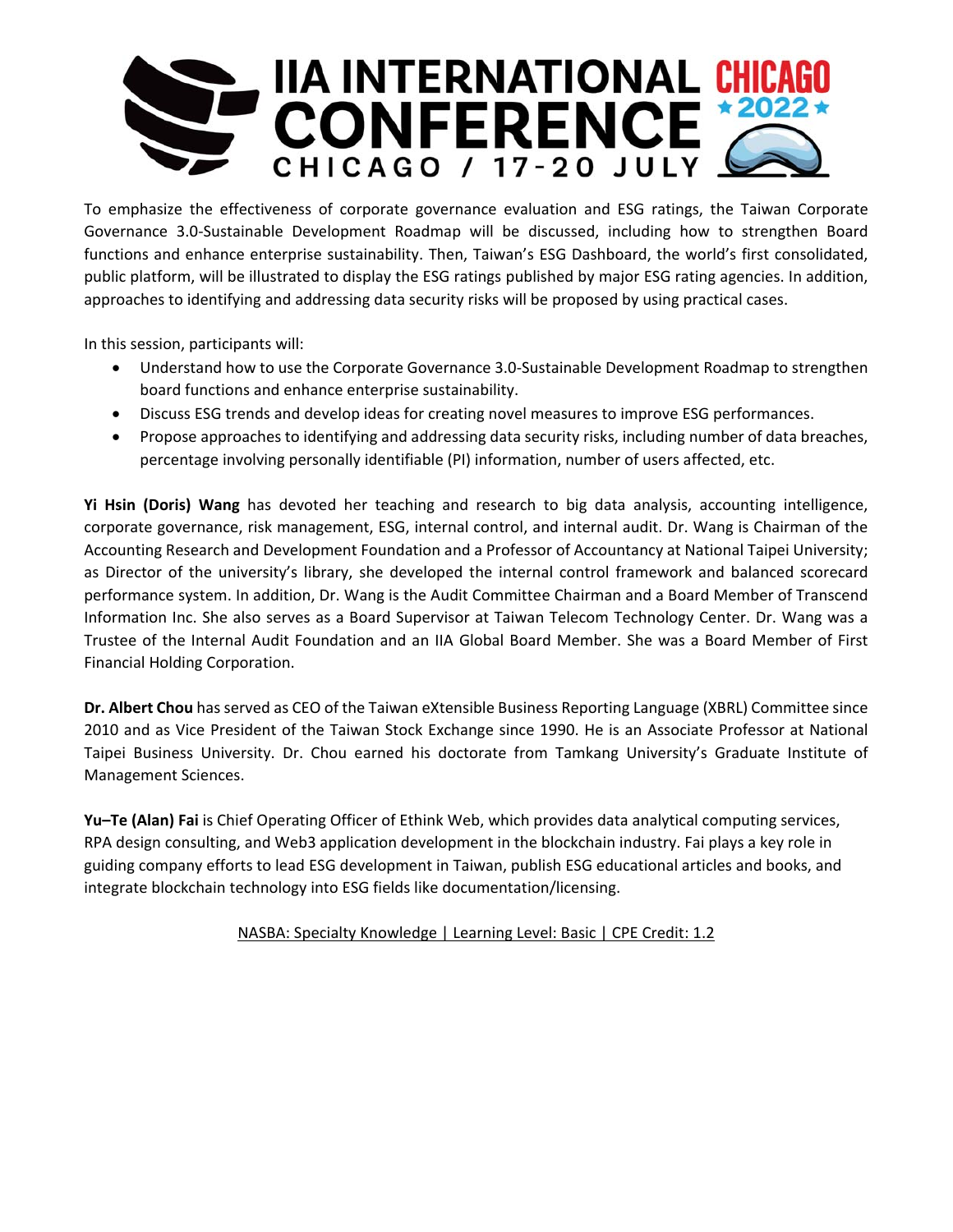

To emphasize the effectiveness of corporate governance evaluation and ESG ratings, the Taiwan Corporate Governance 3.0‐Sustainable Development Roadmap will be discussed, including how to strengthen Board functions and enhance enterprise sustainability. Then, Taiwan's ESG Dashboard, the world's first consolidated, public platform, will be illustrated to display the ESG ratings published by major ESG rating agencies. In addition, approaches to identifying and addressing data security risks will be proposed by using practical cases.

In this session, participants will:

- Understand how to use the Corporate Governance 3.0‐Sustainable Development Roadmap to strengthen board functions and enhance enterprise sustainability.
- Discuss ESG trends and develop ideas for creating novel measures to improve ESG performances.
- Propose approaches to identifying and addressing data security risks, including number of data breaches, percentage involving personally identifiable (PI) information, number of users affected, etc.

**Yi Hsin (Doris) Wang** has devoted her teaching and research to big data analysis, accounting intelligence, corporate governance, risk management, ESG, internal control, and internal audit. Dr. Wang is Chairman of the Accounting Research and Development Foundation and a Professor of Accountancy at National Taipei University; as Director of the university's library, she developed the internal control framework and balanced scorecard performance system. In addition, Dr. Wang is the Audit Committee Chairman and a Board Member of Transcend Information Inc. She also serves as a Board Supervisor at Taiwan Telecom Technology Center. Dr. Wang was a Trustee of the Internal Audit Foundation and an IIA Global Board Member. She was a Board Member of First Financial Holding Corporation.

**Dr. Albert Chou** has served as CEO of the Taiwan eXtensible Business Reporting Language (XBRL) Committee since 2010 and as Vice President of the Taiwan Stock Exchange since 1990. He is an Associate Professor at National Taipei Business University. Dr. Chou earned his doctorate from Tamkang University's Graduate Institute of Management Sciences.

**Yu–Te (Alan) Fai** is Chief Operating Officer of Ethink Web, which provides data analytical computing services, RPA design consulting, and Web3 application development in the blockchain industry. Fai plays a key role in guiding company efforts to lead ESG development in Taiwan, publish ESG educational articles and books, and integrate blockchain technology into ESG fields like documentation/licensing.

NASBA: Specialty Knowledge | Learning Level: Basic | CPE Credit: 1.2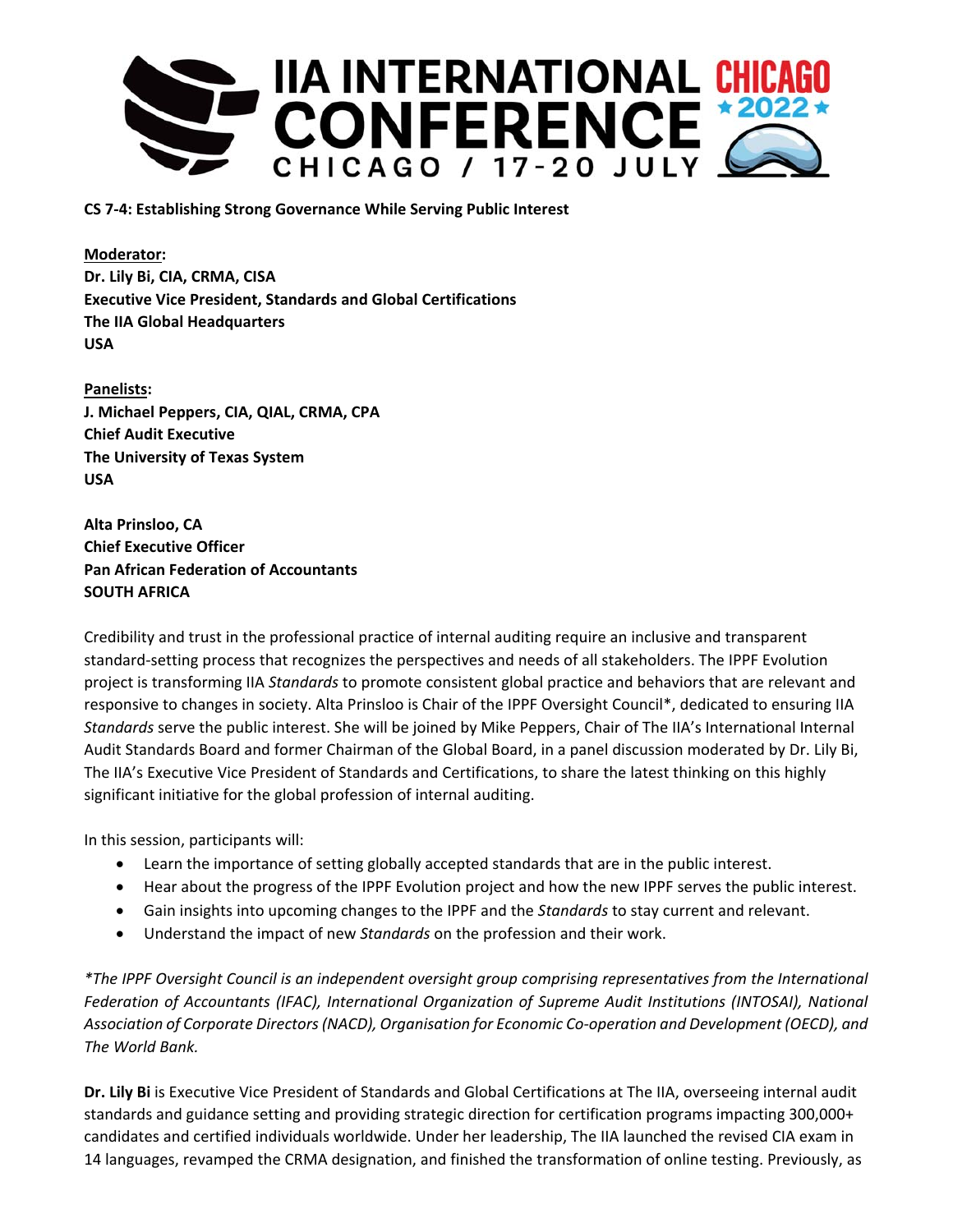

**CS 7‐4: Establishing Strong Governance While Serving Public Interest** 

**Moderator: Dr. Lily Bi, CIA, CRMA, CISA Executive Vice President, Standards and Global Certifications The IIA Global Headquarters USA** 

**Panelists: J. Michael Peppers, CIA, QIAL, CRMA, CPA Chief Audit Executive The University of Texas System USA** 

**Alta Prinsloo, CA Chief Executive Officer Pan African Federation of Accountants SOUTH AFRICA** 

Credibility and trust in the professional practice of internal auditing require an inclusive and transparent standard‐setting process that recognizes the perspectives and needs of all stakeholders. The IPPF Evolution project is transforming IIA *Standards* to promote consistent global practice and behaviors that are relevant and responsive to changes in society. Alta Prinsloo is Chair of the IPPF Oversight Council\*, dedicated to ensuring IIA *Standards* serve the public interest. She will be joined by Mike Peppers, Chair of The IIA's International Internal Audit Standards Board and former Chairman of the Global Board, in a panel discussion moderated by Dr. Lily Bi, The IIA's Executive Vice President of Standards and Certifications, to share the latest thinking on this highly significant initiative for the global profession of internal auditing.

In this session, participants will:

- Learn the importance of setting globally accepted standards that are in the public interest.
- Hear about the progress of the IPPF Evolution project and how the new IPPF serves the public interest.
- Gain insights into upcoming changes to the IPPF and the *Standards* to stay current and relevant.
- Understand the impact of new *Standards* on the profession and their work.

*\*The IPPF Oversight Council is an independent oversight group comprising representatives from the International Federation of Accountants (IFAC), International Organization of Supreme Audit Institutions (INTOSAI), National Association of Corporate Directors (NACD), Organisation for Economic Co‐operation and Development (OECD), and The World Bank.* 

**Dr. Lily Bi** is Executive Vice President of Standards and Global Certifications at The IIA, overseeing internal audit standards and guidance setting and providing strategic direction for certification programs impacting 300,000+ candidates and certified individuals worldwide. Under her leadership, The IIA launched the revised CIA exam in 14 languages, revamped the CRMA designation, and finished the transformation of online testing. Previously, as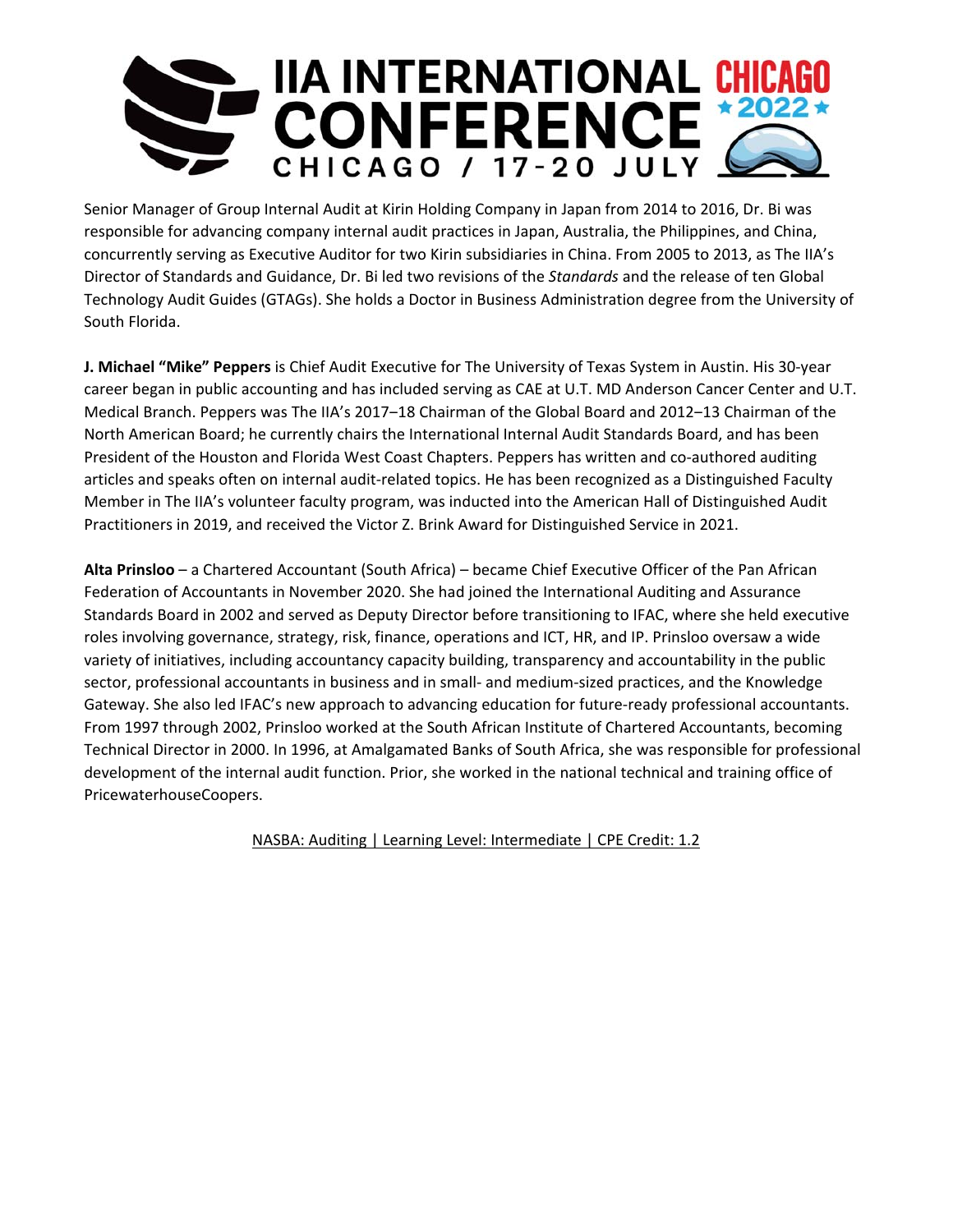

Senior Manager of Group Internal Audit at Kirin Holding Company in Japan from 2014 to 2016, Dr. Bi was responsible for advancing company internal audit practices in Japan, Australia, the Philippines, and China, concurrently serving as Executive Auditor for two Kirin subsidiaries in China. From 2005 to 2013, as The IIA's Director of Standards and Guidance, Dr. Bi led two revisions of the *Standards* and the release of ten Global Technology Audit Guides (GTAGs). She holds a Doctor in Business Administration degree from the University of South Florida.

**J. Michael "Mike" Peppers** is Chief Audit Executive for The University of Texas System in Austin. His 30‐year career began in public accounting and has included serving as CAE at U.T. MD Anderson Cancer Center and U.T. Medical Branch. Peppers was The IIA's 2017–18 Chairman of the Global Board and 2012–13 Chairman of the North American Board; he currently chairs the International Internal Audit Standards Board, and has been President of the Houston and Florida West Coast Chapters. Peppers has written and co-authored auditing articles and speaks often on internal audit‐related topics. He has been recognized as a Distinguished Faculty Member in The IIA's volunteer faculty program, was inducted into the American Hall of Distinguished Audit Practitioners in 2019, and received the Victor Z. Brink Award for Distinguished Service in 2021.

**Alta Prinsloo** – a Chartered Accountant (South Africa) – became Chief Executive Officer of the Pan African Federation of Accountants in November 2020. She had joined the International Auditing and Assurance Standards Board in 2002 and served as Deputy Director before transitioning to IFAC, where she held executive roles involving governance, strategy, risk, finance, operations and ICT, HR, and IP. Prinsloo oversaw a wide variety of initiatives, including accountancy capacity building, transparency and accountability in the public sector, professional accountants in business and in small‐ and medium‐sized practices, and the Knowledge Gateway. She also led IFAC's new approach to advancing education for future‐ready professional accountants. From 1997 through 2002, Prinsloo worked at the South African Institute of Chartered Accountants, becoming Technical Director in 2000. In 1996, at Amalgamated Banks of South Africa, she was responsible for professional development of the internal audit function. Prior, she worked in the national technical and training office of PricewaterhouseCoopers.

NASBA: Auditing | Learning Level: Intermediate | CPE Credit: 1.2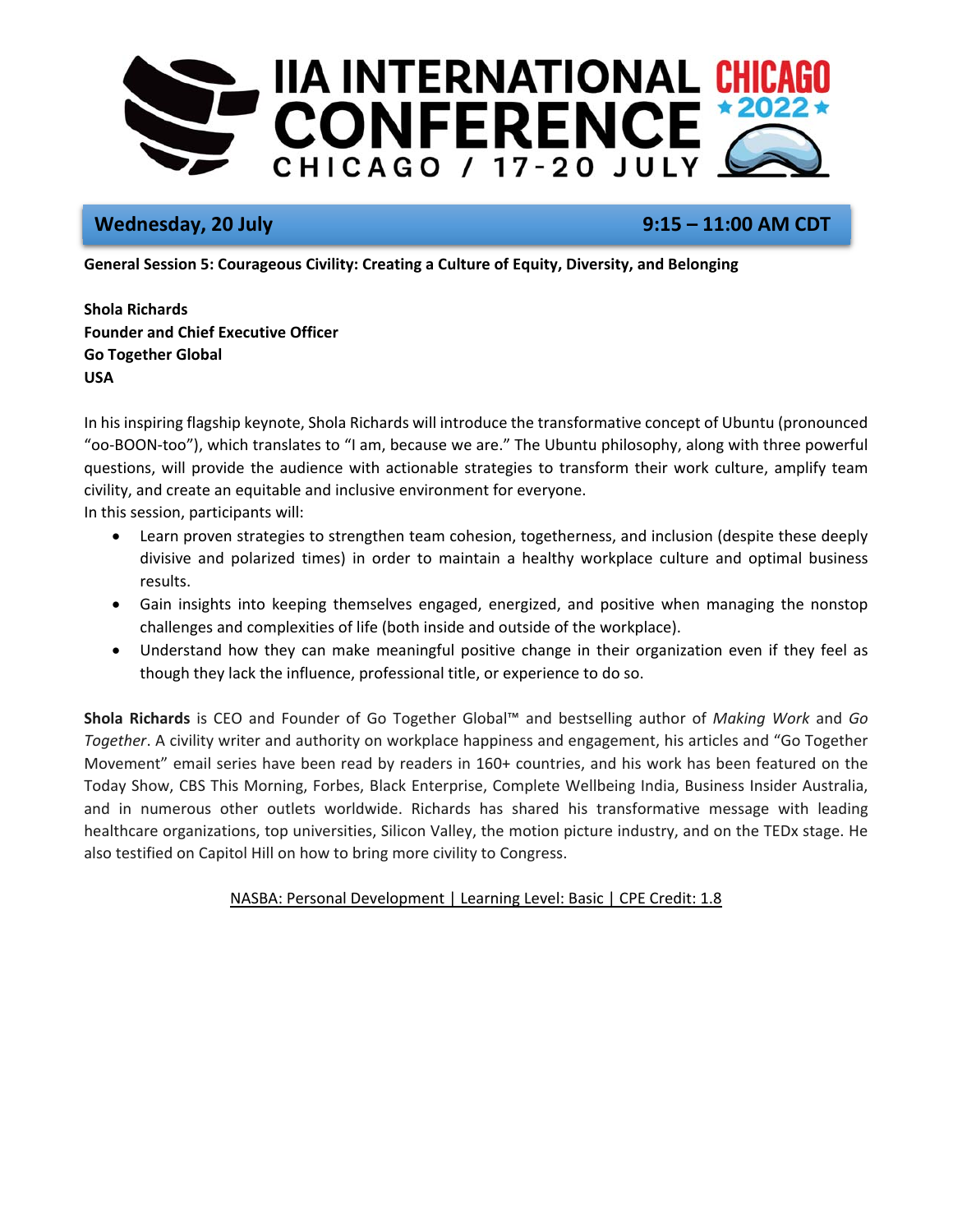

# **Wednesday, 20 July 9:15 – 11:00 AM CDT**

**General Session 5: Courageous Civility: Creating a Culture of Equity, Diversity, and Belonging** 

**Shola Richards Founder and Chief Executive Officer Go Together Global USA** 

In his inspiring flagship keynote, Shola Richards will introduce the transformative concept of Ubuntu (pronounced "oo‐BOON‐too"), which translates to "I am, because we are." The Ubuntu philosophy, along with three powerful questions, will provide the audience with actionable strategies to transform their work culture, amplify team civility, and create an equitable and inclusive environment for everyone.

In this session, participants will:

- Learn proven strategies to strengthen team cohesion, togetherness, and inclusion (despite these deeply divisive and polarized times) in order to maintain a healthy workplace culture and optimal business results.
- Gain insights into keeping themselves engaged, energized, and positive when managing the nonstop challenges and complexities of life (both inside and outside of the workplace).
- Understand how they can make meaningful positive change in their organization even if they feel as though they lack the influence, professional title, or experience to do so.

**Shola Richards** is CEO and Founder of Go Together Global™ and bestselling author of *Making Work* and *Go Together*. A civility writer and authority on workplace happiness and engagement, his articles and "Go Together Movement" email series have been read by readers in 160+ countries, and his work has been featured on the Today Show, CBS This Morning, Forbes, Black Enterprise, Complete Wellbeing India, Business Insider Australia, and in numerous other outlets worldwide. Richards has shared his transformative message with leading healthcare organizations, top universities, Silicon Valley, the motion picture industry, and on the TEDx stage. He also testified on Capitol Hill on how to bring more civility to Congress.

# NASBA: Personal Development | Learning Level: Basic | CPE Credit: 1.8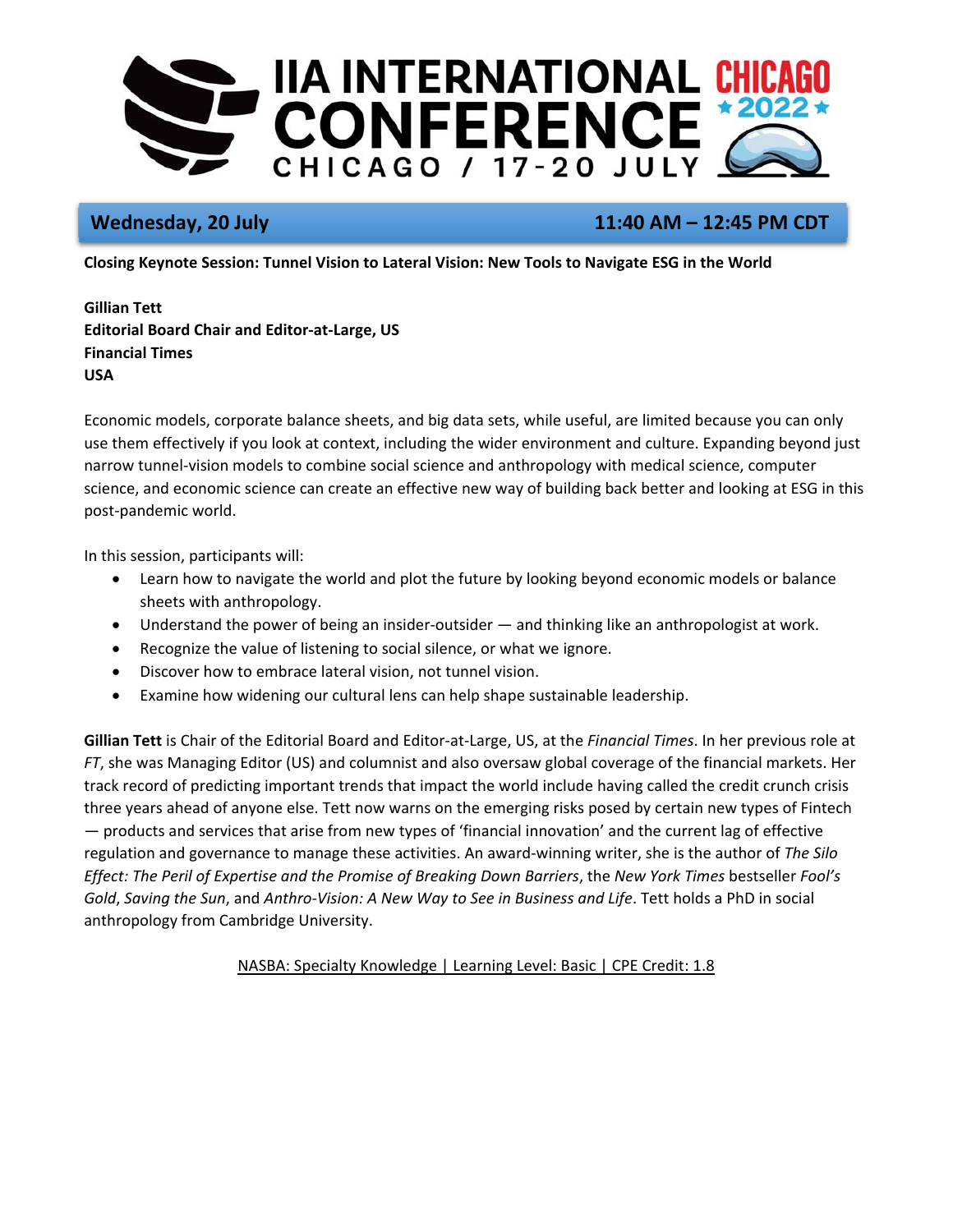

# **Wednesday, 20 July 11:40 AM – 12:45 PM CDT**

**Closing Keynote Session: Tunnel Vision to Lateral Vision: New Tools to Navigate ESG in the World** 

**Gillian Tett Editorial Board Chair and Editor‐at‐Large, US Financial Times USA** 

Economic models, corporate balance sheets, and big data sets, while useful, are limited because you can only use them effectively if you look at context, including the wider environment and culture. Expanding beyond just narrow tunnel‐vision models to combine social science and anthropology with medical science, computer science, and economic science can create an effective new way of building back better and looking at ESG in this post‐pandemic world.

In this session, participants will:

- Learn how to navigate the world and plot the future by looking beyond economic models or balance sheets with anthropology.
- Understand the power of being an insider-outsider and thinking like an anthropologist at work.
- Recognize the value of listening to social silence, or what we ignore.
- Discover how to embrace lateral vision, not tunnel vision.
- Examine how widening our cultural lens can help shape sustainable leadership.

**Gillian Tett** is Chair of the Editorial Board and Editor‐at‐Large, US, at the *Financial Times*. In her previous role at *FT*, she was Managing Editor (US) and columnist and also oversaw global coverage of the financial markets. Her track record of predicting important trends that impact the world include having called the credit crunch crisis three years ahead of anyone else. Tett now warns on the emerging risks posed by certain new types of Fintech — products and services that arise from new types of 'financial innovation' and the current lag of effective regulation and governance to manage these activities. An award‐winning writer, she is the author of *The Silo Effect: The Peril of Expertise and the Promise of Breaking Down Barriers*, the *New York Times* bestseller *Fool's Gold*, *Saving the Sun*, and *Anthro‐Vision: A New Way to See in Business and Life*. Tett holds a PhD in social anthropology from Cambridge University.

NASBA: Specialty Knowledge | Learning Level: Basic | CPE Credit: 1.8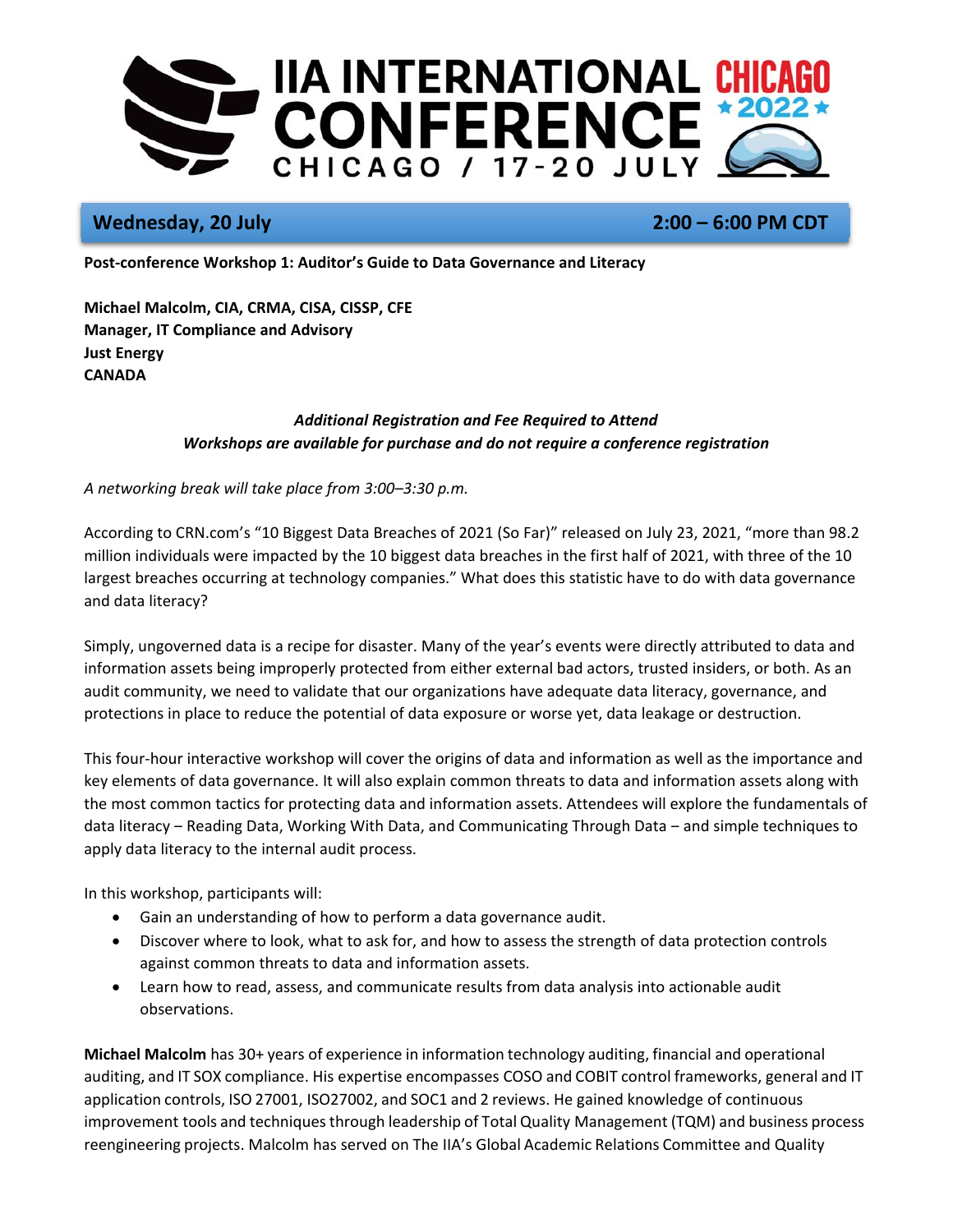

# **Wednesday, 20 July 2:00 – 6:00 PM CDT**

**Post‐conference Workshop 1: Auditor's Guide to Data Governance and Literacy** 

**Michael Malcolm, CIA, CRMA, CISA, CISSP, CFE Manager, IT Compliance and Advisory Just Energy CANADA** 

## *Additional Registration and Fee Required to Attend Workshops are available for purchase and do not require a conference registration*

*A networking break will take place from 3:00–3:30 p.m.* 

According to CRN.com's "10 Biggest Data Breaches of 2021 (So Far)" released on July 23, 2021, "more than 98.2 million individuals were impacted by the 10 biggest data breaches in the first half of 2021, with three of the 10 largest breaches occurring at technology companies." What does this statistic have to do with data governance and data literacy?

Simply, ungoverned data is a recipe for disaster. Many of the year's events were directly attributed to data and information assets being improperly protected from either external bad actors, trusted insiders, or both. As an audit community, we need to validate that our organizations have adequate data literacy, governance, and protections in place to reduce the potential of data exposure or worse yet, data leakage or destruction.

This four‐hour interactive workshop will cover the origins of data and information as well as the importance and key elements of data governance. It will also explain common threats to data and information assets along with the most common tactics for protecting data and information assets. Attendees will explore the fundamentals of data literacy – Reading Data, Working With Data, and Communicating Through Data – and simple techniques to apply data literacy to the internal audit process.

In this workshop, participants will:

- Gain an understanding of how to perform a data governance audit.
- Discover where to look, what to ask for, and how to assess the strength of data protection controls against common threats to data and information assets.
- Learn how to read, assess, and communicate results from data analysis into actionable audit observations.

**Michael Malcolm** has 30+ years of experience in information technology auditing, financial and operational auditing, and IT SOX compliance. His expertise encompasses COSO and COBIT control frameworks, general and IT application controls, ISO 27001, ISO27002, and SOC1 and 2 reviews. He gained knowledge of continuous improvement tools and techniques through leadership of Total Quality Management (TQM) and business process reengineering projects. Malcolm has served on The IIA's Global Academic Relations Committee and Quality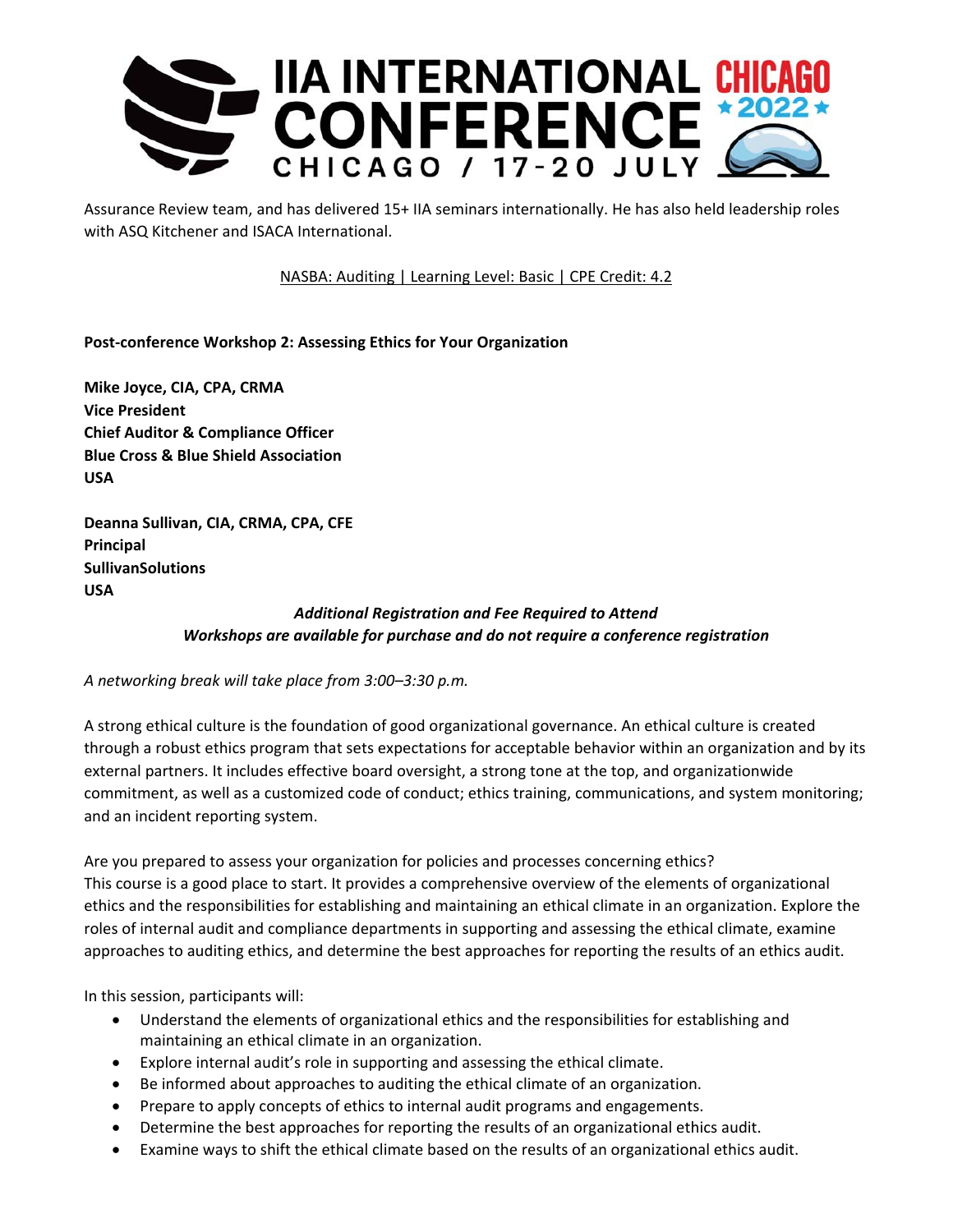

Assurance Review team, and has delivered 15+ IIA seminars internationally. He has also held leadership roles with ASQ Kitchener and ISACA International.

NASBA: Auditing | Learning Level: Basic | CPE Credit: 4.2

**Post‐conference Workshop 2: Assessing Ethics for Your Organization** 

**Mike Joyce, CIA, CPA, CRMA Vice President Chief Auditor & Compliance Officer Blue Cross & Blue Shield Association USA** 

**Deanna Sullivan, CIA, CRMA, CPA, CFE Principal SullivanSolutions USA**

# *Additional Registration and Fee Required to Attend Workshops are available for purchase and do not require a conference registration*

*A networking break will take place from 3:00–3:30 p.m.* 

A strong ethical culture is the foundation of good organizational governance. An ethical culture is created through a robust ethics program that sets expectations for acceptable behavior within an organization and by its external partners. It includes effective board oversight, a strong tone at the top, and organizationwide commitment, as well as a customized code of conduct; ethics training, communications, and system monitoring; and an incident reporting system.

Are you prepared to assess your organization for policies and processes concerning ethics? This course is a good place to start. It provides a comprehensive overview of the elements of organizational ethics and the responsibilities for establishing and maintaining an ethical climate in an organization. Explore the roles of internal audit and compliance departments in supporting and assessing the ethical climate, examine approaches to auditing ethics, and determine the best approaches for reporting the results of an ethics audit.

In this session, participants will:

- Understand the elements of organizational ethics and the responsibilities for establishing and maintaining an ethical climate in an organization.
- Explore internal audit's role in supporting and assessing the ethical climate.
- Be informed about approaches to auditing the ethical climate of an organization.
- Prepare to apply concepts of ethics to internal audit programs and engagements.
- Determine the best approaches for reporting the results of an organizational ethics audit.
- Examine ways to shift the ethical climate based on the results of an organizational ethics audit.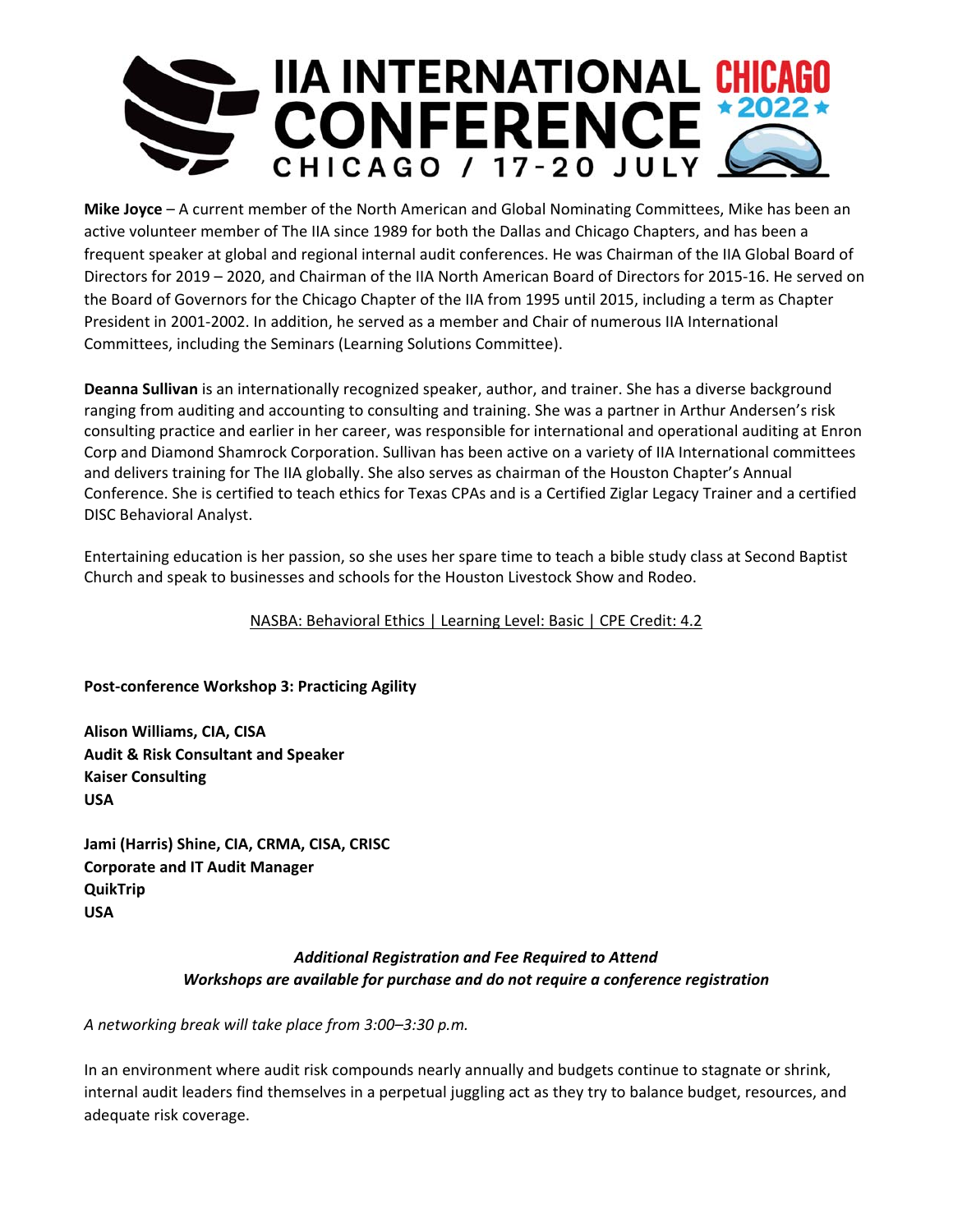

**Mike Joyce** – A current member of the North American and Global Nominating Committees, Mike has been an active volunteer member of The IIA since 1989 for both the Dallas and Chicago Chapters, and has been a frequent speaker at global and regional internal audit conferences. He was Chairman of the IIA Global Board of Directors for 2019 – 2020, and Chairman of the IIA North American Board of Directors for 2015‐16. He served on the Board of Governors for the Chicago Chapter of the IIA from 1995 until 2015, including a term as Chapter President in 2001‐2002. In addition, he served as a member and Chair of numerous IIA International Committees, including the Seminars (Learning Solutions Committee).

**Deanna Sullivan** is an internationally recognized speaker, author, and trainer. She has a diverse background ranging from auditing and accounting to consulting and training. She was a partner in Arthur Andersen's risk consulting practice and earlier in her career, was responsible for international and operational auditing at Enron Corp and Diamond Shamrock Corporation. Sullivan has been active on a variety of IIA International committees and delivers training for The IIA globally. She also serves as chairman of the Houston Chapter's Annual Conference. She is certified to teach ethics for Texas CPAs and is a Certified Ziglar Legacy Trainer and a certified DISC Behavioral Analyst.

Entertaining education is her passion, so she uses her spare time to teach a bible study class at Second Baptist Church and speak to businesses and schools for the Houston Livestock Show and Rodeo.

NASBA: Behavioral Ethics | Learning Level: Basic | CPE Credit: 4.2

**Post‐conference Workshop 3: Practicing Agility** 

**Alison Williams, CIA, CISA Audit & Risk Consultant and Speaker Kaiser Consulting USA** 

**Jami (Harris) Shine, CIA, CRMA, CISA, CRISC Corporate and IT Audit Manager QuikTrip USA** 

## *Additional Registration and Fee Required to Attend Workshops are available for purchase and do not require a conference registration*

*A networking break will take place from 3:00–3:30 p.m.* 

In an environment where audit risk compounds nearly annually and budgets continue to stagnate or shrink, internal audit leaders find themselves in a perpetual juggling act as they try to balance budget, resources, and adequate risk coverage.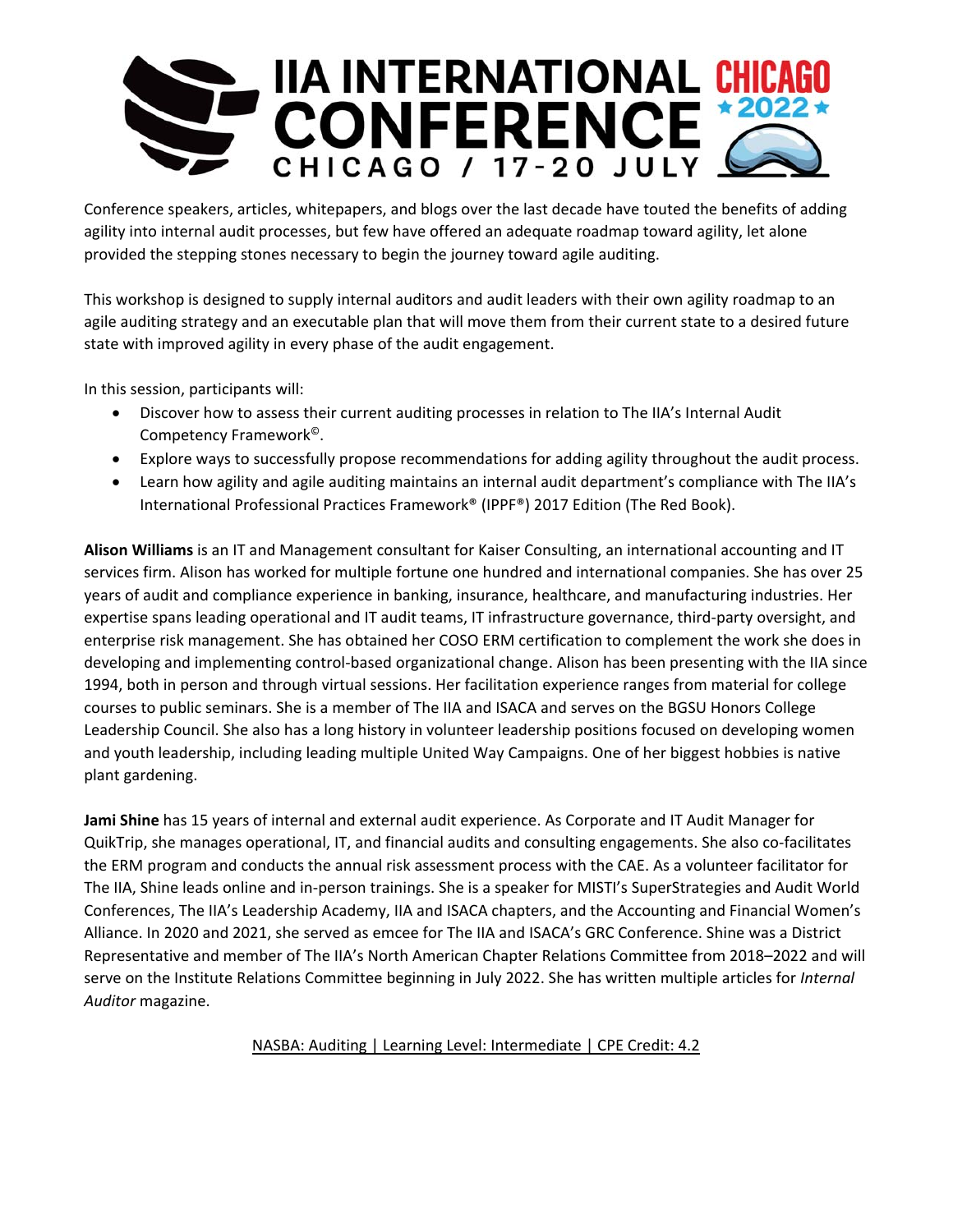

Conference speakers, articles, whitepapers, and blogs over the last decade have touted the benefits of adding agility into internal audit processes, but few have offered an adequate roadmap toward agility, let alone provided the stepping stones necessary to begin the journey toward agile auditing.

This workshop is designed to supply internal auditors and audit leaders with their own agility roadmap to an agile auditing strategy and an executable plan that will move them from their current state to a desired future state with improved agility in every phase of the audit engagement.

In this session, participants will:

- Discover how to assess their current auditing processes in relation to The IIA's Internal Audit Competency Framework©.
- Explore ways to successfully propose recommendations for adding agility throughout the audit process.
- Learn how agility and agile auditing maintains an internal audit department's compliance with The IIA's International Professional Practices Framework® (IPPF®) 2017 Edition (The Red Book).

**Alison Williams** is an IT and Management consultant for Kaiser Consulting, an international accounting and IT services firm. Alison has worked for multiple fortune one hundred and international companies. She has over 25 years of audit and compliance experience in banking, insurance, healthcare, and manufacturing industries. Her expertise spans leading operational and IT audit teams, IT infrastructure governance, third-party oversight, and enterprise risk management. She has obtained her COSO ERM certification to complement the work she does in developing and implementing control‐based organizational change. Alison has been presenting with the IIA since 1994, both in person and through virtual sessions. Her facilitation experience ranges from material for college courses to public seminars. She is a member of The IIA and ISACA and serves on the BGSU Honors College Leadership Council. She also has a long history in volunteer leadership positions focused on developing women and youth leadership, including leading multiple United Way Campaigns. One of her biggest hobbies is native plant gardening.

**Jami Shine** has 15 years of internal and external audit experience. As Corporate and IT Audit Manager for QuikTrip, she manages operational, IT, and financial audits and consulting engagements. She also co‐facilitates the ERM program and conducts the annual risk assessment process with the CAE. As a volunteer facilitator for The IIA, Shine leads online and in‐person trainings. She is a speaker for MISTI's SuperStrategies and Audit World Conferences, The IIA's Leadership Academy, IIA and ISACA chapters, and the Accounting and Financial Women's Alliance. In 2020 and 2021, she served as emcee for The IIA and ISACA's GRC Conference. Shine was a District Representative and member of The IIA's North American Chapter Relations Committee from 2018–2022 and will serve on the Institute Relations Committee beginning in July 2022. She has written multiple articles for *Internal Auditor* magazine.

NASBA: Auditing | Learning Level: Intermediate | CPE Credit: 4.2